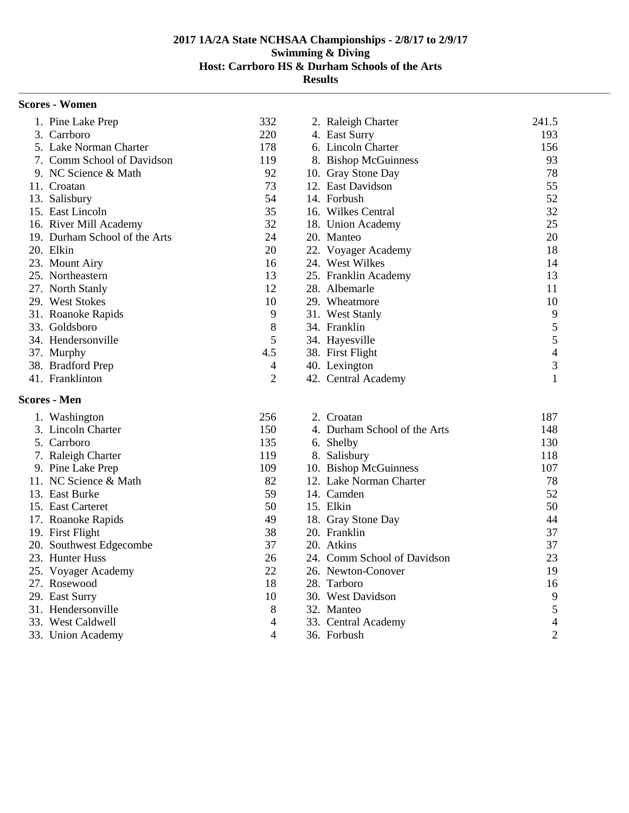| <b>Scores - Women</b>         |                |                              |                |
|-------------------------------|----------------|------------------------------|----------------|
| 1. Pine Lake Prep             | 332            | 2. Raleigh Charter           | 241.5          |
| 3. Carrboro                   | 220            | 4. East Surry                | 193            |
| 5. Lake Norman Charter        | 178            | 6. Lincoln Charter           | 156            |
| 7. Comm School of Davidson    | 119            | 8. Bishop McGuinness         | 93             |
| 9. NC Science & Math          | 92             | 10. Gray Stone Day           | 78             |
| 11. Croatan                   | 73             | 12. East Davidson            | 55             |
| 13. Salisbury                 | 54             | 14. Forbush                  | 52             |
| 15. East Lincoln              | 35             | 16. Wilkes Central           | 32             |
| 16. River Mill Academy        | 32             | 18. Union Academy            | 25             |
| 19. Durham School of the Arts | 24             | 20. Manteo                   | 20             |
| 20. Elkin                     | 20             | 22. Voyager Academy          | 18             |
| 23. Mount Airy                | 16             | 24. West Wilkes              | 14             |
| 25. Northeastern              | 13             | 25. Franklin Academy         | 13             |
| 27. North Stanly              | 12             | 28. Albemarle                | 11             |
| 29. West Stokes               | 10             | 29. Wheatmore                | 10             |
| 31. Roanoke Rapids            | 9              | 31. West Stanly              | 9              |
| 33. Goldsboro                 | 8              | 34. Franklin                 | 5              |
| 34. Hendersonville            | 5              | 34. Hayesville               | 5              |
| 37. Murphy                    | 4.5            | 38. First Flight             | $\overline{4}$ |
| 38. Bradford Prep             | 4              | 40. Lexington                | 3              |
| 41. Franklinton               | $\overline{2}$ | 42. Central Academy          | $\mathbf{1}$   |
| <b>Scores - Men</b>           |                |                              |                |
| 1. Washington                 | 256            | 2. Croatan                   | 187            |
| 3. Lincoln Charter            | 150            | 4. Durham School of the Arts | 148            |
| 5. Carrboro                   | 135            | 6. Shelby                    | 130            |
| 7. Raleigh Charter            | 119            | 8. Salisbury                 | 118            |
| 9. Pine Lake Prep             | 109            | 10. Bishop McGuinness        | 107            |
| 11. NC Science & Math         | 82             | 12. Lake Norman Charter      | 78             |
| 13. East Burke                | 59             | 14. Camden                   | 52             |
| 15. East Carteret             | 50             | 15. Elkin                    | 50             |
| 17. Roanoke Rapids            | 49             | 18. Gray Stone Day           | 44             |
| 19. First Flight              | 38             | 20. Franklin                 | 37             |
| 20. Southwest Edgecombe       | 37             | 20. Atkins                   | 37             |
| 23. Hunter Huss               | $26\,$         | 24. Comm School of Davidson  | $23\,$         |
| 25. Voyager Academy           | 22             | 26. Newton-Conover           | 19             |
| 27. Rosewood                  | 18             | 28. Tarboro                  | 16             |
| 29. East Surry                | 10             | 30. West Davidson            | 9              |
| 31. Hendersonville            | 8              | 32. Manteo                   | 5              |
| 33. West Caldwell             | 4              | 33. Central Academy          | 4              |
| 33. Union Academy             | 4              | 36. Forbush                  | $\mathbf{2}$   |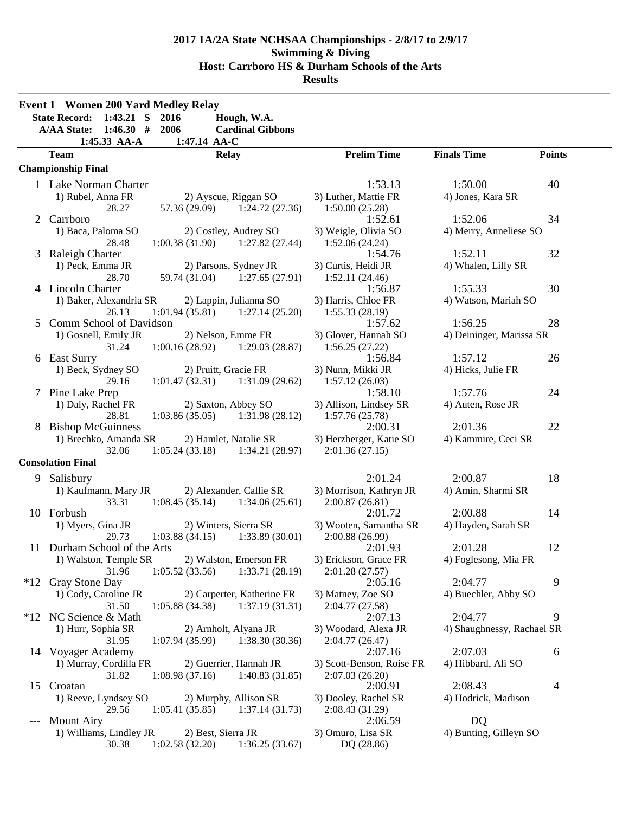|       | <b>Event 1 Women 200 Yard Medley Relay</b>                 |                         |                           |                            |               |
|-------|------------------------------------------------------------|-------------------------|---------------------------|----------------------------|---------------|
|       | $1:43.21$ S<br><b>State Record:</b><br>2016<br>Hough, W.A. |                         |                           |                            |               |
|       | 1:46.30#<br><b>A/AA State:</b><br>2006                     | <b>Cardinal Gibbons</b> |                           |                            |               |
|       | 1:47.14 AA-C<br>1:45.33 AA-A                               |                         |                           |                            |               |
|       | <b>Team</b><br><b>Relay</b>                                |                         | <b>Prelim Time</b>        | <b>Finals Time</b>         | <b>Points</b> |
|       | <b>Championship Final</b>                                  |                         |                           |                            |               |
|       | 1 Lake Norman Charter                                      |                         | 1:53.13                   | 1:50.00                    | 40            |
|       | 1) Rubel, Anna FR<br>2) Ayscue, Riggan SO                  |                         | 3) Luther, Mattie FR      | 4) Jones, Kara SR          |               |
|       | 28.27<br>57.36 (29.09)                                     | 1:24.72(27.36)          | 1:50.00(25.28)            |                            |               |
| 2     | Carrboro                                                   |                         | 1:52.61                   | 1:52.06                    | 34            |
|       | 1) Baca, Paloma SO<br>2) Costley, Audrey SO                |                         | 3) Weigle, Olivia SO      | 4) Merry, Anneliese SO     |               |
|       | $1:00.38(31.90)$ $1:27.82(27.44)$<br>28.48                 |                         | 1:52.06(24.24)            |                            |               |
|       | 3 Raleigh Charter                                          |                         | 1:54.76                   | 1:52.11                    | 32            |
|       | 1) Peck, Emma JR<br>2) Parsons, Sydney JR                  |                         | 3) Curtis, Heidi JR       | 4) Whalen, Lilly SR        |               |
|       | 28.70<br>59.74 (31.04)                                     | 1:27.65(27.91)          | 1:52.11(24.46)            |                            |               |
|       | 4 Lincoln Charter                                          |                         | 1:56.87                   | 1:55.33                    | 30            |
|       | 1) Baker, Alexandria SR<br>2) Lappin, Julianna SO          |                         | 3) Harris, Chloe FR       | 4) Watson, Mariah SO       |               |
| 5     | 1:01.94(35.81)<br>26.13<br>Comm School of Davidson         | 1:27.14(25.20)          | 1:55.33(28.19)<br>1:57.62 | 1:56.25                    | 28            |
|       | 2) Nelson, Emme FR<br>1) Gosnell, Emily JR                 |                         | 3) Glover, Hannah SO      | 4) Deininger, Marissa SR   |               |
|       | 31.24<br>1:00.16(28.92)                                    | 1:29.03(28.87)          | 1:56.25(27.22)            |                            |               |
|       | 6 East Surry                                               |                         | 1:56.84                   | 1:57.12                    | 26            |
|       | 2) Pruitt, Gracie FR<br>1) Beck, Sydney SO                 |                         | 3) Nunn, Mikki JR         | 4) Hicks, Julie FR         |               |
|       | 29.16<br>$1:01.47(32.31)$ $1:31.09(29.62)$                 |                         | 1:57.12(26.03)            |                            |               |
| 7     | Pine Lake Prep                                             |                         | 1:58.10                   | 1:57.76                    | 24            |
|       | 1) Daly, Rachel FR<br>2) Saxton, Abbey SO                  |                         | 3) Allison, Lindsey SR    | 4) Auten, Rose JR          |               |
|       | 28.81<br>$1:03.86(35.05)$ $1:31.98(28.12)$                 |                         | 1:57.76(25.78)            |                            |               |
|       | 8 Bishop McGuinness                                        |                         | 2:00.31                   | 2:01.36                    | 22            |
|       | 1) Brechko, Amanda SR<br>2) Hamlet, Natalie SR             |                         | 3) Herzberger, Katie SO   | 4) Kammire, Ceci SR        |               |
|       | 1:05.24(33.18)<br>32.06                                    | 1:34.21(28.97)          | 2:01.36(27.15)            |                            |               |
|       | <b>Consolation Final</b>                                   |                         |                           |                            |               |
| 9     | Salisbury                                                  |                         | 2:01.24                   | 2:00.87                    | 18            |
|       | 1) Kaufmann, Mary JR<br>2) Alexander, Callie SR            |                         | 3) Morrison, Kathryn JR   | 4) Amin, Sharmi SR         |               |
|       | 33.31<br>1:08.45(35.14)                                    | 1:34.06(25.61)          | 2:00.87(26.81)            |                            |               |
|       | 10 Forbush                                                 |                         | 2:01.72                   | 2:00.88                    | 14            |
|       | 1) Myers, Gina JR<br>2) Winters, Sierra SR                 |                         | 3) Wooten, Samantha SR    | 4) Hayden, Sarah SR        |               |
|       | 1:03.88(34.15)<br>29.73                                    | 1:33.89(30.01)          | 2:00.88(26.99)            |                            |               |
|       | 11 Durham School of the Arts                               |                         | 2:01.93                   | 2:01.28                    | 12            |
|       | 2) Walston, Emerson FR<br>1) Walston, Temple SR            |                         | 3) Erickson, Grace FR     | 4) Foglesong, Mia FR       |               |
| $*12$ | 31.96<br>1:05.52(33.56)<br>Gray Stone Day                  | 1:33.71(28.19)          | 2:01.28(27.57)<br>2:05.16 | 2:04.77                    | 9             |
|       | 1) Cody, Caroline JR<br>2) Carperter, Katherine FR         |                         | 3) Matney, Zoe SO         | 4) Buechler, Abby SO       |               |
|       | 1:05.88(34.38)<br>31.50                                    | 1:37.19(31.31)          | 2:04.77 (27.58)           |                            |               |
| $*12$ | NC Science & Math                                          |                         | 2:07.13                   | 2:04.77                    | 9             |
|       | 2) Arnholt, Alyana JR<br>1) Hurr, Sophia SR                |                         | 3) Woodard, Alexa JR      | 4) Shaughnessy, Rachael SR |               |
|       | 31.95<br>1:07.94(35.99)                                    | 1:38.30(30.36)          | 2:04.77(26.47)            |                            |               |
|       | 14 Voyager Academy                                         |                         | 2:07.16                   | 2:07.03                    | 6             |
|       | 1) Murray, Cordilla FR<br>2) Guerrier, Hannah JR           |                         | 3) Scott-Benson, Roise FR | 4) Hibbard, Ali SO         |               |
|       | 31.82<br>1:08.98(37.16)                                    | 1:40.83(31.85)          | 2:07.03(26.20)            |                            |               |
|       | 15 Croatan                                                 |                         | 2:00.91                   | 2:08.43                    | 4             |
|       | 1) Reeve, Lyndsey SO<br>2) Murphy, Allison SR              |                         | 3) Dooley, Rachel SR      | 4) Hodrick, Madison        |               |
|       | 29.56<br>1:05.41(35.85)                                    | 1:37.14(31.73)          | 2:08.43 (31.29)           |                            |               |
| $---$ | <b>Mount Airy</b>                                          |                         | 2:06.59                   | DQ                         |               |
|       | 1) Williams, Lindley JR<br>2) Best, Sierra JR              |                         | 3) Omuro, Lisa SR         | 4) Bunting, Gilleyn SO     |               |
|       | 1:02.58(32.20)<br>30.38                                    | 1:36.25(33.67)          | DQ (28.86)                |                            |               |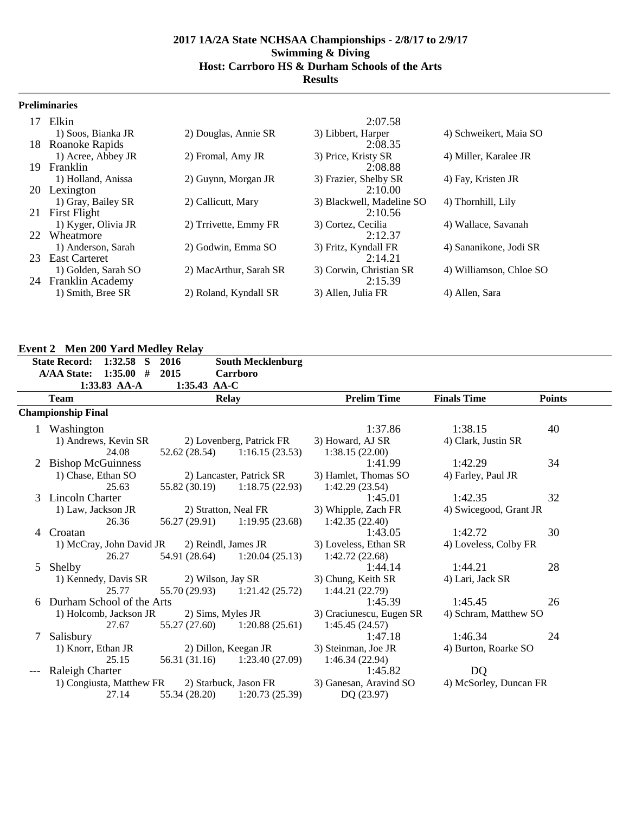#### **Preliminaries**

|     | 17 Elkin             |                        | 2:07.58                   |                         |
|-----|----------------------|------------------------|---------------------------|-------------------------|
|     | 1) Soos, Bianka JR   | 2) Douglas, Annie SR   | 3) Libbert, Harper        | 4) Schweikert, Maia SO  |
| 18. | Roanoke Rapids       |                        | 2:08.35                   |                         |
|     | 1) Acree, Abbey JR   | 2) Fromal, Amy JR      | 3) Price, Kristy SR       | 4) Miller, Karalee JR   |
| 19. | Franklin             |                        | 2:08.88                   |                         |
|     | 1) Holland, Anissa   | 2) Guynn, Morgan JR    | 3) Frazier, Shelby SR     | 4) Fay, Kristen JR      |
| 20  | Lexington            |                        | 2:10.00                   |                         |
|     | 1) Gray, Bailey SR   | 2) Callicutt, Mary     | 3) Blackwell, Madeline SO | 4) Thornhill, Lily      |
| 21  | <b>First Flight</b>  |                        | 2:10.56                   |                         |
|     | 1) Kyger, Olivia JR  | 2) Trrivette, Emmy FR  | 3) Cortez, Cecilia        | 4) Wallace, Savanah     |
|     | 22 Wheatmore         |                        | 2:12.37                   |                         |
|     | 1) Anderson, Sarah   | 2) Godwin, Emma SO     | 3) Fritz, Kyndall FR      | 4) Sananikone, Jodi SR  |
| 23  | <b>East Carteret</b> |                        | 2:14.21                   |                         |
|     | 1) Golden, Sarah SO  | 2) MacArthur, Sarah SR | 3) Corwin, Christian SR   | 4) Williamson, Chloe SO |
|     | 24 Franklin Academy  |                        | 2:15.39                   |                         |
|     | 1) Smith, Bree SR    | 2) Roland, Kyndall SR  | 3) Allen, Julia FR        | 4) Allen, Sara          |

# **Event 2 Men 200 Yard Medley Relay**

|   | <b>State Record:</b><br>1:32.58<br>S<br>1:35.00#<br><b>A/AA State:</b> | 2016<br>2015  | <b>South Mecklenburg</b><br>Carrboro |                           |                        |               |
|---|------------------------------------------------------------------------|---------------|--------------------------------------|---------------------------|------------------------|---------------|
|   | 1:33.83 AA-A                                                           | 1:35.43 AA-C  |                                      |                           |                        |               |
|   | <b>Team</b>                                                            |               | <b>Relay</b>                         | <b>Prelim Time</b>        | <b>Finals Time</b>     | <b>Points</b> |
|   | <b>Championship Final</b>                                              |               |                                      |                           |                        |               |
|   | Washington                                                             |               |                                      | 1:37.86                   | 1:38.15                | 40            |
|   | 1) Andrews, Kevin SR                                                   |               | 2) Lovenberg, Patrick FR             | 3) Howard, AJ SR          | 4) Clark, Justin SR    |               |
|   | 24.08                                                                  |               | $52.62(28.54)$ 1:16.15 (23.53)       | 1:38.15(22.00)            |                        |               |
|   | 2 Bishop McGuinness                                                    |               |                                      | 1:41.99                   | 1:42.29                | 34            |
|   | 1) Chase, Ethan SO                                                     |               | 2) Lancaster, Patrick SR             | 3) Hamlet, Thomas SO      | 4) Farley, Paul JR     |               |
|   | 25.63                                                                  |               | $55.82(30.19)$ $1:18.75(22.93)$      | 1:42.29(23.54)            |                        |               |
| 3 | Lincoln Charter                                                        |               |                                      | 1:45.01                   | 1:42.35                | 32            |
|   | 1) Law, Jackson JR                                                     |               | 2) Stratton, Neal FR                 | 3) Whipple, Zach FR       | 4) Swicegood, Grant JR |               |
|   | 26.36                                                                  |               | $56.27(29.91)$ $1:19.95(23.68)$      | 1:42.35(22.40)            |                        |               |
| 4 | Croatan                                                                |               |                                      | 1:43.05                   | 1:42.72                | 30            |
|   | 1) McCray, John David JR                                               |               | 2) Reindl, James JR                  | 3) Loveless, Ethan SR     | 4) Loveless, Colby FR  |               |
|   | 26.27                                                                  |               | 54.91 (28.64) 1:20.04 (25.13)        | 1:42.72(22.68)            |                        |               |
| 5 | Shelby                                                                 |               |                                      | 1:44.14                   | 1:44.21                | 28            |
|   | 1) Kennedy, Davis SR                                                   |               | 2) Wilson, Jay SR                    | 3) Chung, Keith SR        | 4) Lari, Jack SR       |               |
|   | 25.77                                                                  |               | 55.70 (29.93) 1:21.42 (25.72)        | 1:44.21 (22.79)           |                        |               |
|   | Durham School of the Arts                                              |               |                                      | 1:45.39                   | 1:45.45                | 26            |
|   | 1) Holcomb, Jackson JR<br>27.67                                        |               | 2) Sims, Myles JR                    | 3) Craciunescu, Eugen SR  | 4) Schram, Matthew SO  |               |
| 7 | Salisbury                                                              |               | $55.27(27.60)$ 1:20.88 (25.61)       | 1:45.45(24.57)<br>1:47.18 | 1:46.34                | 24            |
|   | 1) Knorr, Ethan JR                                                     |               | 2) Dillon, Keegan JR                 | 3) Steinman, Joe JR       | 4) Burton, Roarke SO   |               |
|   | 25.15                                                                  |               | 56.31 (31.16) 1:23.40 (27.09)        | 1:46.34 (22.94)           |                        |               |
|   | Raleigh Charter                                                        |               |                                      | 1:45.82                   | DQ                     |               |
|   | 1) Congiusta, Matthew FR                                               |               | 2) Starbuck, Jason FR                | 3) Ganesan, Aravind SO    | 4) McSorley, Duncan FR |               |
|   | 27.14                                                                  | 55.34 (28.20) | 1:20.73(25.39)                       | DQ (23.97)                |                        |               |
|   |                                                                        |               |                                      |                           |                        |               |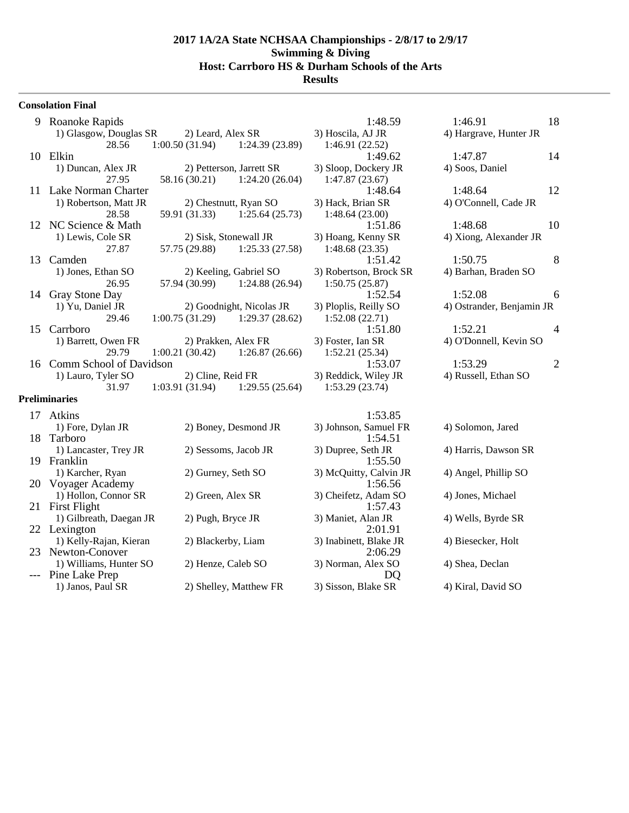#### **Consolation Final**

| 9     | Roanoke Rapids                         |                                           |                          | 1:48.59                                | 1:46.91                   | 18             |
|-------|----------------------------------------|-------------------------------------------|--------------------------|----------------------------------------|---------------------------|----------------|
|       | 1) Glasgow, Douglas SR<br>28.56        | 2) Leard, Alex SR<br>1:00.50(31.94)       | 1:24.39(23.89)           | 3) Hoscila, AJ JR<br>1:46.91 (22.52)   | 4) Hargrave, Hunter JR    |                |
|       | 10 Elkin                               |                                           |                          | 1:49.62                                | 1:47.87                   | 14             |
|       | 1) Duncan, Alex JR<br>27.95            | 2) Petterson, Jarrett SR<br>58.16 (30.21) | 1:24.20(26.04)           | 3) Sloop, Dockery JR<br>1:47.87(23.67) | 4) Soos, Daniel           |                |
|       | 11 Lake Norman Charter                 |                                           |                          | 1:48.64                                | 1:48.64                   | 12             |
|       | 1) Robertson, Matt JR                  | 2) Chestnutt, Ryan SO                     |                          | 3) Hack, Brian SR                      | 4) O'Connell, Cade JR     |                |
|       | 28.58                                  | 59.91 (31.33)                             | 1:25.64(25.73)           | 1:48.64(23.00)                         |                           |                |
|       | 12 NC Science & Math                   |                                           |                          | 1:51.86                                | 1:48.68                   | 10             |
|       | 1) Lewis, Cole SR                      | 2) Sisk, Stonewall JR                     |                          | 3) Hoang, Kenny SR                     | 4) Xiong, Alexander JR    |                |
|       | 27.87                                  | 57.75 (29.88)                             | 1:25.33(27.58)           | 1:48.68(23.35)                         |                           |                |
| 13    | Camden                                 |                                           |                          | 1:51.42                                | 1:50.75                   | $\,8\,$        |
|       | 1) Jones, Ethan SO                     | 2) Keeling, Gabriel SO                    |                          | 3) Robertson, Brock SR                 | 4) Barhan, Braden SO      |                |
|       | 26.95                                  | 57.94 (30.99)                             | 1:24.88(26.94)           | 1:50.75(25.87)                         |                           |                |
| 14    | Gray Stone Day                         |                                           |                          | 1:52.54                                | 1:52.08                   | 6              |
|       | 1) Yu, Daniel JR                       |                                           | 2) Goodnight, Nicolas JR | 3) Ploplis, Reilly SO                  | 4) Ostrander, Benjamin JR |                |
|       | 29.46                                  | 1:00.75(31.29)                            | 1:29.37(28.62)           | 1:52.08(22.71)                         |                           |                |
| 15    | Carrboro                               |                                           |                          | 1:51.80                                | 1:52.21                   | $\overline{4}$ |
|       | 1) Barrett, Owen FR                    | 2) Prakken, Alex FR                       |                          | 3) Foster, Ian SR                      | 4) O'Donnell, Kevin SO    |                |
|       | 29.79                                  | 1:00.21(30.42)                            | 1:26.87(26.66)           | 1:52.21(25.34)                         |                           |                |
|       | 16 Comm School of Davidson             |                                           |                          | 1:53.07                                | 1:53.29                   | $\overline{2}$ |
|       | 1) Lauro, Tyler SO                     | 2) Cline, Reid FR                         |                          | 3) Reddick, Wiley JR                   | 4) Russell, Ethan SO      |                |
|       | 31.97<br><b>Preliminaries</b>          | 1:03.91 (31.94)                           | 1:29.55(25.64)           | 1:53.29(23.74)                         |                           |                |
|       |                                        |                                           |                          |                                        |                           |                |
|       | 17 Atkins                              |                                           |                          | 1:53.85                                |                           |                |
|       | 1) Fore, Dylan JR                      | 2) Boney, Desmond JR                      |                          | 3) Johnson, Samuel FR                  | 4) Solomon, Jared         |                |
| 18    | Tarboro                                |                                           |                          | 1:54.51                                |                           |                |
|       | 1) Lancaster, Trey JR                  | 2) Sessoms, Jacob JR                      |                          | 3) Dupree, Seth JR                     | 4) Harris, Dawson SR      |                |
|       | 19 Franklin                            |                                           |                          | 1:55.50                                |                           |                |
|       | 1) Karcher, Ryan<br>20 Voyager Academy | 2) Gurney, Seth SO                        |                          | 3) McQuitty, Calvin JR<br>1:56.56      | 4) Angel, Phillip SO      |                |
|       | 1) Hollon, Connor SR                   | 2) Green, Alex SR                         |                          | 3) Cheifetz, Adam SO                   | 4) Jones, Michael         |                |
|       | 21 First Flight                        |                                           |                          | 1:57.43                                |                           |                |
|       | 1) Gilbreath, Daegan JR                | 2) Pugh, Bryce JR                         |                          | 3) Maniet, Alan JR                     | 4) Wells, Byrde SR        |                |
|       | 22 Lexington                           |                                           |                          | 2:01.91                                |                           |                |
|       | 1) Kelly-Rajan, Kieran                 | 2) Blackerby, Liam                        |                          | 3) Inabinett, Blake JR                 | 4) Biesecker, Holt        |                |
|       | 23 Newton-Conover                      |                                           |                          | 2:06.29                                |                           |                |
|       | 1) Williams, Hunter SO                 | 2) Henze, Caleb SO                        |                          | 3) Norman, Alex SO                     | 4) Shea, Declan           |                |
| $---$ | Pine Lake Prep                         |                                           |                          | DQ                                     |                           |                |
|       | 1) Janos, Paul SR                      |                                           | 2) Shelley, Matthew FR   | 3) Sisson, Blake SR                    | 4) Kiral, David SO        |                |
|       |                                        |                                           |                          |                                        |                           |                |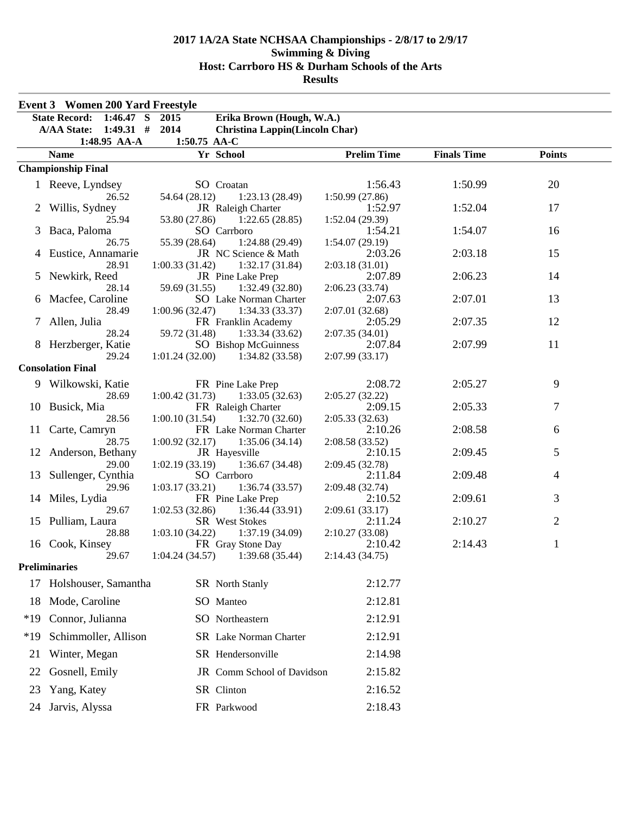|       | <b>Event 3</b> Women 200 Yard Freestyle |                                                            |                            |                    |                |  |
|-------|-----------------------------------------|------------------------------------------------------------|----------------------------|--------------------|----------------|--|
|       | State Record: 1:46.47 S 2015            | Erika Brown (Hough, W.A.)                                  |                            |                    |                |  |
|       | A/AA State: 1:49.31 # 2014              | <b>Christina Lappin(Lincoln Char)</b>                      |                            |                    |                |  |
|       | 1:48.95 AA-A                            | 1:50.75 AA-C                                               |                            |                    |                |  |
|       | <b>Name</b>                             | Yr School                                                  | <b>Prelim Time</b>         | <b>Finals Time</b> | <b>Points</b>  |  |
|       | <b>Championship Final</b>               |                                                            |                            |                    |                |  |
|       | 1 Reeve, Lyndsey                        | SO Croatan                                                 | 1:56.43                    | 1:50.99            | 20             |  |
|       | 26.52                                   | 54.64 (28.12)<br>1:23.13(28.49)                            | 1:50.99(27.86)             |                    |                |  |
|       | Willis, Sydney                          | JR Raleigh Charter                                         | 1:52.97                    | 1:52.04            | 17             |  |
|       | 25.94                                   | 53.80 (27.86)<br>1:22.65(28.85)                            | 1:52.04(29.39)             |                    |                |  |
| 3     | Baca, Paloma                            | SO Carrboro                                                | 1:54.21                    | 1:54.07            | 16             |  |
|       | 26.75                                   | 55.39 (28.64)<br>1:24.88 (29.49)                           | 1:54.07(29.19)             |                    |                |  |
|       | 4 Eustice, Annamarie                    | JR NC Science & Math                                       | 2:03.26                    | 2:03.18            | 15             |  |
|       | 28.91                                   | 1:00.33(31.42)<br>1:32.17(31.84)                           | 2:03.18(31.01)             |                    |                |  |
|       | 5 Newkirk, Reed                         | JR Pine Lake Prep                                          | 2:07.89                    | 2:06.23            | 14             |  |
|       | 28.14<br>6 Macfee, Caroline             | 59.69 (31.55)<br>1:32.49(32.80)                            | 2:06.23(33.74)             | 2:07.01            | 13             |  |
|       | 28.49                                   | SO Lake Norman Charter<br>1:00.96(32.47)<br>1:34.33(33.37) | 2:07.63<br>2:07.01 (32.68) |                    |                |  |
| 7     | Allen, Julia                            | FR Franklin Academy                                        | 2:05.29                    | 2:07.35            | 12             |  |
|       | 28.24                                   | 1:33.34(33.62)<br>59.72 (31.48)                            | 2:07.35(34.01)             |                    |                |  |
|       | 8 Herzberger, Katie                     | <b>SO</b> Bishop McGuinness                                | 2:07.84                    | 2:07.99            | 11             |  |
|       | 29.24                                   | $1:01.24(32.00)$ $1:34.82(33.58)$                          | 2:07.99(33.17)             |                    |                |  |
|       | <b>Consolation Final</b>                |                                                            |                            |                    |                |  |
|       | 9 Wilkowski, Katie                      | FR Pine Lake Prep                                          | 2:08.72                    | 2:05.27            | 9              |  |
|       | 28.69                                   | 1:00.42(31.73)<br>1:33.05(32.63)                           | 2:05.27 (32.22)            |                    |                |  |
|       | 10 Busick, Mia                          | FR Raleigh Charter                                         | 2:09.15                    | 2:05.33            | 7              |  |
|       | 28.56                                   | 1:32.70(32.60)<br>1:00.10(31.54)                           | 2:05.33(32.63)             |                    |                |  |
| 11    | Carte, Camryn                           | FR Lake Norman Charter                                     | 2:10.26                    | 2:08.58            | 6              |  |
|       | 28.75                                   | 1:00.92(32.17)<br>1:35.06(34.14)                           | 2:08.58 (33.52)            |                    |                |  |
|       | 12 Anderson, Bethany                    | JR Hayesville                                              | 2:10.15                    | 2:09.45            | 5              |  |
|       | 29.00                                   | 1:02.19(33.19)<br>1:36.67(34.48)                           | 2:09.45 (32.78)            |                    |                |  |
| 13    | Sullenger, Cynthia                      | SO Carrboro                                                | 2:11.84                    | 2:09.48            | 4              |  |
|       | 29.96                                   | 1:03.17(33.21)<br>1:36.74(33.57)                           | 2:09.48 (32.74)            |                    |                |  |
|       | 14 Miles, Lydia                         | FR Pine Lake Prep                                          | 2:10.52                    | 2:09.61            | 3              |  |
|       | 29.67<br>15 Pulliam, Laura              | 1:02.53(32.86)<br>1:36.44(33.91)<br>SR West Stokes         | 2:09.61(33.17)<br>2:11.24  | 2:10.27            | $\overline{c}$ |  |
|       | 28.88                                   | 1:03.10(34.22)<br>1:37.19(34.09)                           | 2:10.27 (33.08)            |                    |                |  |
|       | 16 Cook, Kinsey                         | FR Gray Stone Day                                          | 2:10.42                    | 2:14.43            | $\mathbf{1}$   |  |
|       | 29.67                                   | 1:04.24 (34.57)<br>1:39.68 (35.44)                         | 2:14.43 (34.75)            |                    |                |  |
|       | <b>Preliminaries</b>                    |                                                            |                            |                    |                |  |
| 17    | Holshouser, Samantha                    | SR North Stanly                                            | 2:12.77                    |                    |                |  |
|       |                                         |                                                            |                            |                    |                |  |
| 18    | Mode, Caroline                          | SO Manteo                                                  | 2:12.81                    |                    |                |  |
| $*19$ | Connor, Julianna                        | SO Northeastern                                            | 2:12.91                    |                    |                |  |
| $*19$ | Schimmoller, Allison                    | SR Lake Norman Charter                                     | 2:12.91                    |                    |                |  |
| 21    | Winter, Megan                           | SR Hendersonville                                          | 2:14.98                    |                    |                |  |
| 22    | Gosnell, Emily                          | JR Comm School of Davidson                                 | 2:15.82                    |                    |                |  |
| 23    | Yang, Katey                             | SR Clinton                                                 | 2:16.52                    |                    |                |  |
|       | 24 Jarvis, Alyssa                       | FR Parkwood                                                | 2:18.43                    |                    |                |  |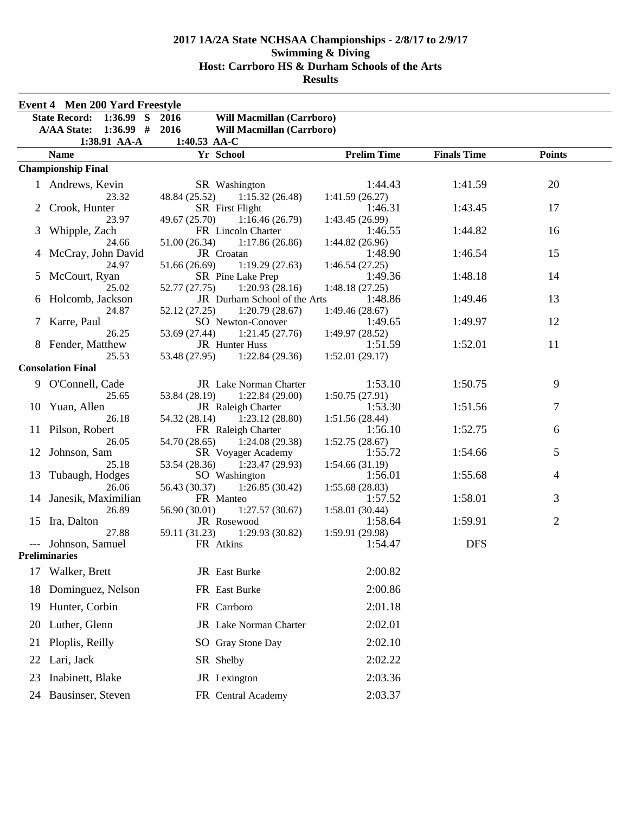|                | <b>Event 4 Men 200 Yard Freestyle</b>  |                                                       |                            |                    |                |
|----------------|----------------------------------------|-------------------------------------------------------|----------------------------|--------------------|----------------|
|                | $1:36.99$ S<br><b>State Record:</b>    | 2016<br>Will Macmillan (Carrboro)                     |                            |                    |                |
|                | <b>A/AA State:</b><br>$1:36.99$ # 2016 | <b>Will Macmillan (Carrboro)</b>                      |                            |                    |                |
|                | 1:38.91 AA-A                           | 1:40.53 AA-C                                          |                            |                    |                |
|                | <b>Name</b>                            | Yr School                                             | <b>Prelim Time</b>         | <b>Finals Time</b> | <b>Points</b>  |
|                | <b>Championship Final</b>              |                                                       |                            |                    |                |
|                | 1 Andrews, Kevin                       | SR Washington                                         | 1:44.43                    | 1:41.59            | 20             |
|                | 23.32                                  | 48.84 (25.52)<br>1:15.32(26.48)                       | 1:41.59(26.27)             |                    |                |
| 2              | Crook, Hunter                          | SR First Flight                                       | 1:46.31                    | 1:43.45            | 17             |
| 3              | 23.97<br>Whipple, Zach                 | 1:16.46(26.79)<br>49.67 (25.70)<br>FR Lincoln Charter | 1:43.45 (26.99)<br>1:46.55 | 1:44.82            | 16             |
|                | 24.66                                  | 51.00 (26.34)<br>1:17.86(26.86)                       | 1:44.82(26.96)             |                    |                |
|                | McCray, John David                     | JR Croatan                                            | 1:48.90                    | 1:46.54            | 15             |
|                | 24.97                                  | 51.66 (26.69)<br>1:19.29(27.63)                       | 1:46.54(27.25)             |                    |                |
| $\mathfrak{S}$ | McCourt, Ryan                          | SR Pine Lake Prep                                     | 1:49.36                    | 1:48.18            | 14             |
|                | 25.02                                  | 52.77 (27.75)<br>1:20.93(28.16)                       | 1:48.18(27.25)             |                    |                |
|                | Holcomb, Jackson                       | JR Durham School of the Arts                          | 1:48.86                    | 1:49.46            | 13             |
|                | 24.87                                  | 52.12 (27.25)<br>1:20.79(28.67)                       | 1:49.46(28.67)             |                    |                |
| 7              | Karre, Paul<br>26.25                   | SO Newton-Conover<br>53.69 (27.44)<br>1:21.45(27.76)  | 1:49.65<br>1:49.97 (28.52) | 1:49.97            | 12             |
|                | 8 Fender, Matthew                      | JR Hunter Huss                                        | 1:51.59                    | 1:52.01            | 11             |
|                | 25.53                                  | 53.48 (27.95)<br>1:22.84(29.36)                       | 1:52.01(29.17)             |                    |                |
|                | <b>Consolation Final</b>               |                                                       |                            |                    |                |
|                | 9 O'Connell, Cade                      | JR Lake Norman Charter                                | 1:53.10                    | 1:50.75            | 9              |
|                | 25.65                                  | 1:22.84(29.00)<br>53.84 (28.19)                       | 1:50.75(27.91)             |                    |                |
| 10             | Yuan, Allen                            | JR Raleigh Charter                                    | 1:53.30                    | 1:51.56            | 7              |
|                | 26.18                                  | 54.32 (28.14)<br>1:23.12(28.80)                       | 1:51.56 (28.44)            |                    |                |
|                | 11 Pilson, Robert                      | FR Raleigh Charter                                    | 1:56.10                    | 1:52.75            | 6              |
|                | 26.05                                  | 1:24.08(29.38)<br>54.70 (28.65)                       | 1:52.75(28.67)             |                    |                |
|                | 12 Johnson, Sam                        | SR Voyager Academy                                    | 1:55.72                    | 1:54.66            | 5              |
|                | 25.18                                  | 1:23.47(29.93)<br>53.54 (28.36)                       | 1:54.66(31.19)             |                    |                |
| 13             | Tubaugh, Hodges<br>26.06               | SO Washington<br>1:26.85(30.42)<br>56.43 (30.37)      | 1:56.01<br>1:55.68(28.83)  | 1:55.68            | 4              |
|                | 14 Janesik, Maximilian                 | FR Manteo                                             | 1:57.52                    | 1:58.01            | 3              |
|                | 26.89                                  | 56.90 (30.01)<br>1:27.57(30.67)                       | 1:58.01(30.44)             |                    |                |
| 15             | Ira, Dalton                            | JR Rosewood                                           | 1:58.64                    | 1:59.91            | $\overline{c}$ |
|                | 27.88                                  | 59.11 (31.23)<br>1:29.93(30.82)                       | 1:59.91 (29.98)            |                    |                |
|                | --- Johnson, Samuel                    | FR Atkins                                             | 1:54.47                    | <b>DFS</b>         |                |
|                | Preliminaries                          |                                                       |                            |                    |                |
| 17             | Walker, Brett                          | JR East Burke                                         | 2:00.82                    |                    |                |
| 18             | Dominguez, Nelson                      | FR East Burke                                         | 2:00.86                    |                    |                |
|                |                                        |                                                       |                            |                    |                |
| 19             | Hunter, Corbin                         | FR Carrboro                                           | 2:01.18                    |                    |                |
| 20             | Luther, Glenn                          | JR Lake Norman Charter                                | 2:02.01                    |                    |                |
| 21             | Ploplis, Reilly                        | SO Gray Stone Day                                     | 2:02.10                    |                    |                |
| 22             | Lari, Jack                             | SR Shelby                                             | 2:02.22                    |                    |                |
|                |                                        |                                                       |                            |                    |                |
| 23             | Inabinett, Blake                       | JR Lexington                                          | 2:03.36                    |                    |                |
|                | 24 Bausinser, Steven                   | FR Central Academy                                    | 2:03.37                    |                    |                |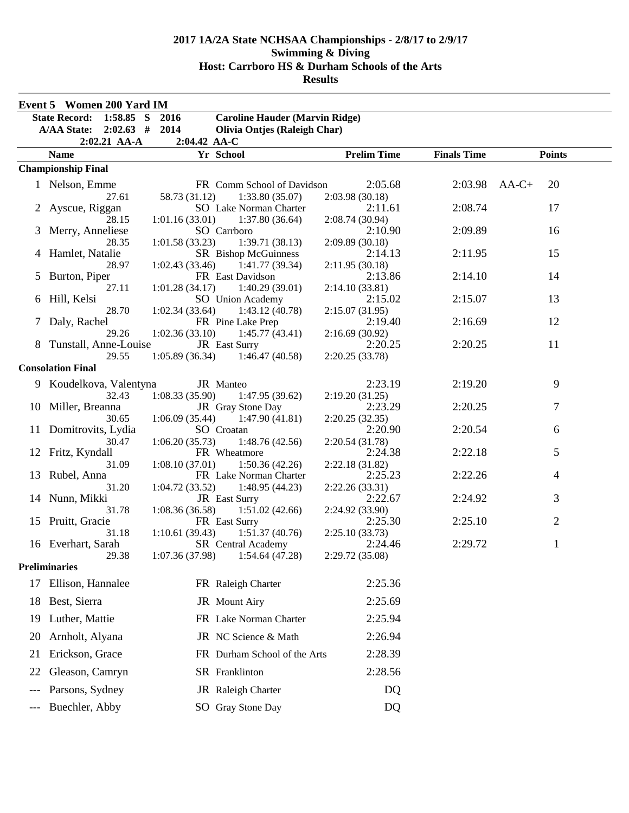|       | Event 5 Women 200 Yard IM           |                                                      |                            |                    |                |  |
|-------|-------------------------------------|------------------------------------------------------|----------------------------|--------------------|----------------|--|
|       | $1:58.85$ S<br><b>State Record:</b> | 2016<br><b>Caroline Hauder (Marvin Ridge)</b>        |                            |                    |                |  |
|       | $2:02.63$ #<br><b>A/AA State:</b>   | 2014<br><b>Olivia Ontjes (Raleigh Char)</b>          |                            |                    |                |  |
|       | 2:02.21 AA-A                        | 2:04.42 AA-C                                         |                            |                    |                |  |
|       | <b>Name</b>                         | Yr School                                            | <b>Prelim Time</b>         | <b>Finals Time</b> | <b>Points</b>  |  |
|       | <b>Championship Final</b>           |                                                      |                            |                    |                |  |
|       | 1 Nelson, Emme                      | FR Comm School of Davidson                           | 2:05.68                    | 2:03.98 AA-C+      | 20             |  |
|       | 27.61                               | 58.73 (31.12)<br>1:33.80(35.07)                      | 2:03.98(30.18)             |                    |                |  |
|       | 2 Ayscue, Riggan                    | SO Lake Norman Charter                               | 2:11.61                    | 2:08.74            | 17             |  |
|       | 28.15                               | 1:37.80(36.64)<br>1:01.16(33.01)                     | 2:08.74 (30.94)            |                    |                |  |
|       | 3 Merry, Anneliese                  | SO Carrboro                                          | 2:10.90                    | 2:09.89            | 16             |  |
|       | 28.35                               | 1:01.58(33.23)<br>1:39.71(38.13)                     | 2:09.89(30.18)             |                    |                |  |
|       | 4 Hamlet, Natalie                   | <b>SR</b> Bishop McGuinness                          | 2:14.13                    | 2:11.95            | 15             |  |
|       | 28.97<br>5 Burton, Piper            | 1:02.43(33.46)<br>1:41.77(39.34)<br>FR East Davidson | 2:11.95(30.18)<br>2:13.86  | 2:14.10            | 14             |  |
|       | 27.11                               | 1:01.28(34.17)<br>1:40.29(39.01)                     | 2:14.10(33.81)             |                    |                |  |
|       | 6 Hill, Kelsi                       | SO Union Academy                                     | 2:15.02                    | 2:15.07            | 13             |  |
|       | 28.70                               | 1:02.34(33.64)<br>1:43.12(40.78)                     | 2:15.07(31.95)             |                    |                |  |
|       | 7 Daly, Rachel                      | FR Pine Lake Prep                                    | 2:19.40                    | 2:16.69            | 12             |  |
|       | 29.26                               | 1:02.36(33.10)<br>1:45.77(43.41)                     | 2:16.69(30.92)             |                    |                |  |
|       | 8 Tunstall, Anne-Louise             | JR East Surry                                        | 2:20.25                    | 2:20.25            | 11             |  |
|       | 29.55                               | 1:05.89(36.34)<br>1:46.47(40.58)                     | 2:20.25(33.78)             |                    |                |  |
|       | <b>Consolation Final</b>            |                                                      |                            |                    |                |  |
|       | 9 Koudelkova, Valentyna             | JR Manteo                                            | 2:23.19                    | 2:19.20            | 9              |  |
|       | 32.43                               | 1:08.33(35.90)<br>1:47.95(39.62)                     | 2:19.20(31.25)             |                    |                |  |
|       | 10 Miller, Breanna                  | JR Gray Stone Day                                    | 2:23.29                    | 2:20.25            | 7              |  |
|       | 30.65<br>11 Domitrovits, Lydia      | 1:06.09(35.44)<br>1:47.90(41.81)<br>SO Croatan       | 2:20.25(32.35)<br>2:20.90  | 2:20.54            | 6              |  |
|       | 30.47                               | 1:06.20(35.73)<br>1:48.76(42.56)                     | 2:20.54 (31.78)            |                    |                |  |
|       | 12 Fritz, Kyndall                   | FR Wheatmore                                         | 2:24.38                    | 2:22.18            | 5              |  |
|       | 31.09                               | 1:08.10(37.01)<br>1:50.36(42.26)                     | 2:22.18 (31.82)            |                    |                |  |
| 13    | Rubel, Anna                         | FR Lake Norman Charter                               | 2:25.23                    | 2:22.26            | 4              |  |
|       | 31.20                               | 1:04.72(33.52)<br>1:48.95(44.23)                     | 2:22.26 (33.31)            |                    |                |  |
|       | 14 Nunn, Mikki                      | JR East Surry                                        | 2:22.67                    | 2:24.92            | 3              |  |
|       | 31.78                               | 1:08.36(36.58)<br>1:51.02(42.66)                     | 2:24.92 (33.90)<br>2:25.30 |                    |                |  |
|       | 15 Pruitt, Gracie<br>31.18          | FR East Surry<br>1:10.61(39.43)<br>1:51.37(40.76)    | 2:25.10(33.73)             | 2:25.10            | $\overline{2}$ |  |
|       | 16 Everhart, Sarah                  | SR Central Academy                                   | 2:24.46                    | 2:29.72            | 1              |  |
|       | 29.38                               | $1:07.36(37.98)$ $1:54.64(47.28)$                    | 2:29.72 (35.08)            |                    |                |  |
|       | <b>Preliminaries</b>                |                                                      |                            |                    |                |  |
| 17    | Ellison, Hannalee                   | FR Raleigh Charter                                   | 2:25.36                    |                    |                |  |
| 18    | Best, Sierra                        | JR Mount Airy                                        | 2:25.69                    |                    |                |  |
| 19    | Luther, Mattie                      | FR Lake Norman Charter                               | 2:25.94                    |                    |                |  |
| 20    | Arnholt, Alyana                     | JR NC Science & Math                                 | 2:26.94                    |                    |                |  |
| 21    | Erickson, Grace                     | FR Durham School of the Arts                         | 2:28.39                    |                    |                |  |
|       |                                     |                                                      |                            |                    |                |  |
| 22    | Gleason, Camryn                     | SR Franklinton                                       | 2:28.56                    |                    |                |  |
|       | Parsons, Sydney                     | JR Raleigh Charter                                   | DQ                         |                    |                |  |
| $---$ | Buechler, Abby                      | SO Gray Stone Day                                    | DQ                         |                    |                |  |

### **Results**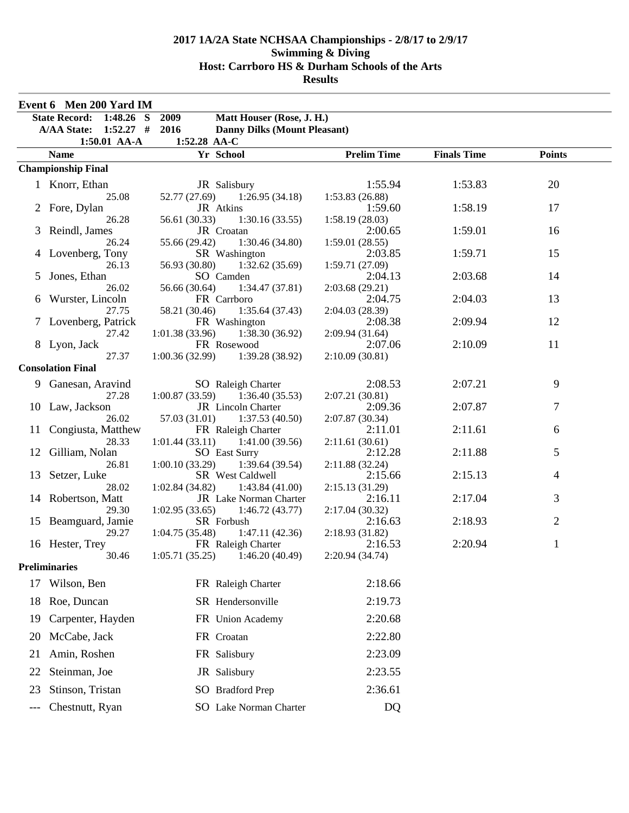|             | Event 6 Men 200 Yard IM           |                                                      |                            |                    |                |
|-------------|-----------------------------------|------------------------------------------------------|----------------------------|--------------------|----------------|
|             | State Record: 1:48.26 S           | 2009<br>Matt Houser (Rose, J. H.)                    |                            |                    |                |
|             | <b>A/AA State:</b><br>$1:52.27$ # | 2016<br><b>Danny Dilks (Mount Pleasant)</b>          |                            |                    |                |
|             | 1:50.01 AA-A                      | 1:52.28 AA-C                                         |                            |                    |                |
|             | <b>Name</b>                       | Yr School                                            | <b>Prelim Time</b>         | <b>Finals Time</b> | <b>Points</b>  |
|             | <b>Championship Final</b>         |                                                      |                            |                    |                |
|             | 1 Knorr, Ethan                    | JR Salisbury                                         | 1:55.94                    | 1:53.83            | 20             |
|             | 25.08                             | 52.77 (27.69)<br>1:26.95(34.18)                      | 1:53.83(26.88)             |                    |                |
|             | 2 Fore, Dylan                     | JR Atkins                                            | 1:59.60                    | 1:58.19            | 17             |
|             | 26.28                             | 56.61 (30.33)<br>1:30.16(33.55)                      | 1:58.19(28.03)             |                    |                |
| 3           | Reindl, James<br>26.24            | JR Croatan<br>1:30.46(34.80)<br>55.66 (29.42)        | 2:00.65<br>1:59.01(28.55)  | 1:59.01            | 16             |
|             | 4 Lovenberg, Tony                 | SR Washington                                        | 2:03.85                    | 1:59.71            | 15             |
|             | 26.13                             | 56.93 (30.80)<br>1:32.62(35.69)                      | 1:59.71 (27.09)            |                    |                |
| $5^{\circ}$ | Jones, Ethan                      | SO Camden                                            | 2:04.13                    | 2:03.68            | 14             |
|             | 26.02                             | 56.66 (30.64)<br>1:34.47(37.81)                      | 2:03.68(29.21)             |                    |                |
| 6           | Wurster, Lincoln                  | FR Carrboro                                          | 2:04.75                    | 2:04.03            | 13             |
|             | 27.75                             | 58.21 (30.46)<br>1:35.64(37.43)                      | 2:04.03(28.39)             |                    |                |
|             | 7 Lovenberg, Patrick              | FR Washington                                        | 2:08.38                    | 2:09.94            | 12             |
|             | 27.42<br>8 Lyon, Jack             | 1:01.38(33.96)<br>1:38.30(36.92)<br>FR Rosewood      | 2:09.94(31.64)<br>2:07.06  | 2:10.09            | 11             |
|             | 27.37                             | 1:00.36(32.99)<br>1:39.28(38.92)                     | 2:10.09(30.81)             |                    |                |
|             | <b>Consolation Final</b>          |                                                      |                            |                    |                |
|             | 9 Ganesan, Aravind                | SO Raleigh Charter                                   | 2:08.53                    | 2:07.21            | 9              |
|             | 27.28                             | 1:00.87(33.59)<br>1:36.40(35.53)                     | 2:07.21(30.81)             |                    |                |
|             | 10 Law, Jackson                   | JR Lincoln Charter                                   | 2:09.36                    | 2:07.87            | 7              |
|             | 26.02                             | 57.03 (31.01)<br>1:37.53(40.50)                      | 2:07.87 (30.34)            |                    |                |
| 11          | Congiusta, Matthew                | FR Raleigh Charter                                   | 2:11.01                    | 2:11.61            | 6              |
|             | 28.33                             | 1:01.44(33.11)<br>1:41.00 (39.56)                    | 2:11.61(30.61)             |                    |                |
| 12          | Gilliam, Nolan                    | <b>SO</b> East Surry                                 | 2:12.28                    | 2:11.88            | 5              |
| 13          | 26.81<br>Setzer, Luke             | 1:00.10(33.29)<br>1:39.64(39.54)<br>SR West Caldwell | 2:11.88(32.24)<br>2:15.66  | 2:15.13            | $\overline{4}$ |
|             | 28.02                             | 1:02.84(34.82)<br>1:43.84(41.00)                     | 2:15.13(31.29)             |                    |                |
|             | 14 Robertson, Matt                | JR Lake Norman Charter                               | 2:16.11                    | 2:17.04            | 3              |
|             | 29.30                             | 1:02.95(33.65)<br>1:46.72(43.77)                     | 2:17.04 (30.32)            |                    |                |
|             | 15 Beamguard, Jamie               | SR Forbush                                           | 2:16.63                    | 2:18.93            | $\overline{2}$ |
|             | 29.27                             | 1:04.75(35.48)<br>1:47.11(42.36)                     | 2:18.93(31.82)             |                    |                |
|             | 16 Hester, Trey<br>30.46          | FR Raleigh Charter                                   | 2:16.53<br>2:20.94 (34.74) | 2:20.94            | $\mathbf{1}$   |
|             | <b>Preliminaries</b>              | $1:05.71(35.25)$ $1:46.20(40.49)$                    |                            |                    |                |
|             |                                   |                                                      |                            |                    |                |
| 17          | Wilson, Ben                       | FR Raleigh Charter                                   | 2:18.66                    |                    |                |
| 18          | Roe, Duncan                       | SR Hendersonville                                    | 2:19.73                    |                    |                |
| 19          | Carpenter, Hayden                 | FR Union Academy                                     | 2:20.68                    |                    |                |
| 20          | McCabe, Jack                      | FR Croatan                                           | 2:22.80                    |                    |                |
| 21          | Amin, Roshen                      | FR Salisbury                                         | 2:23.09                    |                    |                |
| 22          | Steinman, Joe                     | JR Salisbury                                         | 2:23.55                    |                    |                |
| 23          | Stinson, Tristan                  | SO Bradford Prep                                     | 2:36.61                    |                    |                |
|             | Chestnutt, Ryan                   | SO Lake Norman Charter                               | DQ                         |                    |                |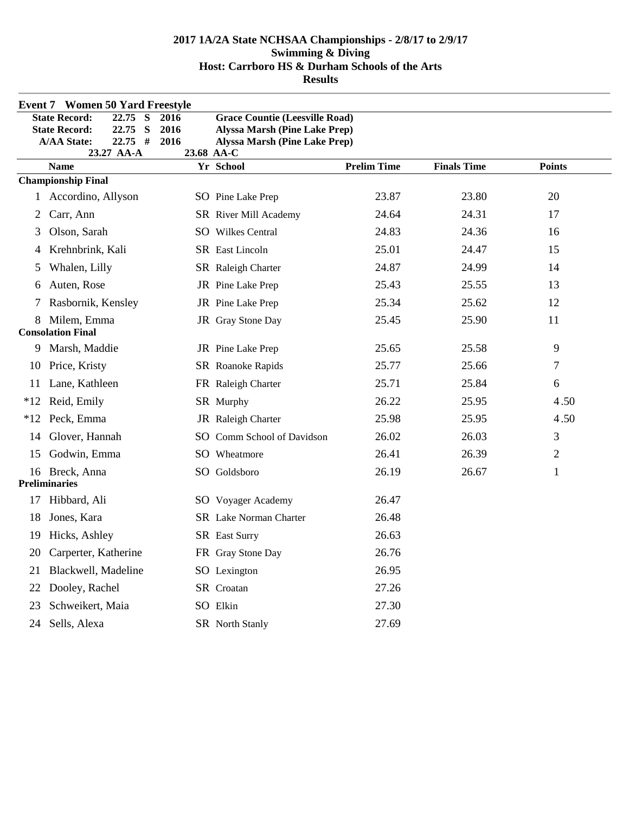|       | <b>Event 7 Women 50 Yard Freestyle</b>                             |              |                                                                              |                    |                    |                |  |
|-------|--------------------------------------------------------------------|--------------|------------------------------------------------------------------------------|--------------------|--------------------|----------------|--|
|       | <b>State Record:</b><br>22.75<br>S                                 | 2016         | <b>Grace Countie (Leesville Road)</b>                                        |                    |                    |                |  |
|       | 22.75 S<br><b>State Record:</b><br>$22.75$ #<br><b>A/AA State:</b> | 2016<br>2016 | <b>Alyssa Marsh (Pine Lake Prep)</b><br><b>Alyssa Marsh (Pine Lake Prep)</b> |                    |                    |                |  |
|       | 23.27 AA-A                                                         |              | 23.68 AA-C                                                                   |                    |                    |                |  |
|       | <b>Name</b>                                                        |              | Yr School                                                                    | <b>Prelim Time</b> | <b>Finals Time</b> | <b>Points</b>  |  |
|       | <b>Championship Final</b>                                          |              |                                                                              |                    |                    |                |  |
|       | 1 Accordino, Allyson                                               |              | SO Pine Lake Prep                                                            | 23.87              | 23.80              | 20             |  |
| 2     | Carr, Ann                                                          |              | SR River Mill Academy                                                        | 24.64              | 24.31              | 17             |  |
| 3     | Olson, Sarah                                                       |              | SO Wilkes Central                                                            | 24.83              | 24.36              | 16             |  |
| 4     | Krehnbrink, Kali                                                   |              | SR East Lincoln                                                              | 25.01              | 24.47              | 15             |  |
| 5     | Whalen, Lilly                                                      |              | SR Raleigh Charter                                                           | 24.87              | 24.99              | 14             |  |
| 6     | Auten, Rose                                                        |              | JR Pine Lake Prep                                                            | 25.43              | 25.55              | 13             |  |
| 7     | Rasbornik, Kensley                                                 |              | JR Pine Lake Prep                                                            | 25.34              | 25.62              | 12             |  |
| 8     | Milem, Emma<br><b>Consolation Final</b>                            |              | JR Gray Stone Day                                                            | 25.45              | 25.90              | 11             |  |
| 9     | Marsh, Maddie                                                      |              | JR Pine Lake Prep                                                            | 25.65              | 25.58              | 9              |  |
| 10    | Price, Kristy                                                      |              | SR Roanoke Rapids                                                            | 25.77              | 25.66              | 7              |  |
| 11    | Lane, Kathleen                                                     |              | FR Raleigh Charter                                                           | 25.71              | 25.84              | 6              |  |
| $*12$ | Reid, Emily                                                        |              | SR Murphy                                                                    | 26.22              | 25.95              | 4.50           |  |
| $*12$ | Peck, Emma                                                         |              | JR Raleigh Charter                                                           | 25.98              | 25.95              | 4.50           |  |
| 14    | Glover, Hannah                                                     |              | SO Comm School of Davidson                                                   | 26.02              | 26.03              | 3              |  |
| 15    | Godwin, Emma                                                       |              | SO Wheatmore                                                                 | 26.41              | 26.39              | $\overline{c}$ |  |
|       | 16 Breck, Anna<br><b>Preliminaries</b>                             |              | SO Goldsboro                                                                 | 26.19              | 26.67              | $\mathbf{1}$   |  |
| 17    | Hibbard, Ali                                                       |              | SO Voyager Academy                                                           | 26.47              |                    |                |  |
| 18    | Jones, Kara                                                        |              | SR Lake Norman Charter                                                       | 26.48              |                    |                |  |
| 19    | Hicks, Ashley                                                      |              | SR East Surry                                                                | 26.63              |                    |                |  |
| 20    | Carperter, Katherine                                               |              | FR Gray Stone Day                                                            | 26.76              |                    |                |  |
| 21    | Blackwell, Madeline                                                |              | SO Lexington                                                                 | 26.95              |                    |                |  |
| 22    | Dooley, Rachel                                                     |              | SR Croatan                                                                   | 27.26              |                    |                |  |
| 23    | Schweikert, Maia                                                   |              | SO Elkin                                                                     | 27.30              |                    |                |  |
| 24    | Sells, Alexa                                                       |              | SR North Stanly                                                              | 27.69              |                    |                |  |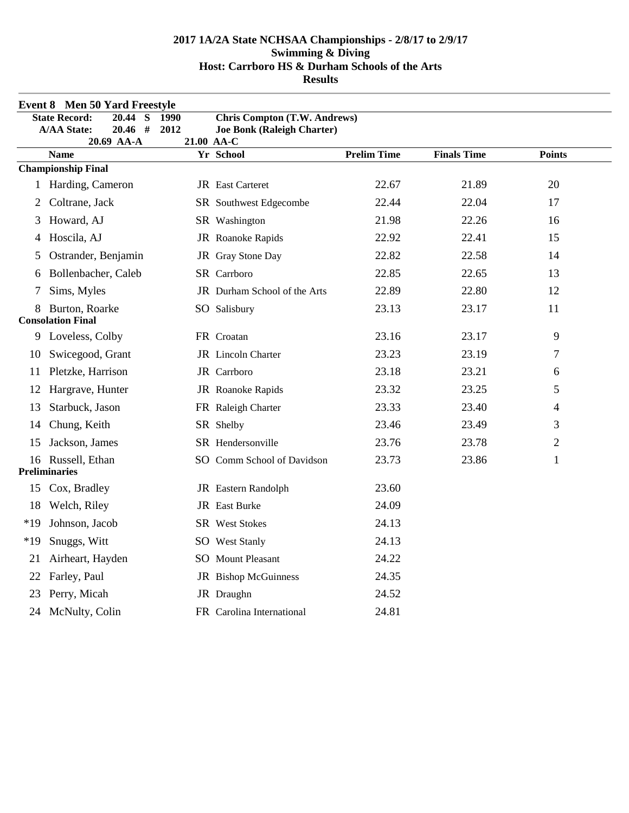|       | Event 8 Men 50 Yard Freestyle                                                        |              |                                                                                        |                    |                    |                |  |  |
|-------|--------------------------------------------------------------------------------------|--------------|----------------------------------------------------------------------------------------|--------------------|--------------------|----------------|--|--|
|       | <b>State Record:</b><br>20.44<br>S<br>#<br><b>A/AA State:</b><br>20.46<br>20.69 AA-A | 1990<br>2012 | <b>Chris Compton (T.W. Andrews)</b><br><b>Joe Bonk (Raleigh Charter)</b><br>21.00 AA-C |                    |                    |                |  |  |
|       | <b>Name</b>                                                                          |              | Yr School                                                                              | <b>Prelim Time</b> | <b>Finals Time</b> | <b>Points</b>  |  |  |
|       | <b>Championship Final</b>                                                            |              |                                                                                        |                    |                    |                |  |  |
|       | 1 Harding, Cameron                                                                   |              | JR East Carteret                                                                       | 22.67              | 21.89              | 20             |  |  |
| 2     | Coltrane, Jack                                                                       |              | SR Southwest Edgecombe                                                                 | 22.44              | 22.04              | 17             |  |  |
| 3     | Howard, AJ                                                                           |              | SR Washington                                                                          | 21.98              | 22.26              | 16             |  |  |
| 4     | Hoscila, AJ                                                                          |              | JR Roanoke Rapids                                                                      | 22.92              | 22.41              | 15             |  |  |
| 5     | Ostrander, Benjamin                                                                  |              | JR Gray Stone Day                                                                      | 22.82              | 22.58              | 14             |  |  |
| 6     | Bollenbacher, Caleb                                                                  |              | SR Carrboro                                                                            | 22.85              | 22.65              | 13             |  |  |
| 7     | Sims, Myles                                                                          |              | <b>JR</b> Durham School of the Arts                                                    | 22.89              | 22.80              | 12             |  |  |
| 8     | Burton, Roarke<br><b>Consolation Final</b>                                           |              | SO Salisbury                                                                           | 23.13              | 23.17              | 11             |  |  |
| 9.    | Loveless, Colby                                                                      |              | FR Croatan                                                                             | 23.16              | 23.17              | 9              |  |  |
| 10    | Swicegood, Grant                                                                     |              | JR Lincoln Charter                                                                     | 23.23              | 23.19              | 7              |  |  |
| 11    | Pletzke, Harrison                                                                    |              | JR Carrboro                                                                            | 23.18              | 23.21              | 6              |  |  |
| 12    | Hargrave, Hunter                                                                     |              | JR Roanoke Rapids                                                                      | 23.32              | 23.25              | 5              |  |  |
| 13    | Starbuck, Jason                                                                      |              | FR Raleigh Charter                                                                     | 23.33              | 23.40              | 4              |  |  |
| 14    | Chung, Keith                                                                         |              | SR Shelby                                                                              | 23.46              | 23.49              | 3              |  |  |
| 15    | Jackson, James                                                                       |              | SR Hendersonville                                                                      | 23.76              | 23.78              | $\overline{2}$ |  |  |
|       | 16 Russell, Ethan<br><b>Preliminaries</b>                                            |              | SO Comm School of Davidson                                                             | 23.73              | 23.86              | 1              |  |  |
| 15    | Cox, Bradley                                                                         |              | JR Eastern Randolph                                                                    | 23.60              |                    |                |  |  |
| 18    | Welch, Riley                                                                         |              | JR East Burke                                                                          | 24.09              |                    |                |  |  |
| $*19$ | Johnson, Jacob                                                                       |              | <b>SR</b> West Stokes                                                                  | 24.13              |                    |                |  |  |
| $*19$ | Snuggs, Witt                                                                         |              | SO West Stanly                                                                         | 24.13              |                    |                |  |  |
| 21    | Airheart, Hayden                                                                     |              | <b>SO</b> Mount Pleasant                                                               | 24.22              |                    |                |  |  |
| 22    | Farley, Paul                                                                         |              | JR Bishop McGuinness                                                                   | 24.35              |                    |                |  |  |
| 23    | Perry, Micah                                                                         |              | JR Draughn                                                                             | 24.52              |                    |                |  |  |
|       | 24 McNulty, Colin                                                                    |              | FR Carolina International                                                              | 24.81              |                    |                |  |  |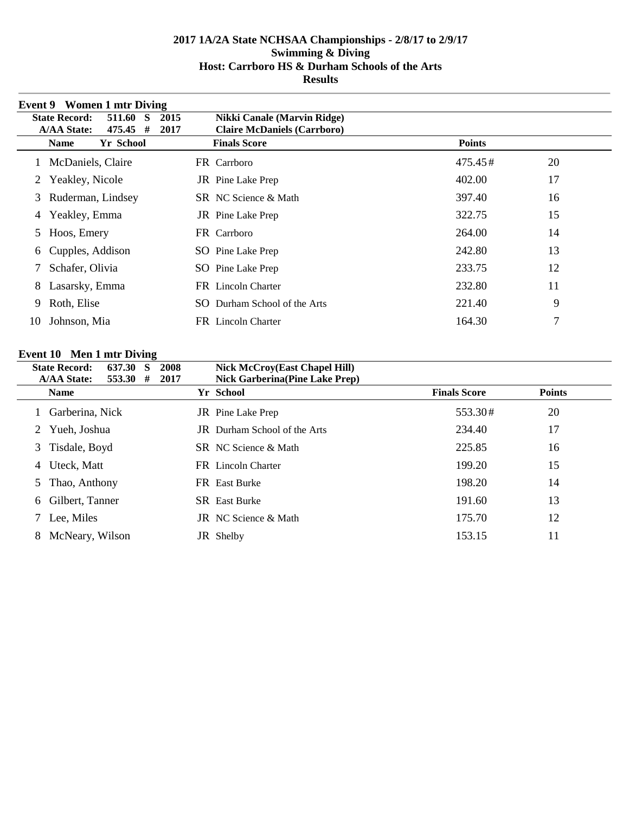|    | Event 9 Women 1 mtr Diving                                                   |                                                           |               |    |
|----|------------------------------------------------------------------------------|-----------------------------------------------------------|---------------|----|
|    | <b>State Record:</b><br>511.60<br>2015<br>-S                                 | <b>Nikki Canale (Marvin Ridge)</b>                        |               |    |
|    | <b>A/AA State:</b><br>475.45<br>#<br>2017<br><b>Yr School</b><br><b>Name</b> | <b>Claire McDaniels (Carrboro)</b><br><b>Finals Score</b> | <b>Points</b> |    |
|    |                                                                              |                                                           |               |    |
|    | 1 McDaniels, Claire                                                          | FR Carrboro                                               | 475.45#       | 20 |
| 2  | Yeakley, Nicole                                                              | <b>JR</b> Pine Lake Prep                                  | 402.00        | 17 |
| 3  | Ruderman, Lindsey                                                            | SR NC Science & Math                                      | 397.40        | 16 |
| 4  | Yeakley, Emma                                                                | <b>JR</b> Pine Lake Prep                                  | 322.75        | 15 |
| 5  | Hoos, Emery                                                                  | FR Carrboro                                               | 264.00        | 14 |
| 6  | Cupples, Addison                                                             | SO Pine Lake Prep                                         | 242.80        | 13 |
|    | Schafer, Olivia                                                              | SO Pine Lake Prep                                         | 233.75        | 12 |
| 8  | Lasarsky, Emma                                                               | FR Lincoln Charter                                        | 232.80        | 11 |
| 9  | Roth, Elise                                                                  | Durham School of the Arts<br>SO.                          | 221.40        | 9  |
| 10 | Johnson, Mia                                                                 | <b>FR</b> Lincoln Charter                                 | 164.30        | 7  |

# **Event 10 Men 1 mtr Diving**

|   | <b>State Record:</b><br>637.30<br><b>A/AA State:</b><br>553.30# | 2008<br>S<br>2017 | <b>Nick McCroy(East Chapel Hill)</b><br><b>Nick Garberina (Pine Lake Prep)</b> |                     |               |
|---|-----------------------------------------------------------------|-------------------|--------------------------------------------------------------------------------|---------------------|---------------|
|   | <b>Name</b>                                                     |                   | Yr School                                                                      | <b>Finals Score</b> | <b>Points</b> |
|   | Garberina, Nick                                                 |                   | <b>JR</b> Pine Lake Prep                                                       | 553.30#             | 20            |
| 2 | Yueh, Joshua                                                    |                   | <b>JR</b> Durham School of the Arts                                            | 234.40              | 17            |
|   | 3 Tisdale, Boyd                                                 |                   | <b>SR</b> NC Science & Math                                                    | 225.85              | 16            |
| 4 | Uteck, Matt                                                     |                   | FR Lincoln Charter                                                             | 199.20              | 15            |
| 5 | Thao, Anthony                                                   |                   | <b>FR</b> East Burke                                                           | 198.20              | 14            |
| 6 | Gilbert, Tanner                                                 |                   | <b>SR</b> East Burke                                                           | 191.60              | 13            |
|   | Lee, Miles                                                      |                   | <b>JR</b> NC Science & Math                                                    | 175.70              | 12            |
| 8 | McNeary, Wilson                                                 |                   | JR Shelby                                                                      | 153.15              | 11            |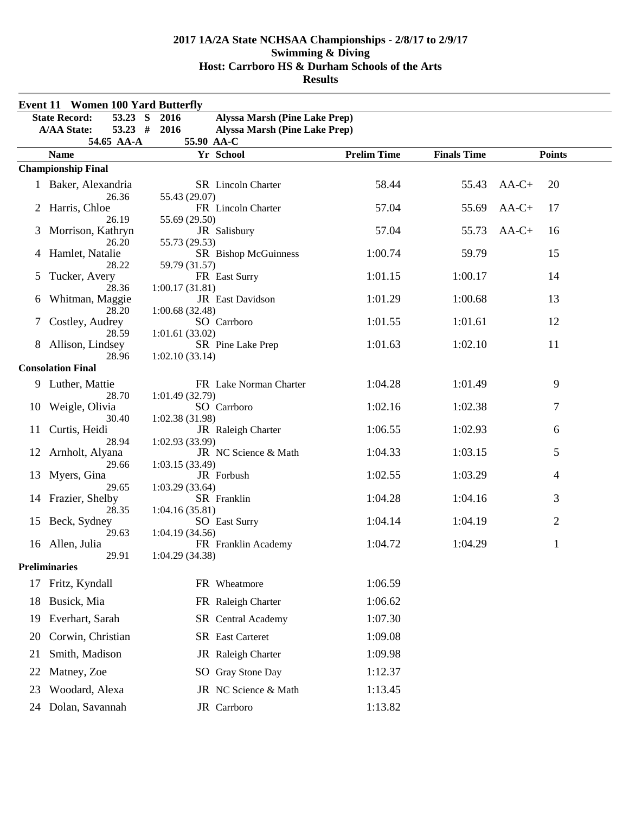|    | <b>Event 11 Women 100 Yard Butterfly</b>      |                                                            |                    |                    |               |  |
|----|-----------------------------------------------|------------------------------------------------------------|--------------------|--------------------|---------------|--|
|    | 53.23 S<br><b>State Record:</b>               | <b>Alyssa Marsh (Pine Lake Prep)</b><br>2016               |                    |                    |               |  |
|    | $53.23$ #<br><b>A/AA State:</b><br>54.65 AA-A | 2016<br><b>Alyssa Marsh (Pine Lake Prep)</b><br>55.90 AA-C |                    |                    |               |  |
|    | <b>Name</b>                                   | Yr School                                                  | <b>Prelim Time</b> | <b>Finals Time</b> | <b>Points</b> |  |
|    | <b>Championship Final</b>                     |                                                            |                    |                    |               |  |
|    | 1 Baker, Alexandria<br>26.36                  | <b>SR</b> Lincoln Charter                                  | 58.44              | 55.43              | $AA-C+$<br>20 |  |
| 2  | Harris, Chloe<br>26.19                        | 55.43 (29.07)<br>FR Lincoln Charter                        | 57.04              | 55.69              | $AA-C+$<br>17 |  |
| 3  | Morrison, Kathryn<br>26.20                    | 55.69 (29.50)<br>JR Salisbury<br>55.73 (29.53)             | 57.04              | 55.73              | $AA-C+$<br>16 |  |
| 4  | Hamlet, Natalie<br>28.22                      | SR Bishop McGuinness<br>59.79 (31.57)                      | 1:00.74            | 59.79              | 15            |  |
| 5  | Tucker, Avery<br>28.36                        | FR East Surry<br>1:00.17(31.81)                            | 1:01.15            | 1:00.17            | 14            |  |
| 6  | Whitman, Maggie<br>28.20                      | JR East Davidson<br>1:00.68(32.48)                         | 1:01.29            | 1:00.68            | 13            |  |
| 7  | Costley, Audrey<br>28.59                      | SO Carrboro<br>1:01.61(33.02)                              | 1:01.55            | 1:01.61            | 12            |  |
| 8  | Allison, Lindsey<br>28.96                     | SR Pine Lake Prep<br>1:02.10(33.14)                        | 1:01.63            | 1:02.10            | 11            |  |
|    | <b>Consolation Final</b>                      |                                                            |                    |                    |               |  |
| 9  | Luther, Mattie                                | FR Lake Norman Charter                                     | 1:04.28            | 1:01.49            | 9             |  |
| 10 | 28.70<br>Weigle, Olivia                       | 1:01.49(32.79)<br>SO Carrboro                              | 1:02.16            | 1:02.38            | 7             |  |
| 11 | 30.40<br>Curtis, Heidi<br>28.94               | 1:02.38 (31.98)<br>JR Raleigh Charter<br>1:02.93 (33.99)   | 1:06.55            | 1:02.93            | 6             |  |
| 12 | Arnholt, Alyana<br>29.66                      | JR NC Science & Math                                       | 1:04.33            | 1:03.15            | 5             |  |
| 13 | Myers, Gina<br>29.65                          | 1:03.15(33.49)<br>JR Forbush<br>1:03.29(33.64)             | 1:02.55            | 1:03.29            | 4             |  |
| 14 | Frazier, Shelby                               | SR Franklin                                                | 1:04.28            | 1:04.16            | 3             |  |
| 15 | 28.35<br>Beck, Sydney                         | 1:04.16(35.81)<br><b>SO</b> East Surry<br>1:04.19(34.56)   | 1:04.14            | 1:04.19            | 2             |  |
| 16 | 29.63<br>Allen, Julia                         | FR Franklin Academy                                        | 1:04.72            | 1:04.29            | 1             |  |
|    | 29.91<br><b>Preliminaries</b>                 | 1:04.29 (34.38)                                            |                    |                    |               |  |
| 17 | Fritz, Kyndall                                | FR Wheatmore                                               | 1:06.59            |                    |               |  |
| 18 | Busick, Mia                                   | FR Raleigh Charter                                         | 1:06.62            |                    |               |  |
| 19 | Everhart, Sarah                               | SR Central Academy                                         | 1:07.30            |                    |               |  |
| 20 | Corwin, Christian                             | <b>SR</b> East Carteret                                    | 1:09.08            |                    |               |  |
| 21 | Smith, Madison                                | JR Raleigh Charter                                         | 1:09.98            |                    |               |  |
| 22 | Matney, Zoe                                   | SO Gray Stone Day                                          | 1:12.37            |                    |               |  |
| 23 | Woodard, Alexa                                | JR NC Science & Math                                       | 1:13.45            |                    |               |  |
|    | 24 Dolan, Savannah                            | JR Carrboro                                                | 1:13.82            |                    |               |  |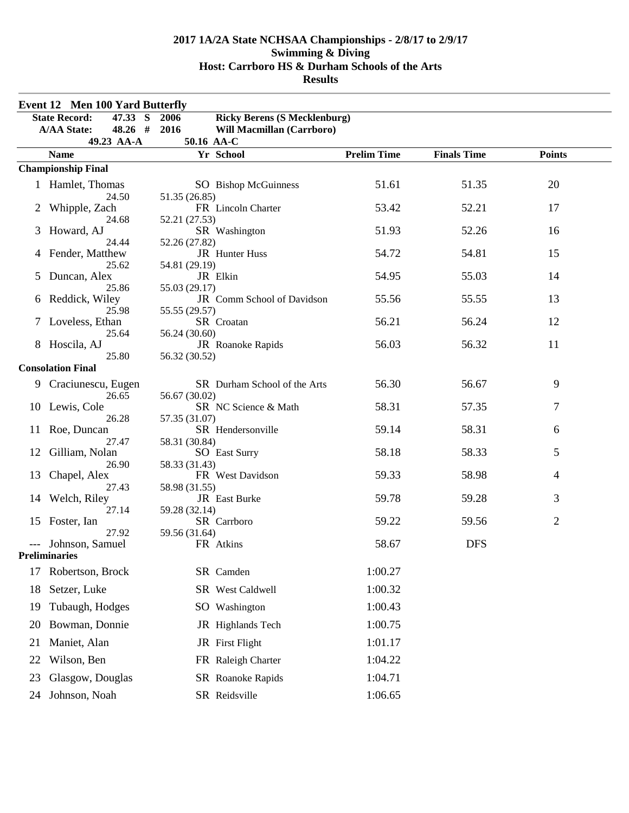| <b>Event 12 Men 100 Yard Butterfly</b> |                                             |                                               |                    |                    |                |
|----------------------------------------|---------------------------------------------|-----------------------------------------------|--------------------|--------------------|----------------|
|                                        | <b>State Record:</b><br>47.33<br>S          | 2006<br><b>Ricky Berens (S Mecklenburg)</b>   |                    |                    |                |
|                                        | <b>A/AA State:</b><br>$48.26$ #             | 2016<br>Will Macmillan (Carrboro)             |                    |                    |                |
|                                        | 49.23 AA-A                                  | 50.16 AA-C                                    |                    |                    |                |
|                                        | <b>Name</b>                                 | Yr School                                     | <b>Prelim Time</b> | <b>Finals Time</b> | <b>Points</b>  |
|                                        | <b>Championship Final</b>                   |                                               |                    |                    |                |
|                                        | 1 Hamlet, Thomas                            | SO Bishop McGuinness                          | 51.61              | 51.35              | 20             |
|                                        | 24.50<br>Whipple, Zach                      | 51.35 (26.85)<br>FR Lincoln Charter           | 53.42              | 52.21              | 17             |
|                                        | 24.68<br>Howard, AJ                         | 52.21 (27.53)<br>SR Washington                | 51.93              | 52.26              | 16             |
| 4                                      | 24.44<br>Fender, Matthew                    | 52.26 (27.82)<br>JR Hunter Huss               | 54.72              | 54.81              | 15             |
| 5                                      | 25.62<br>Duncan, Alex                       | 54.81 (29.19)<br>JR Elkin                     | 54.95              | 55.03              | 14             |
| 6                                      | 25.86<br>Reddick, Wiley                     | 55.03 (29.17)<br>JR Comm School of Davidson   | 55.56              | 55.55              | 13             |
|                                        | 25.98<br>Loveless, Ethan                    | 55.55 (29.57)<br>SR Croatan                   | 56.21              | 56.24              | 12             |
| 8                                      | 25.64<br>Hoscila, AJ                        | 56.24 (30.60)<br>JR Roanoke Rapids            | 56.03              | 56.32              | 11             |
|                                        | 25.80<br><b>Consolation Final</b>           | 56.32 (30.52)                                 |                    |                    |                |
| 9                                      | Craciunescu, Eugen<br>26.65                 | SR Durham School of the Arts<br>56.67 (30.02) | 56.30              | 56.67              | 9              |
| 10                                     | Lewis, Cole<br>26.28                        | SR NC Science & Math<br>57.35 (31.07)         | 58.31              | 57.35              | 7              |
| 11                                     | Roe, Duncan<br>27.47                        | SR Hendersonville<br>58.31 (30.84)            | 59.14              | 58.31              | 6              |
| 12                                     | Gilliam, Nolan<br>26.90                     | <b>SO</b> East Surry<br>58.33 (31.43)         | 58.18              | 58.33              | 5              |
| 13                                     | Chapel, Alex<br>27.43                       | FR West Davidson<br>58.98 (31.55)             | 59.33              | 58.98              | 4              |
| 14                                     | Welch, Riley<br>27.14                       | JR East Burke<br>59.28 (32.14)                | 59.78              | 59.28              | 3              |
| 15                                     | Foster, Ian<br>27.92                        | SR Carrboro<br>59.56 (31.64)                  | 59.22              | 59.56              | $\overline{2}$ |
|                                        | --- Johnson, Samuel<br><b>Preliminaries</b> | FR Atkins                                     | 58.67              | <b>DFS</b>         |                |
| 17                                     | Robertson, Brock                            | SR Camden                                     | 1:00.27            |                    |                |
| 18                                     | Setzer, Luke                                | SR West Caldwell                              | 1:00.32            |                    |                |
| 19                                     | Tubaugh, Hodges                             | SO Washington                                 | 1:00.43            |                    |                |
| 20                                     | Bowman, Donnie                              | JR Highlands Tech                             | 1:00.75            |                    |                |
| 21                                     | Maniet, Alan                                | JR First Flight                               | 1:01.17            |                    |                |
| 22                                     | Wilson, Ben                                 | FR Raleigh Charter                            | 1:04.22            |                    |                |
| 23                                     | Glasgow, Douglas                            | SR Roanoke Rapids                             | 1:04.71            |                    |                |
|                                        | 24 Johnson, Noah                            | SR Reidsville                                 | 1:06.65            |                    |                |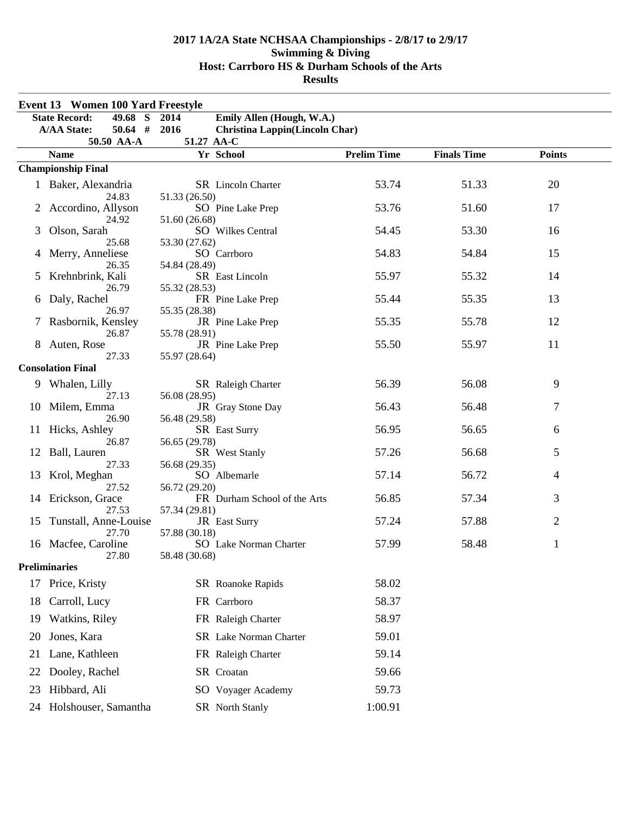| Event 13 Women 100 Yard Freestyle |                                          |                                               |                    |                    |                |  |
|-----------------------------------|------------------------------------------|-----------------------------------------------|--------------------|--------------------|----------------|--|
|                                   | <b>State Record:</b><br>49.68<br>S       | Emily Allen (Hough, W.A.)<br>2014             |                    |                    |                |  |
|                                   | $50.64$ #<br><b>A/AA State:</b>          | 2016<br><b>Christina Lappin(Lincoln Char)</b> |                    |                    |                |  |
|                                   | 50.50 AA-A                               | 51.27 AA-C                                    | <b>Prelim Time</b> |                    |                |  |
|                                   | <b>Name</b><br><b>Championship Final</b> | Yr School                                     |                    | <b>Finals Time</b> | <b>Points</b>  |  |
|                                   |                                          |                                               |                    |                    |                |  |
|                                   | 1 Baker, Alexandria<br>24.83             | SR Lincoln Charter                            | 53.74              | 51.33              | 20             |  |
|                                   | 2 Accordino, Allyson                     | 51.33 (26.50)<br>SO Pine Lake Prep            | 53.76              | 51.60              | 17             |  |
|                                   | 24.92                                    | 51.60 (26.68)                                 |                    |                    |                |  |
| 3                                 | Olson, Sarah                             | SO Wilkes Central                             | 54.45              | 53.30              | 16             |  |
|                                   | 25.68                                    | 53.30 (27.62)                                 | 54.83              | 54.84              |                |  |
| 4                                 | Merry, Anneliese<br>26.35                | SO Carrboro<br>54.84 (28.49)                  |                    |                    | 15             |  |
| 5                                 | Krehnbrink, Kali                         | SR East Lincoln                               | 55.97              | 55.32              | 14             |  |
|                                   | 26.79                                    | 55.32 (28.53)                                 |                    |                    |                |  |
| 6                                 | Daly, Rachel                             | FR Pine Lake Prep                             | 55.44              | 55.35              | 13             |  |
|                                   | 26.97<br>Rasbornik, Kensley              | 55.35 (28.38)<br>JR Pine Lake Prep            | 55.35              | 55.78              | 12             |  |
|                                   | 26.87                                    | 55.78 (28.91)                                 |                    |                    |                |  |
| 8                                 | Auten, Rose                              | JR Pine Lake Prep                             | 55.50              | 55.97              | 11             |  |
|                                   | 27.33                                    | 55.97 (28.64)                                 |                    |                    |                |  |
|                                   | <b>Consolation Final</b>                 |                                               |                    |                    |                |  |
|                                   | 9 Whalen, Lilly                          | SR Raleigh Charter                            | 56.39              | 56.08              | 9              |  |
| 10                                | 27.13<br>Milem, Emma                     | 56.08 (28.95)<br>JR Gray Stone Day            | 56.43              | 56.48              | 7              |  |
|                                   | 26.90                                    | 56.48 (29.58)                                 |                    |                    |                |  |
| 11                                | Hicks, Ashley                            | SR East Surry                                 | 56.95              | 56.65              | 6              |  |
|                                   | 26.87                                    | 56.65 (29.78)                                 |                    |                    |                |  |
| 12                                | Ball, Lauren<br>27.33                    | SR West Stanly<br>56.68 (29.35)               | 57.26              | 56.68              | 5              |  |
| 13                                | Krol, Meghan                             | SO Albemarle                                  | 57.14              | 56.72              | 4              |  |
|                                   | 27.52                                    | 56.72 (29.20)                                 |                    |                    |                |  |
| 14                                | Erickson, Grace                          | FR Durham School of the Arts                  | 56.85              | 57.34              | 3              |  |
| 15                                | 27.53<br>Tunstall, Anne-Louise           | 57.34 (29.81)<br>JR East Surry                | 57.24              | 57.88              | $\overline{2}$ |  |
|                                   | 27.70                                    | 57.88 (30.18)                                 |                    |                    |                |  |
| 16                                | Macfee, Caroline                         | SO Lake Norman Charter                        | 57.99              | 58.48              | $\mathbf{1}$   |  |
|                                   | 27.80                                    | 58.48 (30.68)                                 |                    |                    |                |  |
|                                   | <b>Preliminaries</b>                     |                                               |                    |                    |                |  |
| 17                                | Price, Kristy                            | SR Roanoke Rapids                             | 58.02              |                    |                |  |
| 18                                | Carroll, Lucy                            | FR Carrboro                                   | 58.37              |                    |                |  |
| 19                                | Watkins, Riley                           | FR Raleigh Charter                            | 58.97              |                    |                |  |
| 20                                | Jones, Kara                              | SR Lake Norman Charter                        | 59.01              |                    |                |  |
| 21                                | Lane, Kathleen                           | FR Raleigh Charter                            | 59.14              |                    |                |  |
| 22                                | Dooley, Rachel                           | SR Croatan                                    | 59.66              |                    |                |  |
| 23                                | Hibbard, Ali                             | SO Voyager Academy                            | 59.73              |                    |                |  |
| 24                                | Holshouser, Samantha                     | SR North Stanly                               | 1:00.91            |                    |                |  |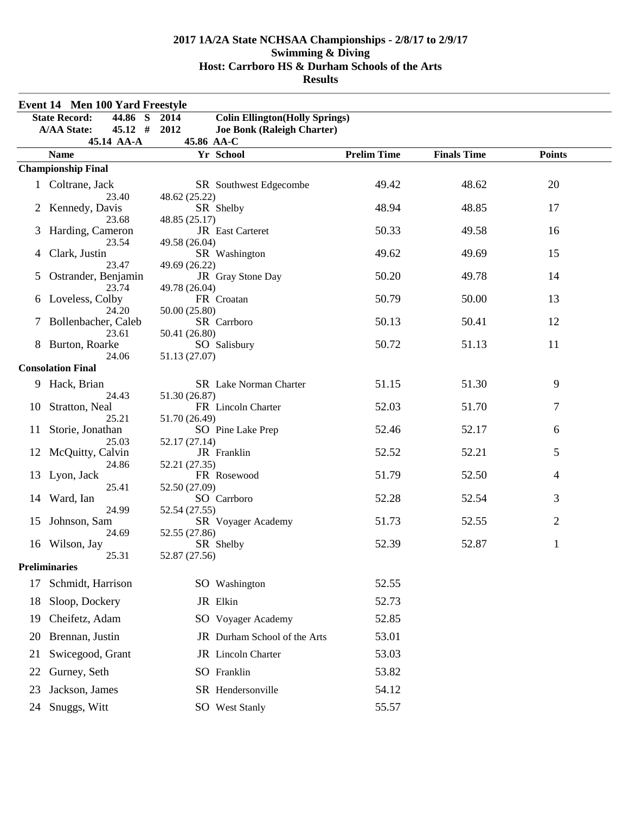| <b>Event 14 Men 100 Yard Freestyle</b> |                                    |                                                 |                    |                    |               |  |
|----------------------------------------|------------------------------------|-------------------------------------------------|--------------------|--------------------|---------------|--|
|                                        | <b>State Record:</b><br>44.86<br>S | 2014<br><b>Colin Ellington</b> (Holly Springs)  |                    |                    |               |  |
|                                        | $45.12$ #<br><b>A/AA State:</b>    | 2012<br>Joe Bonk (Raleigh Charter)              |                    |                    |               |  |
|                                        | 45.14 AA-A                         | 45.86 AA-C                                      |                    |                    |               |  |
|                                        | <b>Name</b>                        | Yr School                                       | <b>Prelim Time</b> | <b>Finals Time</b> | <b>Points</b> |  |
|                                        | <b>Championship Final</b>          |                                                 |                    |                    |               |  |
|                                        | 1 Coltrane, Jack<br>23.40          | SR Southwest Edgecombe<br>48.62 (25.22)         | 49.42              | 48.62              | 20            |  |
|                                        | Kennedy, Davis<br>23.68            | SR Shelby<br>48.85 (25.17)                      | 48.94              | 48.85              | 17            |  |
|                                        | Harding, Cameron                   | JR East Carteret                                | 50.33              | 49.58              | 16            |  |
| 4                                      | 23.54<br>Clark, Justin<br>23.47    | 49.58 (26.04)<br>SR Washington<br>49.69 (26.22) | 49.62              | 49.69              | 15            |  |
| 5                                      | Ostrander, Benjamin<br>23.74       | JR Gray Stone Day<br>49.78 (26.04)              | 50.20              | 49.78              | 14            |  |
| 6                                      | Loveless, Colby                    | FR Croatan                                      | 50.79              | 50.00              | 13            |  |
|                                        | 24.20<br>Bollenbacher, Caleb       | 50.00 (25.80)<br>SR Carrboro                    | 50.13              | 50.41              | 12            |  |
|                                        | 23.61<br>Burton, Roarke<br>24.06   | 50.41 (26.80)<br>SO Salisbury<br>51.13 (27.07)  | 50.72              | 51.13              | 11            |  |
|                                        | <b>Consolation Final</b>           |                                                 |                    |                    |               |  |
| 9                                      | Hack, Brian                        | SR Lake Norman Charter                          | 51.15              | 51.30              | 9             |  |
| 10                                     | 24.43<br>Stratton, Neal            | 51.30 (26.87)<br>FR Lincoln Charter             | 52.03              | 51.70              | 7             |  |
| 11                                     | 25.21<br>Storie, Jonathan          | 51.70 (26.49)<br>SO Pine Lake Prep              | 52.46              | 52.17              | 6             |  |
| 12                                     | 25.03<br>McQuitty, Calvin          | 52.17 (27.14)<br>JR Franklin                    | 52.52              | 52.21              | 5             |  |
| 13                                     | 24.86<br>Lyon, Jack                | 52.21 (27.35)<br>FR Rosewood                    | 51.79              | 52.50              | 4             |  |
| 14                                     | 25.41<br>Ward, Ian                 | 52.50 (27.09)<br>SO Carrboro                    | 52.28              | 52.54              | 3             |  |
| 15                                     | 24.99<br>Johnson, Sam              | 52.54 (27.55)<br>SR Voyager Academy             | 51.73              | 52.55              | 2             |  |
|                                        | 24.69<br>16 Wilson, Jay            | 52.55 (27.86)<br>SR Shelby                      | 52.39              | 52.87              | $\mathbf{1}$  |  |
|                                        | 25.31<br><b>Preliminaries</b>      | 52.87 (27.56)                                   |                    |                    |               |  |
|                                        |                                    |                                                 |                    |                    |               |  |
| 17                                     | Schmidt, Harrison                  | SO Washington                                   | 52.55              |                    |               |  |
| 18                                     | Sloop, Dockery                     | JR Elkin                                        | 52.73              |                    |               |  |
| 19                                     | Cheifetz, Adam                     | SO Voyager Academy                              | 52.85              |                    |               |  |
| 20                                     | Brennan, Justin                    | JR Durham School of the Arts                    | 53.01              |                    |               |  |
| 21                                     | Swicegood, Grant                   | JR Lincoln Charter                              | 53.03              |                    |               |  |
| 22                                     | Gurney, Seth                       | SO Franklin                                     | 53.82              |                    |               |  |
| 23                                     | Jackson, James                     | SR Hendersonville                               | 54.12              |                    |               |  |
| 24                                     | Snuggs, Witt                       | SO West Stanly                                  | 55.57              |                    |               |  |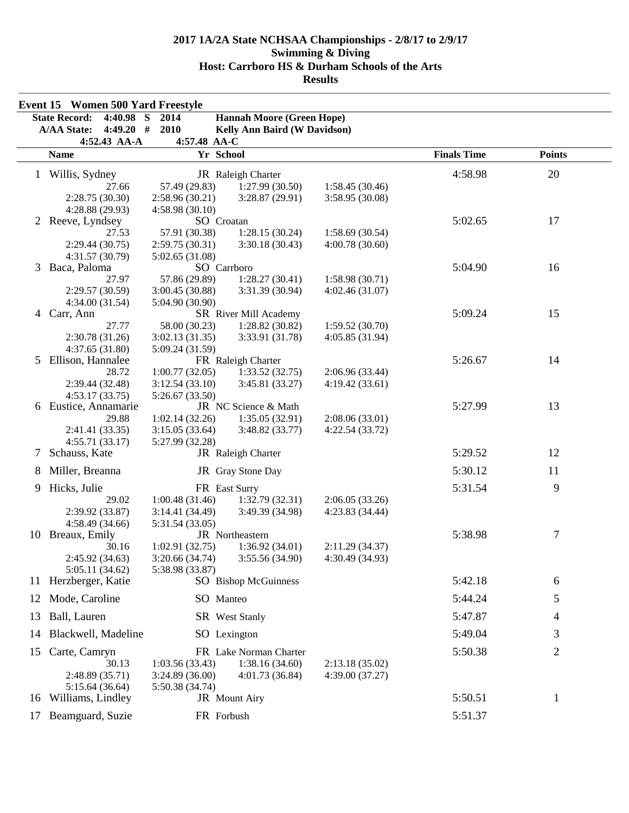|    | <b>Event 15 Women 500 Yard Freestyle</b>          |                               |                                     |                 |                    |               |  |
|----|---------------------------------------------------|-------------------------------|-------------------------------------|-----------------|--------------------|---------------|--|
|    | <b>State Record:</b><br>4:40.98 $\overline{S}$    | 2014                          | <b>Hannah Moore (Green Hope)</b>    |                 |                    |               |  |
|    | $4:49.20$ #<br><b>A/AA State:</b><br>4:52.43 AA-A | 2010<br>4:57.48 AA-C          | <b>Kelly Ann Baird (W Davidson)</b> |                 |                    |               |  |
|    | <b>Name</b>                                       | Yr School                     |                                     |                 | <b>Finals Time</b> | <b>Points</b> |  |
|    | 1 Willis, Sydney                                  |                               | JR Raleigh Charter                  |                 | 4:58.98            | 20            |  |
|    | 27.66                                             | 57.49 (29.83)                 | 1:27.99(30.50)                      | 1:58.45(30.46)  |                    |               |  |
|    | 2:28.75(30.30)                                    | 2:58.96(30.21)                | 3:28.87(29.91)                      | 3:58.95 (30.08) |                    |               |  |
|    | 4:28.88 (29.93)                                   | 4:58.98(30.10)                |                                     |                 |                    |               |  |
|    | 2 Reeve, Lyndsey                                  | SO Croatan                    |                                     |                 | 5:02.65            | 17            |  |
|    | 27.53                                             | 57.91 (30.38)                 | 1:28.15(30.24)                      | 1:58.69(30.54)  |                    |               |  |
|    | 2:29.44 (30.75)                                   | 2:59.75(30.31)                | 3:30.18(30.43)                      | 4:00.78(30.60)  |                    |               |  |
| 3  | 4:31.57 (30.79)<br>Baca, Paloma                   | 5:02.65(31.08)<br>SO Carrboro |                                     |                 | 5:04.90            | 16            |  |
|    | 27.97                                             | 57.86 (29.89)                 | 1:28.27(30.41)                      | 1:58.98(30.71)  |                    |               |  |
|    | 2:29.57(30.59)                                    | 3:00.45(30.88)                | 3:31.39 (30.94)                     | 4:02.46(31.07)  |                    |               |  |
|    | 4:34.00(31.54)                                    | 5:04.90 (30.90)               |                                     |                 |                    |               |  |
| 4  | Carr, Ann                                         |                               | SR River Mill Academy               |                 | 5:09.24            | 15            |  |
|    | 27.77                                             | 58.00 (30.23)                 | 1:28.82(30.82)                      | 1:59.52(30.70)  |                    |               |  |
|    | 2:30.78(31.26)                                    | 3:02.13(31.35)                | 3:33.91 (31.78)                     | 4:05.85 (31.94) |                    |               |  |
| 5  | 4:37.65(31.80)<br>Ellison, Hannalee               | 5:09.24 (31.59)               | FR Raleigh Charter                  |                 | 5:26.67            | 14            |  |
|    | 28.72                                             | 1:00.77(32.05)                | 1:33.52(32.75)                      | 2:06.96(33.44)  |                    |               |  |
|    | 2:39.44 (32.48)                                   | 3:12.54(33.10)                | 3:45.81 (33.27)                     | 4:19.42(33.61)  |                    |               |  |
|    | 4:53.17(33.75)                                    | 5:26.67(33.50)                |                                     |                 |                    |               |  |
| 6  | Eustice, Annamarie                                |                               | JR NC Science & Math                |                 | 5:27.99            | 13            |  |
|    | 29.88                                             | 1:02.14(32.26)                | 1:35.05(32.91)                      | 2:08.06(33.01)  |                    |               |  |
|    | 2:41.41 (33.35)                                   | 3:15.05(33.64)                | 3:48.82 (33.77)                     | 4:22.54(33.72)  |                    |               |  |
|    | 4:55.71(33.17)                                    | 5:27.99 (32.28)               |                                     |                 |                    |               |  |
| 7  | Schauss, Kate                                     |                               | JR Raleigh Charter                  |                 | 5:29.52            | 12            |  |
| 8  | Miller, Breanna                                   |                               | JR Gray Stone Day                   |                 | 5:30.12            | 11            |  |
| 9  | Hicks, Julie                                      | FR East Surry                 |                                     |                 | 5:31.54            | 9             |  |
|    | 29.02                                             | 1:00.48(31.46)                | 1:32.79(32.31)                      | 2:06.05(33.26)  |                    |               |  |
|    | 2:39.92 (33.87)<br>4:58.49(34.66)                 | 3:14.41(34.49)                | 3:49.39 (34.98)                     | 4:23.83(34.44)  |                    |               |  |
|    | 10 Breaux, Emily                                  | 5:31.54 (33.05)               | JR Northeastern                     |                 | 5:38.98            | 7             |  |
|    | 30.16                                             | 1:02.91(32.75)                | 1:36.92(34.01)                      | 2:11.29(34.37)  |                    |               |  |
|    | 2:45.92 (34.63)                                   | 3:20.66 (34.74)               | 3:55.56(34.90)                      | 4:30.49 (34.93) |                    |               |  |
|    | 5:05.11(34.62)                                    | 5:38.98 (33.87)               |                                     |                 |                    |               |  |
| 11 | Herzberger, Katie                                 |                               | SO Bishop McGuinness                |                 | 5:42.18            | 6             |  |
| 12 | Mode, Caroline                                    | SO Manteo                     |                                     |                 | 5:44.24            | 5             |  |
| 13 | Ball, Lauren                                      |                               | <b>SR</b> West Stanly               |                 | 5:47.87            | 4             |  |
| 14 | Blackwell, Madeline                               | SO Lexington                  |                                     |                 | 5:49.04            | 3             |  |
| 15 | Carte, Camryn                                     |                               | FR Lake Norman Charter              |                 | 5:50.38            | 2             |  |
|    | 30.13                                             | 1:03.56(33.43)                | 1:38.16(34.60)                      | 2:13.18(35.02)  |                    |               |  |
|    | 2:48.89 (35.71)                                   | 3:24.89 (36.00)               | 4:01.73 (36.84)                     | 4:39.00 (37.27) |                    |               |  |
| 16 | 5:15.64(36.64)<br>Williams, Lindley               | 5:50.38 (34.74)               | JR Mount Airy                       |                 | 5:50.51            | 1             |  |
|    |                                                   |                               |                                     |                 |                    |               |  |
|    | 17 Beamguard, Suzie                               | FR Forbush                    |                                     |                 | 5:51.37            |               |  |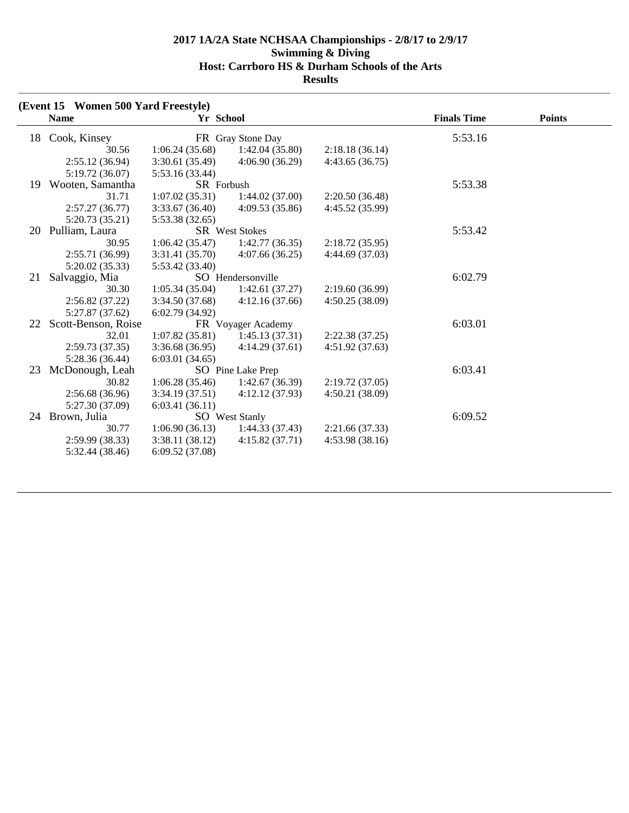|    | (Event 15 Women 500 Yard Freestyle) |                 |                       |                 |                    |               |
|----|-------------------------------------|-----------------|-----------------------|-----------------|--------------------|---------------|
|    | <b>Name</b>                         | Yr School       |                       |                 | <b>Finals Time</b> | <b>Points</b> |
| 18 | Cook, Kinsey                        |                 | FR Gray Stone Day     |                 | 5:53.16            |               |
|    | 30.56                               | 1:06.24(35.68)  | 1:42.04(35.80)        | 2:18.18(36.14)  |                    |               |
|    | 2:55.12(36.94)                      | 3:30.61 (35.49) | 4:06.90(36.29)        | 4:43.65(36.75)  |                    |               |
|    | 5:19.72(36.07)                      | 5:53.16 (33.44) |                       |                 |                    |               |
| 19 | Wooten, Samantha                    | SR Forbush      |                       |                 | 5:53.38            |               |
|    | 31.71                               | 1:07.02(35.31)  | 1:44.02(37.00)        | 2:20.50(36.48)  |                    |               |
|    | 2:57.27(36.77)                      | 3:33.67(36.40)  | 4:09.53(35.86)        | 4:45.52 (35.99) |                    |               |
|    | 5:20.73(35.21)                      | 5:53.38 (32.65) |                       |                 |                    |               |
| 20 | Pulliam, Laura                      |                 | <b>SR</b> West Stokes |                 | 5:53.42            |               |
|    | 30.95                               | 1:06.42(35.47)  | 1:42.77(36.35)        | 2:18.72(35.95)  |                    |               |
|    | 2:55.71 (36.99)                     | 3:31.41 (35.70) | 4:07.66(36.25)        | 4:44.69 (37.03) |                    |               |
|    | 5:20.02 (35.33)                     | 5:53.42 (33.40) |                       |                 |                    |               |
| 21 | Salvaggio, Mia                      |                 | SO Hendersonville     |                 | 6:02.79            |               |
|    | 30.30                               | 1:05.34(35.04)  | 1:42.61(37.27)        | 2:19.60(36.99)  |                    |               |
|    | 2:56.82(37.22)                      | 3:34.50 (37.68) | 4:12.16(37.66)        | 4:50.25(38.09)  |                    |               |
|    | 5:27.87 (37.62)                     | 6:02.79(34.92)  |                       |                 |                    |               |
| 22 | Scott-Benson, Roise                 |                 | FR Voyager Academy    |                 | 6:03.01            |               |
|    | 32.01                               | 1:07.82(35.81)  | 1:45.13(37.31)        | 2:22.38(37.25)  |                    |               |
|    | 2:59.73(37.35)                      | 3:36.68(36.95)  | 4:14.29(37.61)        | 4:51.92(37.63)  |                    |               |
|    | 5:28.36(36.44)                      | 6:03.01(34.65)  |                       |                 |                    |               |
| 23 | McDonough, Leah                     |                 | SO Pine Lake Prep     |                 | 6:03.41            |               |
|    | 30.82                               | 1:06.28(35.46)  | 1:42.67(36.39)        | 2:19.72(37.05)  |                    |               |
|    | 2:56.68(36.96)                      | 3:34.19(37.51)  | 4:12.12(37.93)        | 4:50.21(38.09)  |                    |               |
|    | 5:27.30 (37.09)                     | 6:03.41(36.11)  |                       |                 |                    |               |
|    | 24 Brown, Julia                     |                 | SO West Stanly        |                 | 6:09.52            |               |
|    | 30.77                               | 1:06.90(36.13)  | 1:44.33(37.43)        | 2:21.66(37.33)  |                    |               |
|    | 2:59.99(38.33)                      | 3:38.11 (38.12) | 4:15.82(37.71)        | 4:53.98(38.16)  |                    |               |
|    | 5:32.44 (38.46)                     | 6:09.52(37.08)  |                       |                 |                    |               |
|    |                                     |                 |                       |                 |                    |               |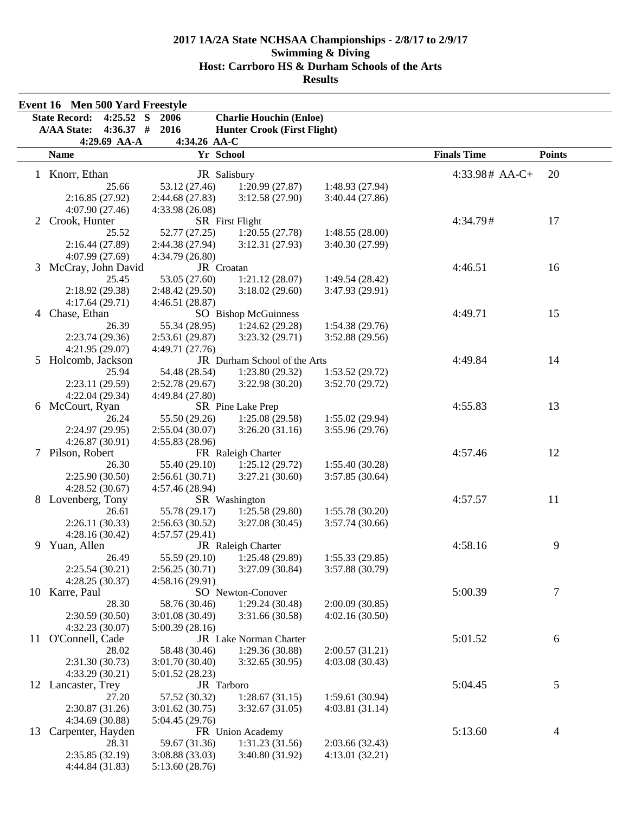|    | Event 16 Men 500 Yard Freestyle<br><b>State Record:</b><br>4:25.52 S | 2006            |                                                                      |                 |                    |               |
|----|----------------------------------------------------------------------|-----------------|----------------------------------------------------------------------|-----------------|--------------------|---------------|
|    | $4:36.37$ #<br><b>A/AA State:</b>                                    | 2016            | <b>Charlie Houchin (Enloe)</b><br><b>Hunter Crook (First Flight)</b> |                 |                    |               |
|    | 4:29.69 AA-A                                                         | 4:34.26 AA-C    |                                                                      |                 |                    |               |
|    | <b>Name</b>                                                          | Yr School       |                                                                      |                 | <b>Finals Time</b> | <b>Points</b> |
|    |                                                                      |                 |                                                                      |                 |                    |               |
|    | 1 Knorr, Ethan                                                       | JR Salisbury    |                                                                      |                 | $4:33.98#$ AA-C+   | 20            |
|    | 25.66                                                                | 53.12 (27.46)   | 1:20.99(27.87)                                                       | 1:48.93 (27.94) |                    |               |
|    | 2:16.85(27.92)                                                       | 2:44.68(27.83)  | 3:12.58(27.90)                                                       | 3:40.44(27.86)  |                    |               |
|    | 4:07.90(27.46)                                                       | 4:33.98 (26.08) |                                                                      |                 |                    |               |
| 2  | Crook, Hunter                                                        |                 | SR First Flight                                                      |                 | 4:34.79#           | 17            |
|    | 25.52                                                                | 52.77 (27.25)   | 1:20.55(27.78)                                                       | 1:48.55(28.00)  |                    |               |
|    | 2:16.44(27.89)                                                       | 2:44.38(27.94)  | 3:12.31(27.93)                                                       | 3:40.30 (27.99) |                    |               |
|    | 4:07.99 (27.69)                                                      | 4:34.79 (26.80) |                                                                      |                 |                    |               |
| 3  | McCray, John David                                                   | JR Croatan      |                                                                      |                 | 4:46.51            | 16            |
|    | 25.45                                                                | 53.05 (27.60)   | 1:21.12(28.07)                                                       | 1:49.54(28.42)  |                    |               |
|    | 2:18.92 (29.38)                                                      | 2:48.42(29.50)  | 3:18.02(29.60)                                                       | 3:47.93 (29.91) |                    |               |
|    | 4:17.64(29.71)                                                       | 4:46.51(28.87)  |                                                                      |                 |                    |               |
| 4  | Chase, Ethan                                                         |                 | SO Bishop McGuinness                                                 |                 | 4:49.71            | 15            |
|    | 26.39                                                                | 55.34 (28.95)   | 1:24.62(29.28)                                                       | 1:54.38(29.76)  |                    |               |
|    | 2:23.74(29.36)                                                       | 2:53.61(29.87)  | 3:23.32 (29.71)                                                      | 3:52.88(29.56)  |                    |               |
|    | 4:21.95(29.07)                                                       | 4:49.71 (27.76) |                                                                      |                 |                    |               |
| 5. | Holcomb, Jackson                                                     |                 | JR Durham School of the Arts                                         |                 | 4:49.84            | 14            |
|    | 25.94                                                                | 54.48 (28.54)   | 1:23.80(29.32)                                                       | 1:53.52(29.72)  |                    |               |
|    | 2:23.11 (29.59)                                                      | 2:52.78(29.67)  | 3:22.98(30.20)                                                       | 3:52.70(29.72)  |                    |               |
|    | 4:22.04(29.34)                                                       | 4:49.84 (27.80) |                                                                      |                 |                    |               |
| 6  | McCourt, Ryan                                                        |                 | SR Pine Lake Prep                                                    |                 | 4:55.83            | 13            |
|    | 26.24                                                                | 55.50 (29.26)   | 1:25.08(29.58)                                                       | 1:55.02(29.94)  |                    |               |
|    | 2:24.97 (29.95)                                                      | 2:55.04(30.07)  | 3:26.20(31.16)                                                       | 3:55.96(29.76)  |                    |               |
|    | 4:26.87(30.91)                                                       | 4:55.83 (28.96) |                                                                      |                 |                    |               |
| 7  | Pilson, Robert                                                       |                 | FR Raleigh Charter                                                   |                 | 4:57.46            | 12            |
|    | 26.30                                                                | 55.40 (29.10)   | 1:25.12(29.72)                                                       | 1:55.40(30.28)  |                    |               |
|    | 2:25.90(30.50)                                                       | 2:56.61(30.71)  | 3:27.21(30.60)                                                       | 3:57.85(30.64)  |                    |               |
|    | 4:28.52(30.67)                                                       | 4:57.46 (28.94) |                                                                      |                 |                    |               |
| 8  | Lovenberg, Tony                                                      |                 | SR Washington                                                        |                 | 4:57.57            | 11            |
|    | 26.61                                                                | 55.78 (29.17)   | 1:25.58(29.80)                                                       | 1:55.78(30.20)  |                    |               |
|    | 2:26.11(30.33)                                                       | 2:56.63(30.52)  | 3:27.08(30.45)                                                       | 3:57.74 (30.66) |                    |               |
|    | 4:28.16(30.42)                                                       | 4:57.57(29.41)  |                                                                      |                 |                    |               |
| 9  | Yuan, Allen                                                          |                 | JR Raleigh Charter                                                   |                 | 4:58.16            | 9             |
|    | 26.49                                                                | 55.59 (29.10)   | 1:25.48 (29.89)                                                      | 1:55.33(29.85)  |                    |               |
|    | 2:25.54(30.21)                                                       | 2:56.25(30.71)  | 3:27.09(30.84)                                                       | 3:57.88 (30.79) |                    |               |
|    | 4:28.25(30.37)                                                       | 4:58.16 (29.91) |                                                                      |                 |                    |               |
| 10 | Karre, Paul                                                          |                 | SO Newton-Conover                                                    | 2:00.09(30.85)  | 5:00.39            | 7             |
|    | 28.30                                                                | 58.76 (30.46)   | 1:29.24(30.48)                                                       |                 |                    |               |
|    | 2:30.59(30.50)                                                       | 3:01.08(30.49)  | 3:31.66 (30.58)                                                      | 4:02.16(30.50)  |                    |               |
|    | 4:32.23 (30.07)                                                      | 5:00.39(28.16)  |                                                                      |                 |                    |               |
| 11 | O'Connell, Cade                                                      |                 | JR Lake Norman Charter                                               |                 | 5:01.52            | 6             |
|    | 28.02                                                                | 58.48 (30.46)   | 1:29.36(30.88)                                                       | 2:00.57(31.21)  |                    |               |
|    | 2:31.30(30.73)                                                       | 3:01.70 (30.40) | 3:32.65 (30.95)                                                      | 4:03.08(30.43)  |                    |               |
|    | 4:33.29(30.21)                                                       | 5:01.52 (28.23) |                                                                      |                 | 5:04.45            |               |
|    | 12 Lancaster, Trey                                                   | JR Tarboro      |                                                                      |                 |                    | 5             |
|    | 27.20                                                                | 57.52 (30.32)   | 1:28.67(31.15)                                                       | 1:59.61(30.94)  |                    |               |
|    | 2:30.87(31.26)                                                       | 3:01.62(30.75)  | 3:32.67(31.05)                                                       | 4:03.81(31.14)  |                    |               |
|    | 4:34.69 (30.88)                                                      | 5:04.45 (29.76) |                                                                      |                 | 5:13.60            |               |
| 13 | Carpenter, Hayden                                                    |                 | FR Union Academy                                                     |                 |                    | 4             |
|    | 28.31                                                                | 59.67 (31.36)   | 1:31.23(31.56)<br>3:40.80 (31.92)                                    | 2:03.66(32.43)  |                    |               |
|    | 2:35.85(32.19)                                                       | 3:08.88(33.03)  |                                                                      | 4:13.01(32.21)  |                    |               |
|    | 4:44.84 (31.83)                                                      | 5:13.60(28.76)  |                                                                      |                 |                    |               |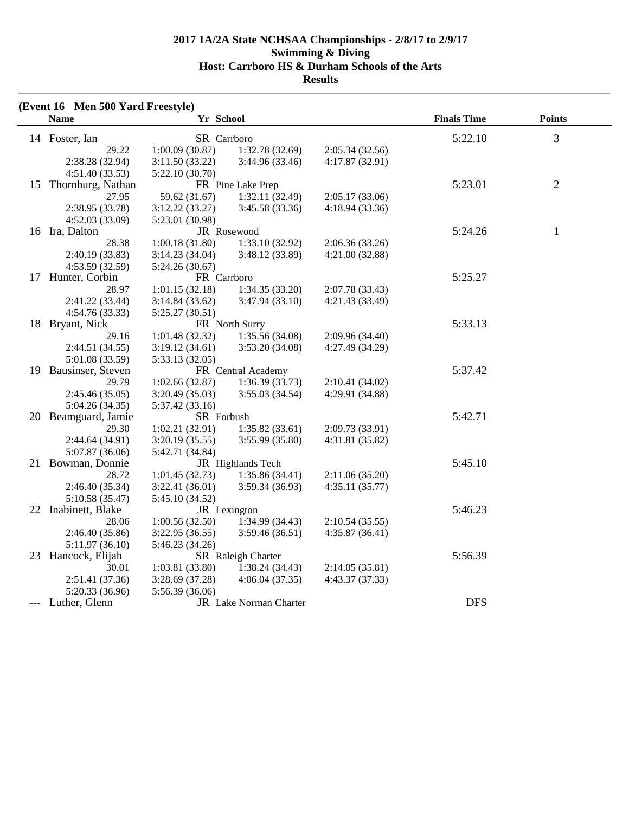| (Event 16 Men 500 Yard Freestyle) |                 |                        |                 |                    |                |
|-----------------------------------|-----------------|------------------------|-----------------|--------------------|----------------|
| <b>Name</b>                       | Yr School       |                        |                 | <b>Finals Time</b> | <b>Points</b>  |
| 14 Foster, Ian                    | SR Carrboro     |                        |                 | 5:22.10            | 3              |
| 29.22                             | 1:00.09(30.87)  | 1:32.78(32.69)         | 2:05.34(32.56)  |                    |                |
| 2:38.28 (32.94)                   | 3:11.50(33.22)  | 3:44.96 (33.46)        | 4:17.87(32.91)  |                    |                |
| 4:51.40(33.53)                    | 5:22.10(30.70)  |                        |                 |                    |                |
| 15 Thornburg, Nathan              |                 | FR Pine Lake Prep      |                 | 5:23.01            | $\overline{2}$ |
| 27.95                             | 59.62 (31.67)   | 1:32.11(32.49)         | 2:05.17(33.06)  |                    |                |
| 2:38.95 (33.78)                   | 3:12.22(33.27)  | 3:45.58 (33.36)        | 4:18.94 (33.36) |                    |                |
| 4:52.03(33.09)                    | 5:23.01 (30.98) |                        |                 |                    |                |
| 16 Ira, Dalton                    |                 | JR Rosewood            |                 | 5:24.26            | $\mathbf{1}$   |
| 28.38                             | 1:00.18(31.80)  | 1:33.10(32.92)         | 2:06.36(33.26)  |                    |                |
| 2:40.19 (33.83)                   | 3:14.23(34.04)  | 3:48.12 (33.89)        | 4:21.00(32.88)  |                    |                |
| 4:53.59(32.59)                    | 5:24.26(30.67)  |                        |                 |                    |                |
| 17 Hunter, Corbin                 | FR Carrboro     |                        |                 | 5:25.27            |                |
| 28.97                             | 1:01.15(32.18)  | 1:34.35(33.20)         | 2:07.78(33.43)  |                    |                |
| 2:41.22 (33.44)                   | 3:14.84(33.62)  | 3:47.94(33.10)         | 4:21.43 (33.49) |                    |                |
| 4:54.76(33.33)                    | 5:25.27 (30.51) |                        |                 |                    |                |
| 18 Bryant, Nick                   |                 | FR North Surry         |                 | 5:33.13            |                |
| 29.16                             | 1:01.48(32.32)  | 1:35.56 (34.08)        | 2:09.96 (34.40) |                    |                |
| 2:44.51 (34.55)                   | 3:19.12(34.61)  | 3:53.20 (34.08)        | 4:27.49 (34.29) |                    |                |
| 5:01.08 (33.59)                   | 5:33.13 (32.05) |                        |                 |                    |                |
| 19 Bausinser, Steven              |                 | FR Central Academy     |                 | 5:37.42            |                |
| 29.79                             | 1:02.66(32.87)  | 1:36.39(33.73)         | 2:10.41(34.02)  |                    |                |
| 2:45.46(35.05)                    | 3:20.49 (35.03) | 3:55.03(34.54)         | 4:29.91 (34.88) |                    |                |
| 5:04.26(34.35)                    | 5:37.42 (33.16) |                        |                 |                    |                |
| 20 Beamguard, Jamie               | SR Forbush      |                        |                 | 5:42.71            |                |
| 29.30                             | 1:02.21(32.91)  | 1:35.82(33.61)         | 2:09.73 (33.91) |                    |                |
| 2:44.64 (34.91)                   | 3:20.19(35.55)  | 3:55.99 (35.80)        | 4:31.81(35.82)  |                    |                |
| 5:07.87 (36.06)                   | 5:42.71 (34.84) |                        |                 |                    |                |
| 21 Bowman, Donnie                 |                 | JR Highlands Tech      |                 | 5:45.10            |                |
| 28.72                             | 1:01.45(32.73)  | 1:35.86(34.41)         | 2:11.06(35.20)  |                    |                |
| 2:46.40 (35.34)                   | 3:22.41(36.01)  | 3:59.34 (36.93)        | 4:35.11(35.77)  |                    |                |
| 5:10.58 (35.47)                   | 5:45.10 (34.52) |                        |                 |                    |                |
| 22 Inabinett, Blake               |                 | JR Lexington           |                 | 5:46.23            |                |
| 28.06                             | 1:00.56(32.50)  | 1:34.99(34.43)         | 2:10.54(35.55)  |                    |                |
| 2:46.40(35.86)                    | 3:22.95(36.55)  | 3:59.46(36.51)         | 4:35.87(36.41)  |                    |                |
| 5:11.97(36.10)                    | 5:46.23 (34.26) |                        |                 |                    |                |
| 23 Hancock, Elijah                |                 | SR Raleigh Charter     |                 | 5:56.39            |                |
| 30.01                             | 1:03.81(33.80)  | 1:38.24(34.43)         | 2:14.05(35.81)  |                    |                |
| 2:51.41(37.36)                    | 3:28.69 (37.28) | 4:06.04(37.35)         | 4:43.37 (37.33) |                    |                |
| 5:20.33 (36.96)                   | 5:56.39 (36.06) |                        |                 |                    |                |
| --- Luther, Glenn                 |                 | JR Lake Norman Charter |                 | <b>DFS</b>         |                |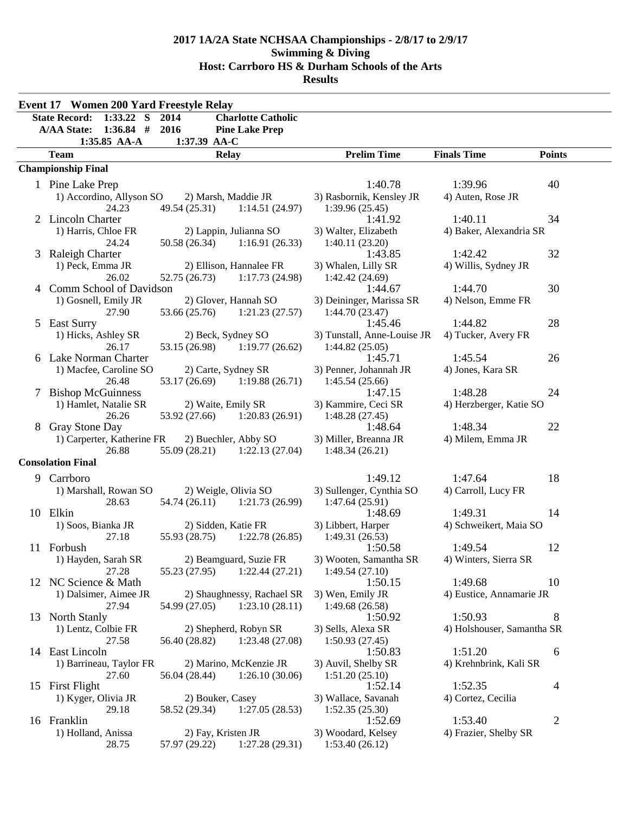|   | <b>Event 17 Women 200 Yard Freestyle Relay</b> |                     |                                                          |                                               |                            |                |
|---|------------------------------------------------|---------------------|----------------------------------------------------------|-----------------------------------------------|----------------------------|----------------|
|   | <b>State Record:</b><br>$1:33.22$ S            | 2014                | <b>Charlotte Catholic</b>                                |                                               |                            |                |
|   | <b>A/AA State:</b><br>$1:36.84$ #              | 2016                | <b>Pine Lake Prep</b>                                    |                                               |                            |                |
|   | 1:35.85 AA-A                                   | 1:37.39 AA-C        |                                                          |                                               |                            |                |
|   | <b>Team</b>                                    |                     | <b>Relay</b>                                             | <b>Prelim Time</b>                            | <b>Finals Time</b>         | <b>Points</b>  |
|   | <b>Championship Final</b>                      |                     |                                                          |                                               |                            |                |
|   | 1 Pine Lake Prep                               |                     |                                                          | 1:40.78                                       | 1:39.96                    | 40             |
|   | 1) Accordino, Allyson SO                       |                     | 2) Marsh, Maddie JR                                      | 3) Rasbornik, Kensley JR                      | 4) Auten, Rose JR          |                |
|   | 24.23                                          | 49.54 (25.31)       | 1:14.51(24.97)                                           | 1:39.96(25.45)                                |                            |                |
|   | 2 Lincoln Charter                              |                     |                                                          | 1:41.92                                       | 1:40.11                    | 34             |
|   | 1) Harris, Chloe FR<br>24.24                   |                     | 2) Lappin, Julianna SO<br>$50.58(26.34)$ 1:16.91 (26.33) | 3) Walter, Elizabeth<br>1:40.11(23.20)        | 4) Baker, Alexandria SR    |                |
| 3 | Raleigh Charter                                |                     |                                                          | 1:43.85                                       | 1:42.42                    | 32             |
|   | 1) Peck, Emma JR                               |                     | 2) Ellison, Hannalee FR                                  | 3) Whalen, Lilly SR                           | 4) Willis, Sydney JR       |                |
|   | 26.02                                          | 52.75 (26.73)       | 1:17.73(24.98)                                           | 1:42.42(24.69)                                |                            |                |
|   | 4 Comm School of Davidson                      |                     |                                                          | 1:44.67                                       | 1:44.70                    | 30             |
|   | 1) Gosnell, Emily JR                           |                     | 2) Glover, Hannah SO                                     | 3) Deininger, Marissa SR                      | 4) Nelson, Emme FR         |                |
|   | 27.90                                          | 53.66 (25.76)       | 1:21.23(27.57)                                           | 1:44.70(23.47)                                |                            |                |
|   | 5 East Surry                                   |                     |                                                          | 1:45.46                                       | 1:44.82                    | 28             |
|   | 1) Hicks, Ashley SR<br>26.17                   | 53.15 (26.98)       | 2) Beck, Sydney SO<br>1:19.77(26.62)                     | 3) Tunstall, Anne-Louise JR<br>1:44.82(25.05) | 4) Tucker, Avery FR        |                |
|   | 6 Lake Norman Charter                          |                     |                                                          | 1:45.71                                       | 1:45.54                    | 26             |
|   | 1) Macfee, Caroline SO                         |                     | 2) Carte, Sydney SR                                      | 3) Penner, Johannah JR                        | 4) Jones, Kara SR          |                |
|   | 26.48                                          |                     | 53.17 (26.69) 1:19.88 (26.71)                            | 1:45.54(25.66)                                |                            |                |
| 7 | <b>Bishop McGuinness</b>                       |                     |                                                          | 1:47.15                                       | 1:48.28                    | 24             |
|   | 1) Hamlet, Natalie SR                          | 2) Waite, Emily SR  |                                                          | 3) Kammire, Ceci SR                           | 4) Herzberger, Katie SO    |                |
|   | 26.26                                          |                     | 53.92 (27.66) 1:20.83 (26.91)                            | 1:48.28(27.45)                                |                            |                |
| 8 | Gray Stone Day                                 |                     |                                                          | 1:48.64                                       | 1:48.34                    | 22             |
|   | 1) Carperter, Katherine FR<br>26.88            | 55.09 (28.21)       | 2) Buechler, Abby SO<br>1:22.13(27.04)                   | 3) Miller, Breanna JR<br>1:48.34(26.21)       | 4) Milem, Emma JR          |                |
|   | <b>Consolation Final</b>                       |                     |                                                          |                                               |                            |                |
|   |                                                |                     |                                                          |                                               |                            |                |
|   | 9 Carrboro                                     |                     |                                                          | 1:49.12                                       | 1:47.64                    | 18             |
|   | 1) Marshall, Rowan SO<br>28.63                 |                     | 2) Weigle, Olivia SO<br>54.74 (26.11) 1:21.73 (26.99)    | 3) Sullenger, Cynthia SO<br>1:47.64(25.91)    | 4) Carroll, Lucy FR        |                |
|   | 10 Elkin                                       |                     |                                                          | 1:48.69                                       | 1:49.31                    | 14             |
|   | 1) Soos, Bianka JR                             | 2) Sidden, Katie FR |                                                          | 3) Libbert, Harper                            | 4) Schweikert, Maia SO     |                |
|   | 27.18                                          | 55.93 (28.75)       | 1:22.78(26.85)                                           | 1:49.31(26.53)                                |                            |                |
|   | 11 Forbush                                     |                     |                                                          | 1:50.58                                       | 1:49.54                    | 12             |
|   | 1) Hayden, Sarah SR                            |                     | 2) Beamguard, Suzie FR                                   | 3) Wooten, Samantha SR                        | 4) Winters, Sierra SR      |                |
|   | 27.28                                          | 55.23 (27.95)       | 1:22.44(27.21)                                           | 1:49.54(27.10)                                |                            |                |
|   | 12 NC Science & Math                           |                     |                                                          | 1:50.15                                       | 1:49.68                    | 10             |
|   | 1) Dalsimer, Aimee JR<br>27.94                 | 54.99 (27.05)       | 2) Shaughnessy, Rachael SR<br>1:23.10(28.11)             | 3) Wen, Emily JR<br>1:49.68(26.58)            | 4) Eustice, Annamarie JR   |                |
|   | 13 North Stanly                                |                     |                                                          | 1:50.92                                       | 1:50.93                    | 8              |
|   | 1) Lentz, Colbie FR                            |                     | 2) Shepherd, Robyn SR                                    | 3) Sells, Alexa SR                            | 4) Holshouser, Samantha SR |                |
|   | 27.58                                          | 56.40 (28.82)       | 1:23.48 (27.08)                                          | 1:50.93(27.45)                                |                            |                |
|   | 14 East Lincoln                                |                     |                                                          | 1:50.83                                       | 1:51.20                    | 6              |
|   | 1) Barrineau, Taylor FR                        |                     | 2) Marino, McKenzie JR                                   | 3) Auvil, Shelby SR                           | 4) Krehnbrink, Kali SR     |                |
|   | 27.60                                          | 56.04 (28.44)       | 1:26.10(30.06)                                           | 1:51.20(25.10)                                |                            |                |
|   | 15 First Flight                                |                     |                                                          | 1:52.14                                       | 1:52.35                    | 4              |
|   | 1) Kyger, Olivia JR                            | 2) Bouker, Casey    |                                                          | 3) Wallace, Savanah                           | 4) Cortez, Cecilia         |                |
|   | 29.18<br>16 Franklin                           | 58.52 (29.34)       | 1:27.05(28.53)                                           | 1:52.35(25.30)<br>1:52.69                     | 1:53.40                    | $\overline{2}$ |
|   | 1) Holland, Anissa                             | 2) Fay, Kristen JR  |                                                          | 3) Woodard, Kelsey                            | 4) Frazier, Shelby SR      |                |
|   | 28.75                                          | 57.97 (29.22)       | 1:27.28(29.31)                                           | 1:53.40(26.12)                                |                            |                |
|   |                                                |                     |                                                          |                                               |                            |                |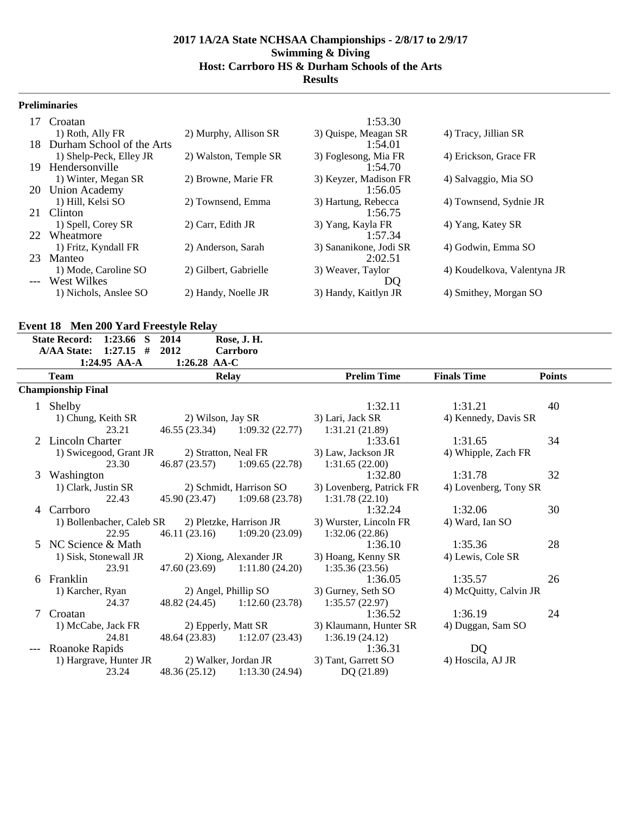# **Preliminaries**

| 17  | Croatan                   |                       | 1:53.30                |                             |
|-----|---------------------------|-----------------------|------------------------|-----------------------------|
|     | 1) Roth, Ally FR          | 2) Murphy, Allison SR | 3) Quispe, Meagan SR   | 4) Tracy, Jillian SR        |
| 18. | Durham School of the Arts |                       | 1:54.01                |                             |
|     | 1) Shelp-Peck, Elley JR   | 2) Walston, Temple SR | 3) Foglesong, Mia FR   | 4) Erickson, Grace FR       |
| 19  | Hendersonville            |                       | 1:54.70                |                             |
|     | 1) Winter, Megan SR       | 2) Browne, Marie FR   | 3) Keyzer, Madison FR  | 4) Salvaggio, Mia SO        |
|     | 20 Union Academy          |                       | 1:56.05                |                             |
|     | 1) Hill, Kelsi SO         | 2) Townsend, Emma     | 3) Hartung, Rebecca    | 4) Townsend, Sydnie JR      |
|     | 21 Clinton                |                       | 1:56.75                |                             |
|     | 1) Spell, Corey SR        | 2) Carr, Edith JR     | 3) Yang, Kayla FR      | 4) Yang, Katey SR           |
|     | 22 Wheatmore              |                       | 1:57.34                |                             |
|     | 1) Fritz, Kyndall FR      | 2) Anderson, Sarah    | 3) Sananikone, Jodi SR | 4) Godwin, Emma SO          |
| 23  | Manteo                    |                       | 2:02.51                |                             |
|     | 1) Mode, Caroline SO      | 2) Gilbert, Gabrielle | 3) Weaver, Taylor      | 4) Koudelkova, Valentyna JR |
|     | --- West Wilkes           |                       | DQ                     |                             |
|     | 1) Nichols, Anslee SO     | 2) Handy, Noelle JR   | 3) Handy, Kaitlyn JR   | 4) Smithey, Morgan SO       |

#### **Event 18 Men 200 Yard Freestyle Relay**

|              | <b>State Record:</b><br>1:23.66<br><sub>S</sub> | 2014              | Rose, J. H.                     |                          |                        |               |
|--------------|-------------------------------------------------|-------------------|---------------------------------|--------------------------|------------------------|---------------|
|              | <b>A/AA State:</b><br>$1:27.15$ #               | 2012              | Carrboro                        |                          |                        |               |
|              | 1:24.95 AA-A                                    | 1:26.28 AA-C      |                                 |                          |                        |               |
|              | <b>Team</b>                                     |                   | <b>Relay</b>                    | <b>Prelim Time</b>       | <b>Finals Time</b>     | <b>Points</b> |
|              | <b>Championship Final</b>                       |                   |                                 |                          |                        |               |
| $\mathbf{1}$ | Shelby                                          |                   |                                 | 1:32.11                  | 1:31.21                | 40            |
|              | 1) Chung, Keith SR                              | 2) Wilson, Jay SR |                                 | 3) Lari, Jack SR         | 4) Kennedy, Davis SR   |               |
|              | 23.21                                           |                   | 46.55 (23.34) 1:09.32 (22.77)   | 1:31.21(21.89)           |                        |               |
|              | 2 Lincoln Charter                               |                   |                                 | 1:33.61                  | 1:31.65                | 34            |
|              | 1) Swicegood, Grant JR                          |                   | 2) Stratton, Neal FR            | 3) Law, Jackson JR       | 4) Whipple, Zach FR    |               |
|              | 23.30                                           |                   | 46.87 (23.57) 1:09.65 (22.78)   | 1:31.65(22.00)           |                        |               |
| 3            | Washington                                      |                   |                                 | 1:32.80                  | 1:31.78                | 32            |
|              | 1) Clark, Justin SR                             |                   | 2) Schmidt, Harrison SO         | 3) Lovenberg, Patrick FR | 4) Lovenberg, Tony SR  |               |
|              | 22.43                                           |                   | 45.90 (23.47) 1:09.68 (23.78)   | 1:31.78(22.10)           |                        |               |
| 4            | Carrboro                                        |                   |                                 | 1:32.24                  | 1:32.06                | 30            |
|              | 1) Bollenbacher, Caleb SR                       |                   | 2) Pletzke, Harrison JR         | 3) Wurster, Lincoln FR   | 4) Ward, Ian SO        |               |
|              | 22.95                                           |                   | 46.11 (23.16) 1:09.20 (23.09)   | 1:32.06(22.86)           |                        |               |
| 5.           | NC Science & Math                               |                   |                                 | 1:36.10                  | 1:35.36                | 28            |
|              | 1) Sisk, Stonewall JR                           |                   | 2) Xiong, Alexander JR          | 3) Hoang, Kenny SR       | 4) Lewis, Cole SR      |               |
|              | 23.91                                           |                   | $47.60(23.69)$ $1:11.80(24.20)$ | 1:35.36(23.56)           |                        |               |
| 6            | Franklin                                        |                   |                                 | 1:36.05                  | 1:35.57                | 26            |
|              | 1) Karcher, Ryan                                |                   | 2) Angel, Phillip SO            | 3) Gurney, Seth SO       | 4) McQuitty, Calvin JR |               |
|              | 24.37                                           |                   | 48.82 (24.45) 1:12.60 (23.78)   | 1:35.57(22.97)           |                        |               |
| 7            | Croatan                                         |                   |                                 | 1:36.52                  | 1:36.19                | 24            |
|              | 1) McCabe, Jack FR                              |                   | 2) Epperly, Matt SR             | 3) Klaumann, Hunter SR   | 4) Duggan, Sam SO      |               |
|              | 24.81                                           |                   | 48.64 (23.83) 1:12.07 (23.43)   | 1:36.19(24.12)           |                        |               |
|              | Roanoke Rapids                                  |                   |                                 | 1:36.31                  | <b>DQ</b>              |               |
|              | 1) Hargrave, Hunter JR                          |                   | 2) Walker, Jordan JR            | 3) Tant, Garrett SO      | 4) Hoscila, AJ JR      |               |
|              | 23.24                                           |                   | 48.36 (25.12) 1:13.30 (24.94)   | DQ(21.89)                |                        |               |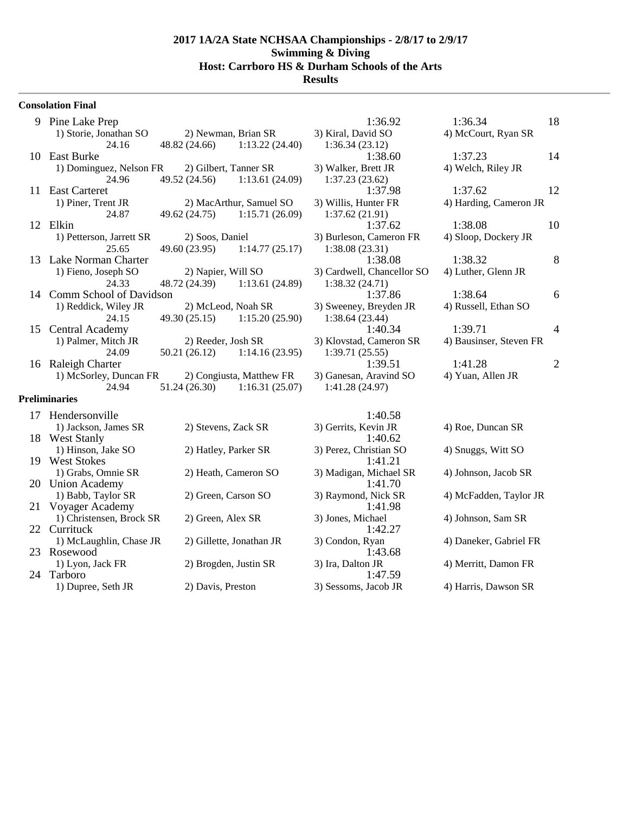#### **Consolation Final**

|    | 9 Pine Lake Prep           |                    |                                | 1:36.92                    | 1:36.34                 | 18             |
|----|----------------------------|--------------------|--------------------------------|----------------------------|-------------------------|----------------|
|    | 1) Storie, Jonathan SO     |                    | 2) Newman, Brian SR            | 3) Kiral, David SO         | 4) McCourt, Ryan SR     |                |
|    | 24.16                      |                    | 48.82 (24.66) 1:13.22 (24.40)  | 1:36.34(23.12)             |                         |                |
| 10 | East Burke                 |                    |                                | 1:38.60                    | 1:37.23                 | 14             |
|    | 1) Dominguez, Nelson FR    |                    | 2) Gilbert, Tanner SR          | 3) Walker, Brett JR        | 4) Welch, Riley JR      |                |
|    | 24.96                      | 49.52 (24.56)      | 1:13.61 (24.09)                | 1:37.23(23.62)             |                         |                |
| 11 | <b>East Carteret</b>       |                    |                                | 1:37.98                    | 1:37.62                 | 12             |
|    | 1) Piner, Trent JR         |                    | 2) MacArthur, Samuel SO        | 3) Willis, Hunter FR       | 4) Harding, Cameron JR  |                |
|    | 24.87                      | 49.62 (24.75)      | 1:15.71(26.09)                 | 1:37.62(21.91)             |                         |                |
| 12 | Elkin                      |                    |                                | 1:37.62                    | 1:38.08                 | 10             |
|    | 1) Petterson, Jarrett SR   | 2) Soos, Daniel    |                                | 3) Burleson, Cameron FR    | 4) Sloop, Dockery JR    |                |
|    | 25.65                      | 49.60 (23.95)      | 1:14.77(25.17)                 | 1:38.08(23.31)             |                         |                |
|    | 13 Lake Norman Charter     |                    |                                | 1:38.08                    | 1:38.32                 | 8              |
|    | 1) Fieno, Joseph SO        | 2) Napier, Will SO |                                | 3) Cardwell, Chancellor SO | 4) Luther, Glenn JR     |                |
|    | 24.33                      |                    | 48.72 (24.39) 1:13.61 (24.89)  | 1:38.32(24.71)             |                         |                |
|    | 14 Comm School of Davidson |                    |                                | 1:37.86                    | 1:38.64                 | 6              |
|    | 1) Reddick, Wiley JR       |                    | 2) McLeod, Noah SR             | 3) Sweeney, Breyden JR     | 4) Russell, Ethan SO    |                |
|    | 24.15                      |                    | $49.30(25.15)$ 1:15.20 (25.90) | 1:38.64(23.44)             |                         |                |
| 15 | Central Academy            |                    |                                | 1:40.34                    | 1:39.71                 | 4              |
|    | 1) Palmer, Mitch JR        | 2) Reeder, Josh SR |                                | 3) Klovstad, Cameron SR    | 4) Bausinser, Steven FR |                |
|    | 24.09                      | 50.21 (26.12)      | 1:14.16(23.95)                 | 1:39.71(25.55)             |                         |                |
| 16 | Raleigh Charter            |                    |                                | 1:39.51                    | 1:41.28                 | $\overline{c}$ |
|    | 1) McSorley, Duncan FR     |                    | 2) Congiusta, Matthew FR       | 3) Ganesan, Aravind SO     | 4) Yuan, Allen JR       |                |
|    | 24.94                      | 51.24 (26.30)      | 1:16.31(25.07)                 | 1:41.28(24.97)             |                         |                |
|    | <b>Preliminaries</b>       |                    |                                |                            |                         |                |
|    | 17 Hendersonville          |                    |                                | 1.4058                     |                         |                |

| $\mathbf{1}$ |                          |                          | 1.70.30                |                        |
|--------------|--------------------------|--------------------------|------------------------|------------------------|
|              | 1) Jackson, James SR     | 2) Stevens, Zack SR      | 3) Gerrits, Kevin JR   | 4) Roe, Duncan SR      |
| 18           | <b>West Stanly</b>       |                          | 1:40.62                |                        |
|              | 1) Hinson, Jake SO       | 2) Hatley, Parker SR     | 3) Perez, Christian SO | 4) Snuggs, Witt SO     |
| 19.          | <b>West Stokes</b>       |                          | 1:41.21                |                        |
|              | 1) Grabs, Omnie SR       | 2) Heath, Cameron SO     | 3) Madigan, Michael SR | 4) Johnson, Jacob SR   |
|              | 20 Union Academy         |                          | 1:41.70                |                        |
|              | 1) Babb, Taylor SR       | 2) Green, Carson SO      | 3) Raymond, Nick SR    | 4) McFadden, Taylor JR |
| 21           | Voyager Academy          |                          | 1:41.98                |                        |
|              | 1) Christensen, Brock SR | 2) Green, Alex SR        | 3) Jones, Michael      | 4) Johnson, Sam SR     |
|              | 22 Currituck             |                          | 1:42.27                |                        |
|              | 1) McLaughlin, Chase JR  | 2) Gillette, Jonathan JR | 3) Condon, Ryan        | 4) Daneker, Gabriel FR |
|              | 23 Rosewood              |                          | 1:43.68                |                        |
|              | 1) Lyon, Jack FR         | 2) Brogden, Justin SR    | 3) Ira, Dalton JR      | 4) Merritt, Damon FR   |
| 24           | Tarboro                  |                          | 1:47.59                |                        |
|              | 1) Dupree, Seth JR       | 2) Davis, Preston        | 3) Sessoms, Jacob JR   | 4) Harris, Dawson SR   |
|              |                          |                          |                        |                        |

| 1:36.92                 | 1<br>1:36.34            |
|-------------------------|-------------------------|
| Kiral, David SO         | 4) McCourt, Ryan SR     |
| 1:36.34(23.12)          |                         |
| 1:38.60                 | 1:37.23<br>1            |
| Walker, Brett JR        | 4) Welch, Riley JR      |
| 1:37.23 (23.62)         |                         |
| 1:37.98                 | 1:37.62<br>1            |
| Willis, Hunter FR       | 4) Harding, Cameron JR  |
| 1:37.62 (21.91)         |                         |
| 1:37.62                 | 1<br>1:38.08            |
| Burleson, Cameron FR    | 4) Sloop, Dockery JR    |
| 1:38.08(23.31)          |                         |
| 1:38.08                 | 1:38.32                 |
| Cardwell, Chancellor SO | 4) Luther, Glenn JR     |
| 1:38.32(24.71)          |                         |
| 1:37.86                 | 1:38.64                 |
| Sweeney, Breyden JR     | 4) Russell, Ethan SO    |
| 1:38.64 (23.44)         |                         |
| 1:40.34                 | 1:39.71                 |
| Klovstad, Cameron SR    | 4) Bausinser, Steven FR |
| 1:39.71 (25.55)         |                         |
| 1:39.51                 | 1:41.28                 |
| Ganesan, Aravind SO     | 4) Yuan, Allen JR       |
| 1:41.28 (24.97)         |                         |

| 1:40.58           |                    |
|-------------------|--------------------|
| rits, Kevin JR    | 4) Roe, Duncan SI  |
| 1:40.62           |                    |
| z. Christian SO   | 4) Snuggs, Witt SO |
| 1:41.21           |                    |
| ligan, Michael SR | 4) Johnson, Jacob  |
| 1:41.70           |                    |
| mond, Nick SR     | 4) McFadden, Tay   |
| 1:41.98           |                    |
| es, Michael       | 4) Johnson, Sam S  |
| 1:42.27           |                    |
| don, Ryan         | 4) Daneker, Gabri  |
| 1:43.68           |                    |
| Dalton JR         | 4) Merritt, Damon  |
| 1:47.59           |                    |
| soms, Jacob JR    | 4) Harris, Dawson  |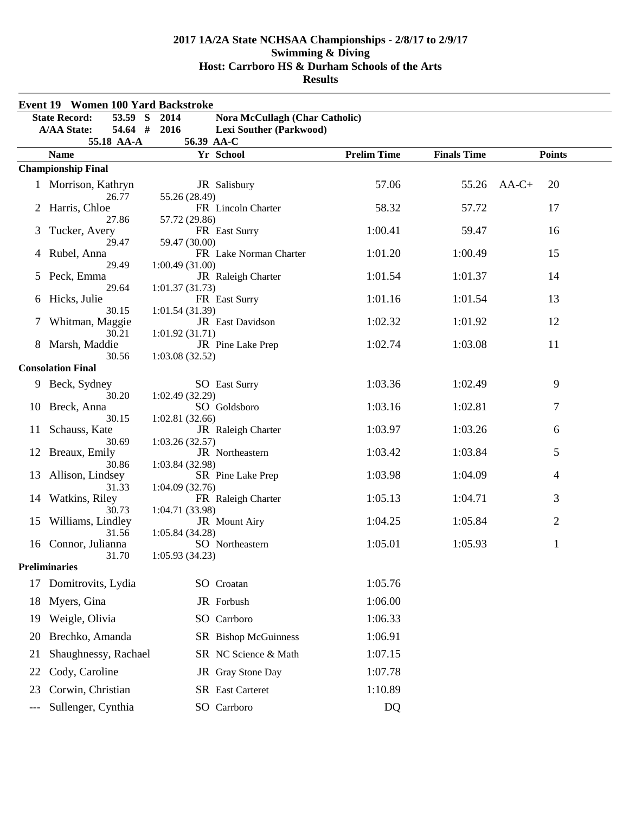|     | <b>Event 19 Women 100 Yard Backstroke</b>        |                                |                                       |                    |                    |                |
|-----|--------------------------------------------------|--------------------------------|---------------------------------------|--------------------|--------------------|----------------|
|     | 53.59 S<br><b>State Record:</b>                  | 2014                           | <b>Nora McCullagh (Char Catholic)</b> |                    |                    |                |
|     | 54.64 # 2016<br><b>A/AA State:</b><br>55.18 AA-A | 56.39 AA-C                     | <b>Lexi Souther (Parkwood)</b>        |                    |                    |                |
|     | <b>Name</b>                                      |                                | Yr School                             | <b>Prelim Time</b> | <b>Finals Time</b> | <b>Points</b>  |
|     | <b>Championship Final</b>                        |                                |                                       |                    |                    |                |
|     | 1 Morrison, Kathryn<br>26.77                     |                                | JR Salisbury                          | 57.06              | 55.26              | 20<br>$AA-C+$  |
|     | Harris, Chloe<br>27.86                           | 55.26 (28.49)                  | FR Lincoln Charter                    | 58.32              | 57.72              | 17             |
| 3   | Tucker, Avery<br>29.47                           | 57.72 (29.86)<br>59.47 (30.00) | FR East Surry                         | 1:00.41            | 59.47              | 16             |
| 4   | Rubel, Anna<br>29.49                             | 1:00.49(31.00)                 | FR Lake Norman Charter                | 1:01.20            | 1:00.49            | 15             |
| 5   | Peck, Emma<br>29.64                              | 1:01.37(31.73)                 | JR Raleigh Charter                    | 1:01.54            | 1:01.37            | 14             |
| 6   | Hicks, Julie<br>30.15                            | 1:01.54(31.39)                 | FR East Surry                         | 1:01.16            | 1:01.54            | 13             |
|     | Whitman, Maggie<br>30.21                         | 1:01.92(31.71)                 | JR East Davidson                      | 1:02.32            | 1:01.92            | 12             |
| 8   | Marsh, Maddie<br>30.56                           | 1:03.08(32.52)                 | JR Pine Lake Prep                     | 1:02.74            | 1:03.08            | 11             |
|     | <b>Consolation Final</b>                         |                                |                                       |                    |                    |                |
|     | Beck, Sydney<br>30.20                            | 1:02.49(32.29)                 | <b>SO</b> East Surry                  | 1:03.36            | 1:02.49            | 9              |
| 10  | Breck, Anna<br>30.15                             | 1:02.81(32.66)                 | SO Goldsboro                          | 1:03.16            | 1:02.81            | 7              |
| 11  | Schauss, Kate<br>30.69                           | 1:03.26(32.57)                 | JR Raleigh Charter                    | 1:03.97            | 1:03.26            | 6              |
| 12  | Breaux, Emily<br>30.86                           | 1:03.84 (32.98)                | JR Northeastern                       | 1:03.42            | 1:03.84            | 5              |
| 13  | Allison, Lindsey<br>31.33                        | 1:04.09(32.76)                 | SR Pine Lake Prep                     | 1:03.98            | 1:04.09            | 4              |
| 14  | Watkins, Riley<br>30.73                          | 1:04.71 (33.98)                | FR Raleigh Charter                    | 1:05.13            | 1:04.71            | 3              |
|     | 15 Williams, Lindley<br>31.56                    | 1:05.84 (34.28)                | JR Mount Airy                         | 1:04.25            | 1:05.84            | $\overline{c}$ |
| 16  | Connor, Julianna<br>31.70                        | 1:05.93(34.23)                 | SO Northeastern                       | 1:05.01            | 1:05.93            | 1              |
|     | <b>Preliminaries</b>                             |                                |                                       |                    |                    |                |
| 17  | Domitrovits, Lydia                               |                                | SO Croatan                            | 1:05.76            |                    |                |
| 18  | Myers, Gina                                      |                                | JR Forbush                            | 1:06.00            |                    |                |
| 19  | Weigle, Olivia                                   |                                | SO Carrboro                           | 1:06.33            |                    |                |
| 20  | Brechko, Amanda                                  |                                | SR Bishop McGuinness                  | 1:06.91            |                    |                |
| 21  | Shaughnessy, Rachael                             |                                | SR NC Science & Math                  | 1:07.15            |                    |                |
| 22  | Cody, Caroline                                   |                                | JR Gray Stone Day                     | 1:07.78            |                    |                |
| 23  | Corwin, Christian                                |                                | <b>SR</b> East Carteret               | 1:10.89            |                    |                |
| --- | Sullenger, Cynthia                               |                                | SO Carrboro                           | DQ                 |                    |                |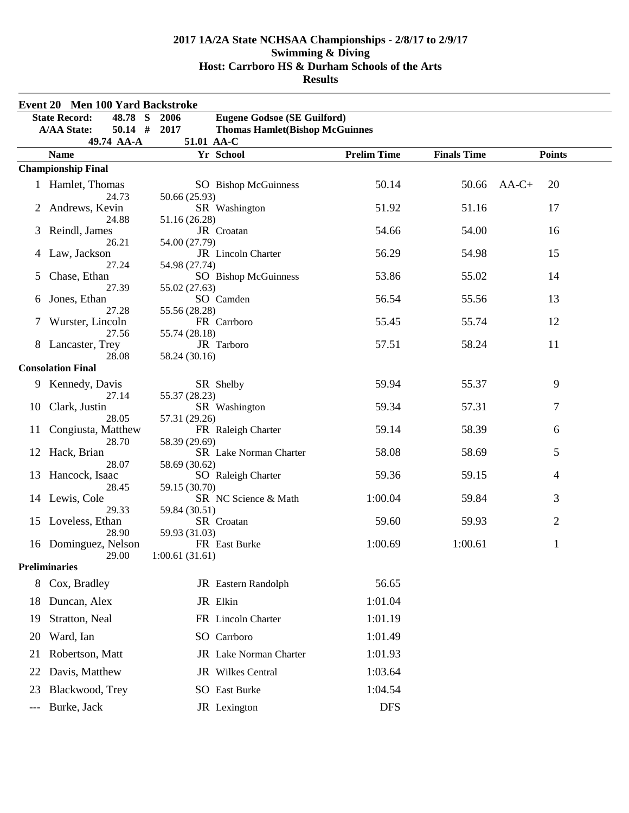|     | Event 20 Men 100 Yard Backstroke   |                                                |                    |                    |                |  |
|-----|------------------------------------|------------------------------------------------|--------------------|--------------------|----------------|--|
|     | <b>State Record:</b><br>48.78<br>S | <b>Eugene Godsoe (SE Guilford)</b><br>2006     |                    |                    |                |  |
|     | $50.14$ #<br><b>A/AA State:</b>    | 2017<br><b>Thomas Hamlet (Bishop McGuinnes</b> |                    |                    |                |  |
|     | 49.74 AA-A                         | 51.01 AA-C                                     |                    |                    |                |  |
|     | <b>Name</b>                        | Yr School                                      | <b>Prelim Time</b> | <b>Finals Time</b> | <b>Points</b>  |  |
|     | <b>Championship Final</b>          |                                                |                    |                    |                |  |
|     | 1 Hamlet, Thomas                   | SO Bishop McGuinness                           | 50.14              | 50.66              | $AA-C+$<br>20  |  |
|     | 24.73<br>Andrews, Kevin            | 50.66 (25.93)<br>SR Washington                 | 51.92              | 51.16              | 17             |  |
|     | 24.88                              | 51.16 (26.28)                                  |                    |                    |                |  |
| 3   | Reindl, James                      | JR Croatan                                     | 54.66              | 54.00              | 16             |  |
|     | 26.21                              | 54.00 (27.79)                                  |                    |                    |                |  |
| 4   | Law, Jackson                       | JR Lincoln Charter                             | 56.29              | 54.98              | 15             |  |
| 5   | 27.24<br>Chase, Ethan              | 54.98 (27.74)<br>SO Bishop McGuinness          | 53.86              | 55.02              | 14             |  |
|     | 27.39                              | 55.02 (27.63)                                  |                    |                    |                |  |
| 6   | Jones, Ethan                       | SO Camden                                      | 56.54              | 55.56              | 13             |  |
|     | 27.28                              | 55.56 (28.28)                                  |                    |                    |                |  |
|     | Wurster, Lincoln<br>27.56          | FR Carrboro                                    | 55.45              | 55.74              | 12             |  |
|     | Lancaster, Trey                    | 55.74 (28.18)<br>JR Tarboro                    | 57.51              | 58.24              | 11             |  |
|     | 28.08                              | 58.24 (30.16)                                  |                    |                    |                |  |
|     | <b>Consolation Final</b>           |                                                |                    |                    |                |  |
|     | Kennedy, Davis                     | SR Shelby                                      | 59.94              | 55.37              | 9              |  |
|     | 27.14                              | 55.37 (28.23)                                  |                    |                    |                |  |
| 10  | Clark, Justin                      | SR Washington                                  | 59.34              | 57.31              | 7              |  |
|     | 28.05                              | 57.31 (29.26)                                  |                    | 58.39              |                |  |
| 11  | Congiusta, Matthew<br>28.70        | FR Raleigh Charter<br>58.39 (29.69)            | 59.14              |                    | 6              |  |
| 12  | Hack, Brian                        | SR Lake Norman Charter                         | 58.08              | 58.69              | 5              |  |
|     | 28.07                              | 58.69 (30.62)                                  |                    |                    |                |  |
| 13  | Hancock, Isaac                     | SO Raleigh Charter                             | 59.36              | 59.15              | 4              |  |
|     | 28.45<br>14 Lewis, Cole            | 59.15 (30.70)<br>SR NC Science & Math          | 1:00.04            | 59.84              | 3              |  |
|     | 29.33                              | 59.84 (30.51)                                  |                    |                    |                |  |
|     | 15 Loveless, Ethan                 | SR Croatan                                     | 59.60              | 59.93              | $\overline{2}$ |  |
|     | 28.90                              | 59.93 (31.03)                                  |                    |                    |                |  |
| 16  | Dominguez, Nelson                  | FR East Burke                                  | 1:00.69            | 1:00.61            | $\mathbf{1}$   |  |
|     | 29.00<br><b>Preliminaries</b>      | 1:00.61(31.61)                                 |                    |                    |                |  |
|     |                                    |                                                |                    |                    |                |  |
| 8   | Cox, Bradley                       | JR Eastern Randolph                            | 56.65              |                    |                |  |
| 18  | Duncan, Alex                       | JR Elkin                                       | 1:01.04            |                    |                |  |
| 19  | Stratton, Neal                     | FR Lincoln Charter                             | 1:01.19            |                    |                |  |
| 20  | Ward, Ian                          | SO Carrboro                                    | 1:01.49            |                    |                |  |
| 21  | Robertson, Matt                    | JR Lake Norman Charter                         | 1:01.93            |                    |                |  |
| 22  | Davis, Matthew                     | JR Wilkes Central                              | 1:03.64            |                    |                |  |
| 23  | Blackwood, Trey                    | SO East Burke                                  | 1:04.54            |                    |                |  |
| --- | Burke, Jack                        | JR Lexington                                   | <b>DFS</b>         |                    |                |  |
|     |                                    |                                                |                    |                    |                |  |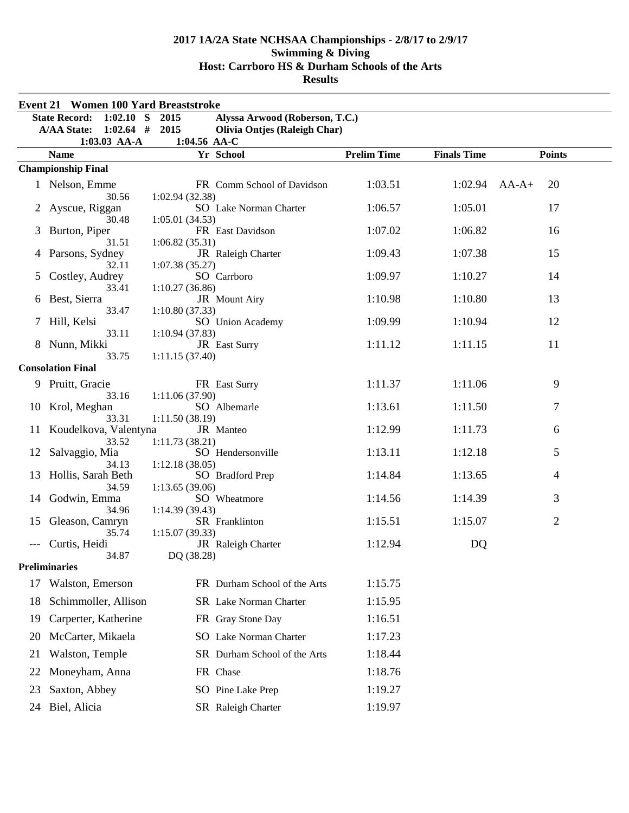|    | <b>Event 21 Women 100 Yard Breaststroke</b> |                                  |                                     |                    |                    |                |
|----|---------------------------------------------|----------------------------------|-------------------------------------|--------------------|--------------------|----------------|
|    | <b>State Record:</b><br>$1:02.10$ S         | 2015                             | Alyssa Arwood (Roberson, T.C.)      |                    |                    |                |
|    | $1:02.64$ # 2015<br><b>A/AA State:</b>      | 1:04.56 AA-C                     | <b>Olivia Ontjes (Raleigh Char)</b> |                    |                    |                |
|    | 1:03.03 AA-A<br><b>Name</b>                 |                                  | Yr School                           | <b>Prelim Time</b> | <b>Finals Time</b> | <b>Points</b>  |
|    | <b>Championship Final</b>                   |                                  |                                     |                    |                    |                |
|    | 1 Nelson, Emme                              |                                  | FR Comm School of Davidson          | 1:03.51            | $1:02.94$ AA-A+    | 20             |
| 2  | 30.56<br>Ayscue, Riggan                     | 1:02.94(32.38)                   | SO Lake Norman Charter              | 1:06.57            | 1:05.01            | 17             |
| 3  | 30.48<br>Burton, Piper<br>31.51             | 1:05.01(34.53)<br>1:06.82(35.31) | FR East Davidson                    | 1:07.02            | 1:06.82            | 16             |
| 4  | Parsons, Sydney<br>32.11                    | 1:07.38(35.27)                   | JR Raleigh Charter                  | 1:09.43            | 1:07.38            | 15             |
| 5  | Costley, Audrey<br>33.41                    | 1:10.27(36.86)                   | SO Carrboro                         | 1:09.97            | 1:10.27            | 14             |
| 6  | Best, Sierra<br>33.47                       | 1:10.80(37.33)                   | JR Mount Airy                       | 1:10.98            | 1:10.80            | 13             |
| 7  | Hill, Kelsi<br>33.11                        | 1:10.94(37.83)                   | SO Union Academy                    | 1:09.99            | 1:10.94            | 12             |
|    | Nunn, Mikki<br>33.75                        | 1:11.15(37.40)                   | JR East Surry                       | 1:11.12            | 1:11.15            | 11             |
|    | <b>Consolation Final</b>                    |                                  |                                     |                    |                    |                |
|    | 9 Pruitt, Gracie<br>33.16                   | 1:11.06(37.90)                   | FR East Surry                       | 1:11.37            | 1:11.06            | 9              |
| 10 | Krol, Meghan<br>33.31                       | 1:11.50(38.19)                   | SO Albemarle                        | 1:13.61            | 1:11.50            | 7              |
| 11 | Koudelkova, Valentyna<br>33.52              | 1:11.73(38.21)                   | JR Manteo                           | 1:12.99            | 1:11.73            | 6              |
| 12 | Salvaggio, Mia<br>34.13                     | 1:12.18(38.05)                   | SO Hendersonville                   | 1:13.11            | 1:12.18            | 5              |
| 13 | Hollis, Sarah Beth<br>34.59                 | 1:13.65(39.06)                   | SO Bradford Prep                    | 1:14.84            | 1:13.65            | 4              |
| 14 | Godwin, Emma<br>34.96                       | 1:14.39(39.43)                   | SO Wheatmore                        | 1:14.56            | 1:14.39            | 3              |
| 15 | Gleason, Camryn<br>35.74                    | 1:15.07(39.33)                   | SR Franklinton                      | 1:15.51            | 1:15.07            | $\overline{2}$ |
|    | Curtis, Heidi<br>34.87                      | DQ (38.28)                       | JR Raleigh Charter                  | 1:12.94            | DQ                 |                |
|    | <b>Preliminaries</b>                        |                                  |                                     |                    |                    |                |
| 17 | Walston, Emerson                            |                                  | FR Durham School of the Arts        | 1:15.75            |                    |                |
| 18 | Schimmoller, Allison                        |                                  | SR Lake Norman Charter              | 1:15.95            |                    |                |
| 19 | Carperter, Katherine                        |                                  | FR Gray Stone Day                   | 1:16.51            |                    |                |
| 20 | McCarter, Mikaela                           |                                  | SO Lake Norman Charter              | 1:17.23            |                    |                |
| 21 | Walston, Temple                             |                                  | SR Durham School of the Arts        | 1:18.44            |                    |                |
| 22 | Moneyham, Anna                              |                                  | FR Chase                            | 1:18.76            |                    |                |
| 23 | Saxton, Abbey                               |                                  | SO Pine Lake Prep                   | 1:19.27            |                    |                |
| 24 | Biel, Alicia                                |                                  | SR Raleigh Charter                  | 1:19.97            |                    |                |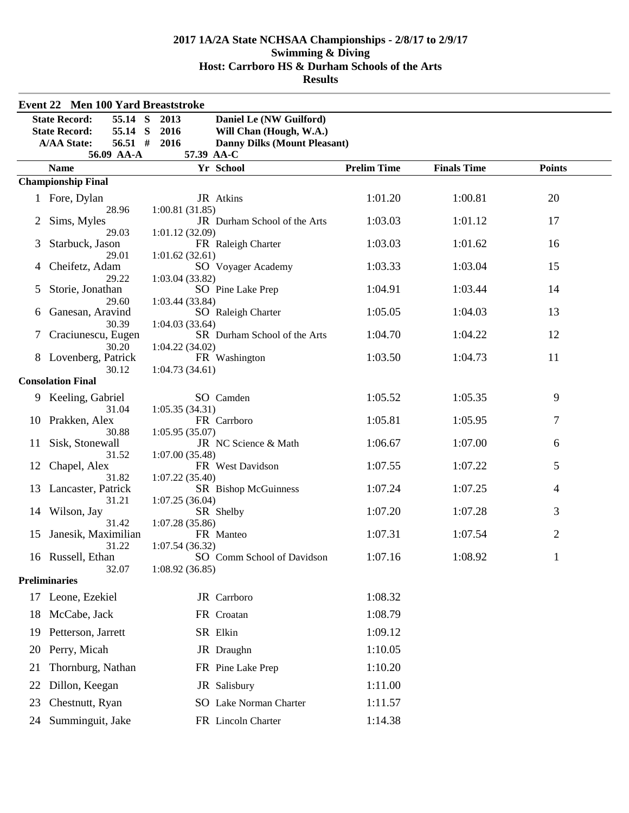|    | <b>Event 22 Men 100 Yard Breaststroke</b> |                                                |                    |                    |                |  |
|----|-------------------------------------------|------------------------------------------------|--------------------|--------------------|----------------|--|
|    | <b>State Record:</b><br>55.14 S           | 2013<br>Daniel Le (NW Guilford)                |                    |                    |                |  |
|    | <b>State Record:</b><br>55.14 S           | 2016<br>Will Chan (Hough, W.A.)                |                    |                    |                |  |
|    | <b>A/AA State:</b><br>$56.51$ #           | <b>Danny Dilks (Mount Pleasant)</b><br>2016    |                    |                    |                |  |
|    | 56.09 AA-A                                | 57.39 AA-C                                     |                    |                    |                |  |
|    | <b>Name</b>                               | Yr School                                      | <b>Prelim Time</b> | <b>Finals Time</b> | <b>Points</b>  |  |
|    | <b>Championship Final</b>                 |                                                |                    |                    |                |  |
|    | 1 Fore, Dylan                             | JR Atkins                                      | 1:01.20            | 1:00.81            | 20             |  |
|    | 28.96                                     | 1:00.81(31.85)<br>JR Durham School of the Arts | 1:03.03            | 1:01.12            | 17             |  |
| 2  | Sims, Myles<br>29.03                      | 1:01.12(32.09)                                 |                    |                    |                |  |
| 3  | Starbuck, Jason                           | FR Raleigh Charter                             | 1:03.03            | 1:01.62            | 16             |  |
|    | 29.01                                     | 1:01.62(32.61)                                 |                    |                    |                |  |
|    | Cheifetz, Adam                            | SO Voyager Academy                             | 1:03.33            | 1:03.04            | 15             |  |
| 5  | 29.22<br>Storie, Jonathan                 | 1:03.04 (33.82)<br>SO Pine Lake Prep           | 1:04.91            | 1:03.44            | 14             |  |
|    | 29.60                                     | 1:03.44(33.84)                                 |                    |                    |                |  |
| 6  | Ganesan, Aravind                          | SO Raleigh Charter                             | 1:05.05            | 1:04.03            | 13             |  |
|    | 30.39                                     | 1:04.03(33.64)                                 |                    |                    |                |  |
| 7  | Craciunescu, Eugen<br>30.20               | SR Durham School of the Arts<br>1:04.22(34.02) | 1:04.70            | 1:04.22            | 12             |  |
|    | 8 Lovenberg, Patrick                      | FR Washington                                  | 1:03.50            | 1:04.73            | 11             |  |
|    | 30.12                                     | 1:04.73(34.61)                                 |                    |                    |                |  |
|    | <b>Consolation Final</b>                  |                                                |                    |                    |                |  |
|    | 9 Keeling, Gabriel                        | SO Camden                                      | 1:05.52            | 1:05.35            | 9              |  |
|    | 31.04                                     | 1:05.35(34.31)                                 |                    |                    |                |  |
|    | 10 Prakken, Alex<br>30.88                 | FR Carrboro<br>1:05.95(35.07)                  | 1:05.81            | 1:05.95            | $\tau$         |  |
| 11 | Sisk, Stonewall                           | JR NC Science & Math                           | 1:06.67            | 1:07.00            | 6              |  |
|    | 31.52                                     | 1:07.00(35.48)                                 |                    |                    |                |  |
| 12 | Chapel, Alex                              | FR West Davidson                               | 1:07.55            | 1:07.22            | 5              |  |
| 13 | 31.82<br>Lancaster, Patrick               | 1:07.22(35.40)                                 | 1:07.24            | 1:07.25            | 4              |  |
|    | 31.21                                     | SR Bishop McGuinness<br>1:07.25(36.04)         |                    |                    |                |  |
|    | 14 Wilson, Jay                            | SR Shelby                                      | 1:07.20            | 1:07.28            | 3              |  |
|    | 31.42                                     | 1:07.28(35.86)                                 |                    |                    |                |  |
| 15 | Janesik, Maximilian                       | FR Manteo                                      | 1:07.31            | 1:07.54            | $\overline{2}$ |  |
|    | 31.22<br>16 Russell, Ethan                | 1:07.54(36.32)<br>SO Comm School of Davidson   | 1:07.16            | 1:08.92            |                |  |
|    | 32.07                                     | 1:08.92(36.85)                                 |                    |                    |                |  |
|    | <b>Preliminaries</b>                      |                                                |                    |                    |                |  |
|    | 17 Leone, Ezekiel                         | JR Carrboro                                    | 1:08.32            |                    |                |  |
| 18 | McCabe, Jack                              | FR Croatan                                     | 1:08.79            |                    |                |  |
| 19 | Petterson, Jarrett                        | SR Elkin                                       | 1:09.12            |                    |                |  |
| 20 | Perry, Micah                              | JR Draughn                                     | 1:10.05            |                    |                |  |
| 21 | Thornburg, Nathan                         | FR Pine Lake Prep                              | 1:10.20            |                    |                |  |
| 22 | Dillon, Keegan                            | JR Salisbury                                   | 1:11.00            |                    |                |  |
| 23 | Chestnutt, Ryan                           | SO Lake Norman Charter                         | 1:11.57            |                    |                |  |
| 24 | Summinguit, Jake                          | FR Lincoln Charter                             | 1:14.38            |                    |                |  |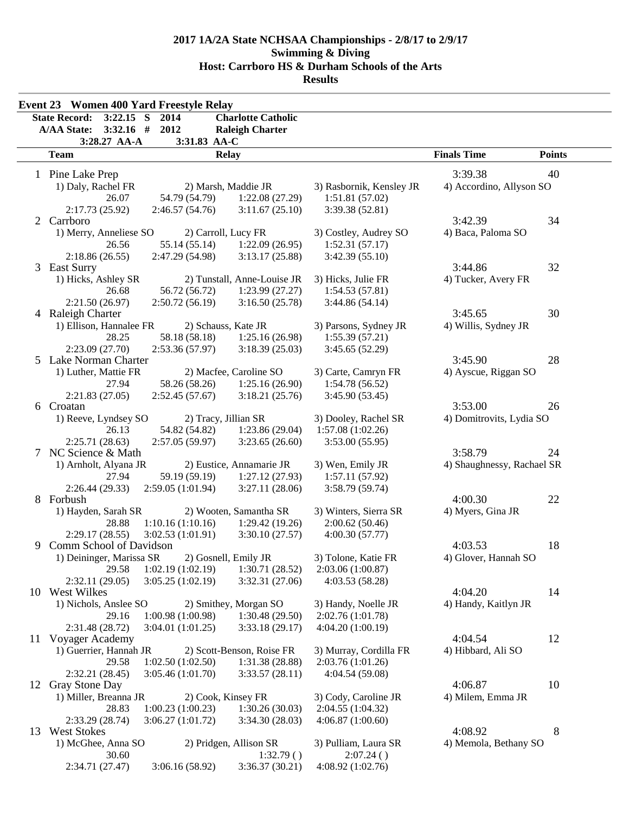|    | <b>Event 23 Women 400 Yard Freestyle Relay</b>   |                                          |                                       |                            |               |
|----|--------------------------------------------------|------------------------------------------|---------------------------------------|----------------------------|---------------|
|    | $3:22.15$ S<br><b>State Record:</b><br>2014      | <b>Charlotte Catholic</b>                |                                       |                            |               |
|    | <b>A/AA State:</b><br>$3:32.16$ #<br>2012        | <b>Raleigh Charter</b>                   |                                       |                            |               |
|    | 3:28.27 AA-A<br>3:31.83 AA-C                     |                                          |                                       |                            |               |
|    | <b>Team</b><br><b>Relay</b>                      |                                          |                                       | <b>Finals Time</b>         | <b>Points</b> |
|    | 1 Pine Lake Prep                                 |                                          |                                       | 3:39.38                    | 40            |
|    | 1) Daly, Rachel FR                               | 2) Marsh, Maddie JR                      | 3) Rasbornik, Kensley JR              | 4) Accordino, Allyson SO   |               |
|    | 26.07<br>54.79 (54.79)                           | 1:22.08(27.29)                           | 1:51.81(57.02)                        |                            |               |
|    | 2:17.73 (25.92)<br>2:46.57(54.76)                | 3:11.67(25.10)                           | 3:39.38 (52.81)                       |                            |               |
|    | 2 Carrboro                                       |                                          |                                       | 3:42.39                    | 34            |
|    | 1) Merry, Anneliese SO<br>2) Carroll, Lucy FR    |                                          | 3) Costley, Audrey SO                 | 4) Baca, Paloma SO         |               |
|    | 26.56<br>55.14 (55.14)                           | 1:22.09(26.95)                           | 1:52.31(57.17)                        |                            |               |
|    | 2:47.29 (54.98)<br>2:18.86(26.55)                | 3:13.17(25.88)                           | 3:42.39(55.10)                        |                            |               |
| 3  | <b>East Surry</b>                                |                                          |                                       | 3:44.86                    | 32            |
|    | 1) Hicks, Ashley SR                              | 2) Tunstall, Anne-Louise JR              | 3) Hicks, Julie FR                    | 4) Tucker, Avery FR        |               |
|    | 56.72 (56.72)<br>26.68                           | 1:23.99(27.27)                           | 1:54.53(57.81)                        |                            |               |
|    | 2:21.50 (26.97)<br>2:50.72(56.19)                | 3:16.50(25.78)                           | 3:44.86(54.14)                        |                            |               |
|    | 4 Raleigh Charter                                |                                          |                                       | 3:45.65                    | 30            |
|    | 1) Ellison, Hannalee FR<br>2) Schauss, Kate JR   |                                          | 3) Parsons, Sydney JR                 | 4) Willis, Sydney JR       |               |
|    | 28.25<br>58.18 (58.18)                           | 1:25.16(26.98)                           | 1:55.39(57.21)                        |                            |               |
| 5  | 2:23.09 (27.70)<br>2:53.36 (57.97)               | 3:18.39(25.03)                           | 3:45.65(52.29)                        | 3:45.90                    | 28            |
|    | Lake Norman Charter                              |                                          |                                       |                            |               |
|    | 1) Luther, Mattie FR<br>58.26 (58.26)            | 2) Macfee, Caroline SO<br>1:25.16(26.90) | 3) Carte, Camryn FR<br>1:54.78(56.52) | 4) Ayscue, Riggan SO       |               |
|    | 27.94<br>2:21.83(27.05)<br>2:52.45(57.67)        | 3:18.21(25.76)                           | 3:45.90 (53.45)                       |                            |               |
|    | 6 Croatan                                        |                                          |                                       | 3:53.00                    | 26            |
|    | 1) Reeve, Lyndsey SO<br>2) Tracy, Jillian SR     |                                          | 3) Dooley, Rachel SR                  | 4) Domitrovits, Lydia SO   |               |
|    | 26.13<br>54.82 (54.82)                           | 1:23.86(29.04)                           | 1:57.08(1:02.26)                      |                            |               |
|    | 2:25.71(28.63)<br>2:57.05(59.97)                 | 3:23.65(26.60)                           | 3:53.00(55.95)                        |                            |               |
| 7  | NC Science & Math                                |                                          |                                       | 3:58.79                    | 24            |
|    | 1) Arnholt, Alyana JR                            | 2) Eustice, Annamarie JR                 | 3) Wen, Emily JR                      | 4) Shaughnessy, Rachael SR |               |
|    | 27.94<br>59.19 (59.19)                           | 1:27.12(27.93)                           | 1:57.11(57.92)                        |                            |               |
|    | 2:26.44(29.33)<br>2:59.05 (1:01.94)              | 3:27.11(28.06)                           | 3:58.79(59.74)                        |                            |               |
|    | 8 Forbush                                        |                                          |                                       | 4:00.30                    | 22            |
|    | 1) Hayden, Sarah SR                              | 2) Wooten, Samantha SR                   | 3) Winters, Sierra SR                 | 4) Myers, Gina JR          |               |
|    | 28.88<br>1:10.16(1:10.16)                        | 1:29.42(19.26)                           | 2:00.62(50.46)                        |                            |               |
|    | 2:29.17(28.55)<br>3:02.53 (1:01.91)              | 3:30.10(27.57)                           | 4:00.30(57.77)                        |                            |               |
| 9  | Comm School of Davidson                          |                                          |                                       | 4:03.53                    | 18            |
|    | 2) Gosnell, Emily JR<br>1) Deininger, Marissa SR |                                          | 3) Tolone, Katie FR                   | 4) Glover, Hannah SO       |               |
|    | 29.58<br>1:02.19(1:02.19)                        | 1:30.71(28.52)                           | 2:03.06(1:00.87)                      |                            |               |
|    | 2:32.11(29.05)<br>3:05.25(1:02.19)               | 3:32.31(27.06)                           | 4:03.53(58.28)                        |                            |               |
|    | 10 West Wilkes                                   |                                          |                                       | 4:04.20                    | 14            |
|    | 1) Nichols, Anslee SO<br>1:00.98(1:00.98)        | 2) Smithey, Morgan SO                    | 3) Handy, Noelle JR                   | 4) Handy, Kaitlyn JR       |               |
|    | 29.16<br>2:31.48 (28.72)                         | 1:30.48(29.50)                           | 2:02.76 (1:01.78)                     |                            |               |
|    | 3:04.01(1:01.25)<br>11 Voyager Academy           | 3:33.18(29.17)                           | 4:04.20 (1:00.19)                     | 4:04.54                    | 12            |
|    | 1) Guerrier, Hannah JR                           | 2) Scott-Benson, Roise FR                | 3) Murray, Cordilla FR                | 4) Hibbard, Ali SO         |               |
|    | 29.58<br>1:02.50(1:02.50)                        | 1:31.38(28.88)                           | 2:03.76(1:01.26)                      |                            |               |
|    | 2:32.21(28.45)<br>3:05.46(1:01.70)               | 3:33.57(28.11)                           | 4:04.54 (59.08)                       |                            |               |
| 12 | Gray Stone Day                                   |                                          |                                       | 4:06.87                    | 10            |
|    | 1) Miller, Breanna JR<br>2) Cook, Kinsey FR      |                                          | 3) Cody, Caroline JR                  | 4) Milem, Emma JR          |               |
|    | 28.83<br>1:00.23(1:00.23)                        | 1:30.26(30.03)                           | 2:04.55 (1:04.32)                     |                            |               |
|    | 2:33.29 (28.74)<br>3:06.27(1:01.72)              | 3:34.30(28.03)                           | 4:06.87(1:00.60)                      |                            |               |
|    | 13 West Stokes                                   |                                          |                                       | 4:08.92                    | 8             |
|    | 1) McGhee, Anna SO                               | 2) Pridgen, Allison SR                   | 3) Pulliam, Laura SR                  | 4) Memola, Bethany SO      |               |
|    | 30.60                                            | 1:32.79()                                | 2:07.24()                             |                            |               |
|    | 2:34.71 (27.47)<br>3:06.16(58.92)                | 3:36.37(30.21)                           | 4:08.92 (1:02.76)                     |                            |               |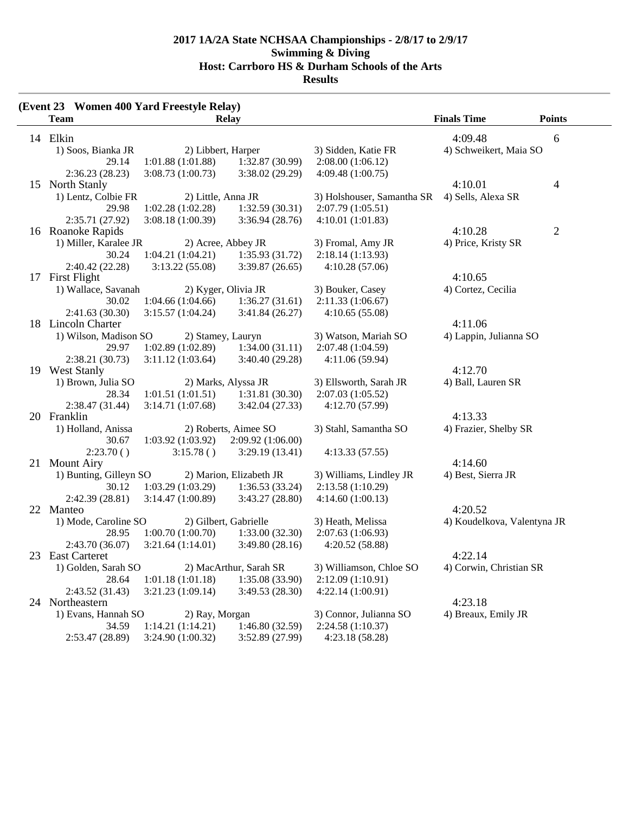|    | <b>Event 23 Women 400 Yard Freestyle Relay</b> ) |                                     |                         |                            |                        |               |
|----|--------------------------------------------------|-------------------------------------|-------------------------|----------------------------|------------------------|---------------|
|    | <b>Team</b>                                      |                                     | Relay                   |                            | <b>Finals Time</b>     | <b>Points</b> |
|    | 14 Elkin                                         |                                     |                         |                            | 4:09.48                | 6             |
|    | 1) Soos, Bianka JR                               | 2) Libbert, Harper                  |                         | 3) Sidden, Katie FR        | 4) Schweikert, Maia SO |               |
|    | 29.14                                            | 1:01.88(1:01.88)                    | 1:32.87 (30.99)         | 2:08.00(1:06.12)           |                        |               |
|    | 2:36.23(28.23)                                   | 3:08.73 (1:00.73)                   | 3:38.02(29.29)          | 4:09.48(1:00.75)           |                        |               |
| 15 | North Stanly                                     |                                     |                         |                            | 4:10.01                | 4             |
|    | 1) Lentz, Colbie FR                              | 2) Little, Anna JR                  |                         | 3) Holshouser, Samantha SR | 4) Sells, Alexa SR     |               |
|    | 29.98                                            | 1:02.28(1:02.28)                    | 1:32.59(30.31)          | 2:07.79(1:05.51)           |                        |               |
|    | 2:35.71 (27.92)                                  | 3:08.18(1:00.39)                    | 3:36.94(28.76)          | 4:10.01(1:01.83)           |                        |               |
|    | 16 Roanoke Rapids                                |                                     |                         |                            | 4:10.28                | 2             |
|    | 1) Miller, Karalee JR                            |                                     | 2) Acree, Abbey JR      | 3) Fromal, Amy JR          | 4) Price, Kristy SR    |               |
|    | 30.24                                            | $1:04.21(1:04.21)$ $1:35.93(31.72)$ |                         | 2:18.14 (1:13.93)          |                        |               |
|    | 2:40.42(22.28)                                   | 3:13.22(55.08)                      | 3:39.87(26.65)          | 4:10.28(57.06)             |                        |               |
|    | 17 First Flight                                  |                                     |                         |                            | 4:10.65                |               |
|    | 1) Wallace, Savanah                              |                                     | 2) Kyger, Olivia JR     | 3) Bouker, Casey           | 4) Cortez, Cecilia     |               |
|    | 30.02                                            | 1:04.66(1:04.66)                    | 1:36.27(31.61)          | 2:11.33(1:06.67)           |                        |               |
|    | 2:41.63(30.30)                                   | 3:15.57(1:04.24)                    | 3:41.84(26.27)          | 4:10.65(55.08)             |                        |               |
|    | 18 Lincoln Charter                               |                                     |                         |                            | 4:11.06                |               |
|    | 1) Wilson, Madison SO                            | 2) Stamey, Lauryn                   |                         | 3) Watson, Mariah SO       | 4) Lappin, Julianna SO |               |
|    | 29.97                                            | 1:02.89(1:02.89)                    | 1:34.00(31.11)          | 2:07.48 (1:04.59)          |                        |               |
|    | 2:38.21(30.73)                                   | 3:11.12(1:03.64)                    | 3:40.40 (29.28)         | 4:11.06(59.94)             |                        |               |
|    | 19 West Stanly                                   |                                     |                         |                            | 4:12.70                |               |
|    | 1) Brown, Julia SO                               |                                     | 2) Marks, Alyssa JR     | 3) Ellsworth, Sarah JR     | 4) Ball, Lauren SR     |               |
|    | 28.34                                            | 1:01.51(1:01.51)                    | 1:31.81(30.30)          | 2:07.03(1:05.52)           |                        |               |
|    | 2:38.47(31.44)                                   | 3:14.71(1:07.68)                    | 3:42.04(27.33)          | 4:12.70 (57.99)            |                        |               |
| 20 | Franklin                                         |                                     |                         |                            | 4:13.33                |               |
|    | 1) Holland, Anissa                               |                                     | 2) Roberts, Aimee SO    | 3) Stahl, Samantha SO      | 4) Frazier, Shelby SR  |               |
|    | 30.67                                            | 1:03.92(1:03.92)                    | 2:09.92(1:06.00)        |                            |                        |               |
|    | 2:23.70()                                        | 3:15.78()                           | 3:29.19(13.41)          | 4:13.33(57.55)             |                        |               |
| 21 | <b>Mount Airy</b>                                |                                     |                         |                            | 4:14.60                |               |
|    | 1) Bunting, Gilleyn SO                           |                                     | 2) Marion, Elizabeth JR | 3) Williams, Lindley JR    | 4) Best, Sierra JR     |               |
|    | 30.12                                            | $1:03.29(1:03.29)$ $1:36.53(33.24)$ |                         | 2:13.58 (1:10.29)          |                        |               |
|    | 2:42.39 (28.81)                                  | 3:14.47(1:00.89)                    | 3:43.27(28.80)          | 4:14.60(1:00.13)           |                        |               |
|    | 22 Manteo                                        |                                     |                         |                            | 4:20.52                |               |

**(Event 23)** 

2:43.70 (36.07) 3:21.64 (1:14.01) 3:49.80 (28.16) 4:20.52 (58.88) 23 East Carteret 4:22.14 1) Golden, Sarah SO 2) MacArthur, Sarah SR 3) Williamson, Chloe SO 4) Corwin, Christian SR 28.64 1:01.18 (1:01.18) 1:35.08 (33.90) 2:12.09 (1:10.91) 2:43.52 (31.43) 3:21.23 (1:09.14) 3:49.53 (28.30) 4:22.14 (1:00.91) 24 Northeastern 4:23.18<br>1) Evans, Hannah SO 2) Ray, Morgan 3) Connor, Julianna SO 4) Breaux,

28.95 1:00.70 (1:00.70) 1:33.00 (32.30) 2:07.63 (1:06.93)

2) Ray, Morgan 3) Connor, Julianna SO 4) Breaux, Emily JR 34.59 1:14.21 (1:14.21) 1:46.80 (32.59) 2:24.58 (1:10.37) 2:53.47 (28.89) 3:24.90 (1:00.32) 3:52.89 (27.99) 4:23.18 (58.28)

1) Mode, Caroline SO 2) Gilbert, Gabrielle 3) Heath, Melissa 4) Koudelkova, Valentyna JR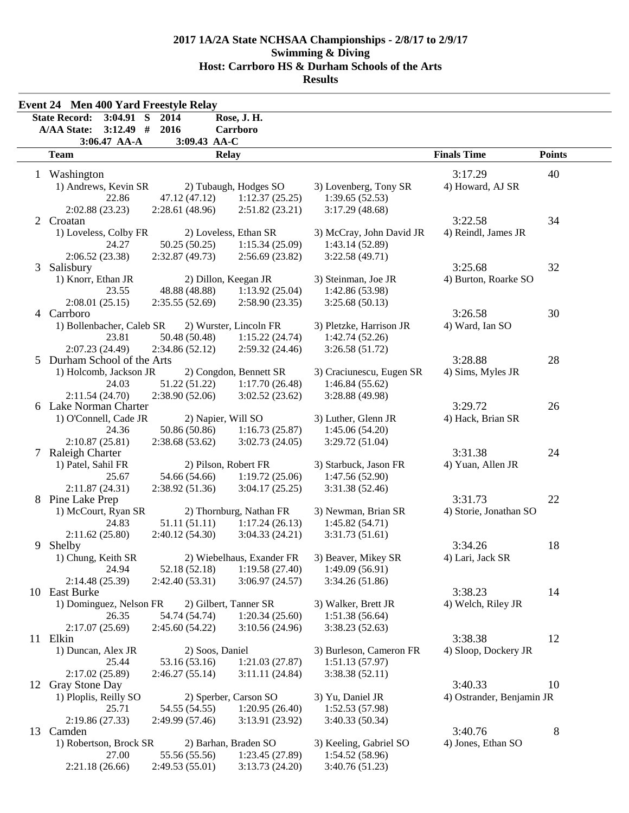|                | <b>Event 24 Men 400 Yard Freestyle Relay</b><br><b>State Record:</b><br>$3:04.91$ S | 2014                 | Rose, J. H.               |                          |                           |               |
|----------------|-------------------------------------------------------------------------------------|----------------------|---------------------------|--------------------------|---------------------------|---------------|
|                | $3:12.49$ #<br><b>A/AA State:</b>                                                   | 2016                 | Carrboro                  |                          |                           |               |
|                | 3:06.47 AA-A                                                                        | 3:09.43 AA-C         |                           |                          |                           |               |
|                | <b>Team</b>                                                                         |                      | <b>Relay</b>              |                          | <b>Finals Time</b>        | <b>Points</b> |
|                | 1 Washington                                                                        |                      |                           |                          | 3:17.29                   | 40            |
|                | 1) Andrews, Kevin SR                                                                |                      | 2) Tubaugh, Hodges SO     | 3) Lovenberg, Tony SR    | 4) Howard, AJ SR          |               |
|                | 22.86                                                                               | 47.12 (47.12)        | 1:12.37(25.25)            | 1:39.65(52.53)           |                           |               |
|                | 2:02.88(23.23)                                                                      | 2:28.61 (48.96)      | 2:51.82(23.21)            | 3:17.29(48.68)           |                           |               |
| $\overline{2}$ | Croatan                                                                             |                      |                           |                          | 3:22.58                   | 34            |
|                | 1) Loveless, Colby FR                                                               |                      | 2) Loveless, Ethan SR     | 3) McCray, John David JR | 4) Reindl, James JR       |               |
|                | 24.27                                                                               | 50.25(50.25)         | 1:15.34(25.09)            | 1:43.14(52.89)           |                           |               |
|                | 2:06.52(23.38)                                                                      | 2:32.87(49.73)       | 2:56.69(23.82)            | 3:22.58(49.71)           |                           |               |
| 3              | Salisbury                                                                           |                      |                           |                          | 3:25.68                   | 32            |
|                | 1) Knorr, Ethan JR                                                                  |                      | 2) Dillon, Keegan JR      | 3) Steinman, Joe JR      | 4) Burton, Roarke SO      |               |
|                | 23.55                                                                               | 48.88 (48.88)        | 1:13.92(25.04)            | 1:42.86 (53.98)          |                           |               |
|                | 2:08.01(25.15)                                                                      | 2:35.55(52.69)       | 2:58.90(23.35)            | 3:25.68(50.13)           |                           |               |
|                | 4 Carrboro                                                                          |                      |                           |                          | 3:26.58                   | 30            |
|                | 1) Bollenbacher, Caleb SR                                                           |                      | 2) Wurster, Lincoln FR    | 3) Pletzke, Harrison JR  |                           |               |
|                |                                                                                     |                      | 1:15.22(24.74)            |                          | 4) Ward, Ian SO           |               |
|                | 23.81                                                                               | 50.48 (50.48)        |                           | 1:42.74(52.26)           |                           |               |
|                | 2:07.23 (24.49)                                                                     | 2:34.86(52.12)       | 2:59.32(24.46)            | 3:26.58(51.72)           | 3:28.88                   | 28            |
|                | 5 Durham School of the Arts                                                         |                      | 2) Congdon, Bennett SR    |                          |                           |               |
|                | 1) Holcomb, Jackson JR                                                              |                      |                           | 3) Craciunescu, Eugen SR | 4) Sims, Myles JR         |               |
|                | 24.03                                                                               | 51.22 (51.22)        | 1:17.70(26.48)            | 1:46.84(55.62)           |                           |               |
|                | 2:11.54(24.70)                                                                      | 2:38.90(52.06)       | 3:02.52(23.62)            | 3:28.88 (49.98)          |                           |               |
|                | 6 Lake Norman Charter                                                               |                      |                           |                          | 3:29.72                   | 26            |
|                | 1) O'Connell, Cade JR                                                               | 2) Napier, Will SO   |                           | 3) Luther, Glenn JR      | 4) Hack, Brian SR         |               |
|                | 24.36                                                                               | 50.86 (50.86)        | 1:16.73(25.87)            | 1:45.06(54.20)           |                           |               |
|                | 2:10.87(25.81)                                                                      | 2:38.68(53.62)       | 3:02.73(24.05)            | 3:29.72(51.04)           |                           |               |
| 7              | <b>Raleigh Charter</b>                                                              |                      |                           |                          | 3:31.38                   | 24            |
|                | 1) Patel, Sahil FR                                                                  | 2) Pilson, Robert FR |                           | 3) Starbuck, Jason FR    | 4) Yuan, Allen JR         |               |
|                | 25.67                                                                               | 54.66 (54.66)        | 1:19.72(25.06)            | 1:47.56(52.90)           |                           |               |
|                | 2:11.87(24.31)                                                                      | 2:38.92 (51.36)      | 3:04.17(25.25)            | 3:31.38 (52.46)          |                           |               |
|                | 8 Pine Lake Prep                                                                    |                      |                           |                          | 3:31.73                   | 22            |
|                | 1) McCourt, Ryan SR                                                                 |                      | 2) Thornburg, Nathan FR   | 3) Newman, Brian SR      | 4) Storie, Jonathan SO    |               |
|                | 24.83                                                                               | 51.11(51.11)         | 1:17.24(26.13)            | 1:45.82(54.71)           |                           |               |
|                | 2:11.62(25.80)                                                                      | 2:40.12 (54.30)      | 3:04.33(24.21)            | 3:31.73(51.61)           |                           |               |
| 9              | Shelby                                                                              |                      |                           |                          | 3:34.26                   | 18            |
|                | 1) Chung, Keith SR                                                                  |                      | 2) Wiebelhaus, Exander FR | 3) Beaver, Mikey SR      | 4) Lari, Jack SR          |               |
|                | 24.94                                                                               | 52.18 (52.18)        | 1:19.58(27.40)            | 1:49.09(56.91)           |                           |               |
|                | 2:14.48 (25.39)                                                                     | 2:42.40 (53.31)      | 3:06.97(24.57)            | 3:34.26(51.86)           |                           |               |
|                | 10 East Burke                                                                       |                      |                           |                          | 3:38.23                   | 14            |
|                | 1) Dominguez, Nelson FR                                                             |                      | 2) Gilbert, Tanner SR     | 3) Walker, Brett JR      | 4) Welch, Riley JR        |               |
|                | 26.35                                                                               | 54.74 (54.74)        | 1:20.34(25.60)            | 1:51.38(56.64)           |                           |               |
|                | 2:17.07(25.69)                                                                      | 2:45.60(54.22)       | 3:10.56(24.96)            | 3:38.23(52.63)           |                           |               |
|                | 11 Elkin                                                                            |                      |                           |                          | 3:38.38                   | 12            |
|                | 1) Duncan, Alex JR                                                                  | 2) Soos, Daniel      |                           | 3) Burleson, Cameron FR  | 4) Sloop, Dockery JR      |               |
|                | 25.44                                                                               | 53.16 (53.16)        | 1:21.03(27.87)            | 1:51.13(57.97)           |                           |               |
|                | 2:17.02 (25.89)                                                                     | 2:46.27(55.14)       | 3:11.11(24.84)            | 3:38.38(52.11)           |                           |               |
|                | 12 Gray Stone Day                                                                   |                      |                           |                          | 3:40.33                   | 10            |
|                | 1) Ploplis, Reilly SO                                                               |                      | 2) Sperber, Carson SO     | 3) Yu, Daniel JR         | 4) Ostrander, Benjamin JR |               |
|                | 25.71                                                                               | 54.55 (54.55)        | 1:20.95(26.40)            | 1:52.53(57.98)           |                           |               |
|                | 2:19.86 (27.33)                                                                     | 2:49.99(57.46)       | 3:13.91 (23.92)           | 3:40.33(50.34)           |                           |               |
| 13             | Camden                                                                              |                      |                           |                          | 3:40.76                   | 8             |
|                | 1) Robertson, Brock SR                                                              |                      | 2) Barhan, Braden SO      | 3) Keeling, Gabriel SO   | 4) Jones, Ethan SO        |               |
|                | 27.00                                                                               | 55.56 (55.56)        | 1:23.45(27.89)            | 1:54.52(58.96)           |                           |               |
|                | 2:21.18(26.66)                                                                      | 2:49.53(55.01)       | 3:13.73(24.20)            | 3:40.76 (51.23)          |                           |               |
|                |                                                                                     |                      |                           |                          |                           |               |